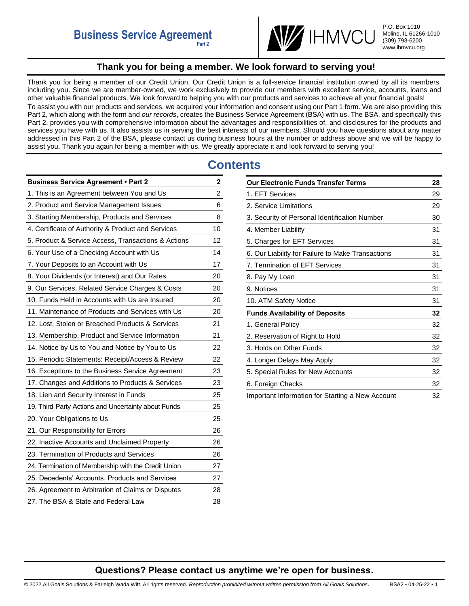

P.O. Box 1010 Moline, IL 61266-1010 (309) 793-6200 www.ihmvcu.org

# **Thank you for being a member. We look forward to serving you!**

<span id="page-0-0"></span>Thank you for being a member of our Credit Union. Our Credit Union is a full-service financial institution owned by all its members, including you. Since we are member-owned, we work exclusively to provide our members with excellent service, accounts, loans and other valuable financial products. We look forward to helping you with our products and services to achieve all your financial goals! To assist you with our products and services, we acquired your information and consent using our Part 1 form. We are also providing this Part 2, which along with the form and *our records*, creates the Business Service Agreement (BSA) with us. The BSA, and specifically this Part 2, provides you with comprehensive information about the advantages and responsibilities of, and disclosures for the products and services you have with us. It also assists us in serving the best interests of our members. Should you have questions about any matter addressed in this Part 2 of the BSA, please contact us during business hours at the number or address above and we will be happy to assist you. Thank you again for being a member with us. We greatly appreciate it and look forward to serving you!

# **Contents**

| <b>Business Service Agreement • Part 2</b>          | $\mathbf{2}$ |
|-----------------------------------------------------|--------------|
| 1. This is an Agreement between You and Us          | 2            |
| 2. Product and Service Management Issues            | 6            |
| 3. Starting Membership, Products and Services       | 8            |
| 4. Certificate of Authority & Product and Services  | 10           |
| 5. Product & Service Access, Transactions & Actions | 12           |
| 6. Your Use of a Checking Account with Us           | 14           |
| 7. Your Deposits to an Account with Us              | 17           |
| 8. Your Dividends (or Interest) and Our Rates       | 20           |
| 9. Our Services, Related Service Charges & Costs    | 20           |
| 10. Funds Held in Accounts with Us are Insured      | 20           |
| 11. Maintenance of Products and Services with Us    | 20           |
| 12. Lost, Stolen or Breached Products & Services    | 21           |
| 13. Membership, Product and Service Information     | 21           |
| 14. Notice by Us to You and Notice by You to Us     | 22           |
| 15. Periodic Statements: Receipt/Access & Review    | 22           |
| 16. Exceptions to the Business Service Agreement    | 23           |
| 17. Changes and Additions to Products & Services    | 23           |
| 18. Lien and Security Interest in Funds             | 25           |
| 19. Third-Party Actions and Uncertainty about Funds | 25           |
| 20. Your Obligations to Us                          | 25           |
| 21. Our Responsibility for Errors                   | 26           |
| 22. Inactive Accounts and Unclaimed Property        | 26           |
| 23. Termination of Products and Services            | 26           |
| 24. Termination of Membership with the Credit Union | 27           |
| 25. Decedents' Accounts, Products and Services      | 27           |
| 26. Agreement to Arbitration of Claims or Disputes  | 28           |
| 27. The BSA & State and Federal Law                 | 28           |

| <b>Our Electronic Funds Transfer Terms</b>        | 28 |
|---------------------------------------------------|----|
| 1. EFT Services                                   | 29 |
| 2. Service Limitations                            | 29 |
| 3. Security of Personal Identification Number     | 30 |
| 4. Member Liability                               | 31 |
| 5. Charges for EFT Services                       | 31 |
| 6. Our Liability for Failure to Make Transactions | 31 |
| 7. Termination of EFT Services                    | 31 |
| 8. Pay My Loan                                    | 31 |
| 9. Notices                                        | 31 |
| 10. ATM Safety Notice                             | 31 |
| <b>Funds Availability of Deposits</b>             | 32 |
| 1. General Policy                                 | 32 |
| 2. Reservation of Right to Hold                   | 32 |
| 3. Holds on Other Funds                           | 32 |
| 4. Longer Delays May Apply                        | 32 |
| 5. Special Rules for New Accounts                 | 32 |
| 6. Foreign Checks                                 | 32 |
| Important Information for Starting a New Account  | 32 |

# **Questions? Please contact us anytime we're open for business.**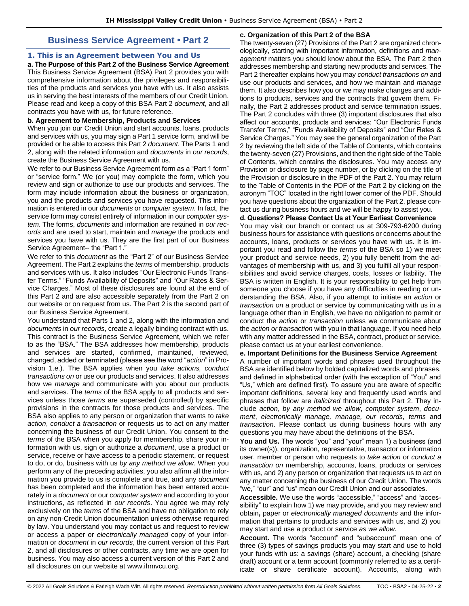# **Business Service Agreement • Part 2**

### <span id="page-1-1"></span><span id="page-1-0"></span>**1. This is an Agreement between You and Us**

**a. The Purpose of this Part 2 of the Business Service Agreement**  This Business Service Agreement (BSA) Part 2 provides you with comprehensive information about the privileges and responsibilities of the products and services you have with us. It also assists us in serving the best interests of the members of our Credit Union. Please read and keep a copy of this BSA Part 2 *document*, and all contracts you have with us, for future reference.

### **b. Agreement to Membership, Products and Services**

When you join our Credit Union and start accounts, loans, products and services with us, you may sign a Part 1 service form, and will be provided or be able to access this Part 2 *document*. The Parts 1 and 2, along with the related information and *documents* in *our records*, create the Business Service Agreement with us.

We refer to our Business Service Agreement form as a "Part 1 form" or "service form." We (or you) may complete the form, which you review and sign or authorize to use our products and services. The form may include information about the business or organization, you and the products and services you have requested. This information is entered in our *documents* or *computer system*. In fact, the service form may consist entirely of information in our *computer system*. The forms, *documents* and information are retained in *our records* and are used to start, maintain and *manage* the products and services you have with us. They are the first part of our Business Service Agreement-- the "Part 1."

We refer to this *document* as the "Part 2" of our Business Service Agreement. The Part 2 explains the *terms* of membership, products and services with us. It also includes "Our Electronic Funds Transfer Terms," "Funds Availability of Deposits" and "Our Rates & Service Charges." Most of these disclosures are found at the end of this Part 2 and are also accessible separately from the Part 2 on our website or on request from us. The Part 2 is the second part of our Business Service Agreement.

You understand that Parts 1 and 2, along with the information and *documents* in *our records*, create a legally binding contract with us. This contract is the Business Service Agreement, which we refer to as the "BSA." The BSA addresses how membership, products and services are started, confirmed, maintained, reviewed, changed, added or terminated (please see the word "*action*" in Provision 1.e.). The BSA applies when you *take actions, conduct transactions on* or use our products and services. It also addresses how we *manage* and communicate with you about our products and services. The *terms* of the BSA apply to all products and services unless those *terms* are superseded (controlled) by specific provisions in the contracts for those products and services. The BSA also applies to any person or organization that wants to *take action*, *conduct a transaction* or requests us to act on any matter concerning the business of our Credit Union. You consent to the *terms* of the BSA when you apply for membership, share your information with us, sign or authorize a *document*, use a product or service, receive or have access to a periodic statement, or request to do, or do, business with us *by any method we allow*. When you perform any of the preceding activities, you also affirm all the information you provide to us is complete and true, and any *document* has been completed and the information has been entered accurately in a *document* or our *computer system* and according to your instructions, as reflected in *our records*. You agree we may rely exclusively on the *terms* of the BSA and have no obligation to rely on any non-Credit Union documentation unless otherwise required by law. You understand you may contact us and request to review or access a paper or *electronically managed* copy of your information or *document* in *our records*, the current version of this Part 2, and all disclosures or other contracts, any time we are open for business. You may also access a current version of this Part 2 and all disclosures on our website at www.ihmvcu.org.

### **c. Organization of this Part 2 of the BSA**

The twenty-seven (27) Provisions of the Part 2 are organized chronologically, starting with important information, definitions and *management* matters you should know about the BSA. The Part 2 then addresses membership and starting new products and services. The Part 2 thereafter explains how you may *conduct transactions on* and use our products and services, and how we maintain and *manage*  them. It also describes how you or we may make changes and additions to products, services and the contracts that govern them. Finally, the Part 2 addresses product and service termination issues. The Part 2 concludes with three (3) important disclosures that also affect our accounts, products and services: "Our Electronic Funds Transfer Terms," "Funds Availability of Deposits" and "Our Rates & Service Charges." You may see the general organization of the Part 2 by reviewing the left side of the Table of Contents, which contains the twenty-seven (27) Provisions, and then the right side of the Table of Contents, which contains the disclosures. You may access any Provision or disclosure by page number, or by clicking on the title of the Provision or disclosure in the PDF of the Part 2. You may return to the Table of Contents in the PDF of the Part 2 by clicking on the acronym "TOC" located in the right lower corner of the PDF. Should you have questions about the organization of the Part 2, please contact us during business hours and we will be happy to assist you.

### **d. Questions? Please Contact Us at Your Earliest Convenience**

You may visit our branch or contact us at 309-793-6200 during business hours for assistance with questions or concerns about the accounts, loans, products or services you have with us. It is important you read and follow the *terms* of the BSA so 1) we meet your product and service needs, 2) you fully benefit from the advantages of membership with us, and 3) you fulfill all your responsibilities and avoid service charges, costs, losses or liability. The BSA is written in English. It is your responsibility to get help from someone you choose if you have any difficulties in reading or understanding the BSA. Also, if you attempt to initiate an *action* or *transaction on* a product or service by communicating with us in a language other than in English, we have no obligation to permit or conduct the *action* or *transaction* unless we communicate about the *action or transaction* with you in that language. If you need help with any matter addressed in the BSA, contract, product or service, please contact us at your earliest convenience.

### **e. Important Definitions for the Business Service Agreement**

A number of important words and phrases used throughout the BSA are identified below by bolded capitalized words and phrases, and defined in alphabetical order (with the exception of "You" and "Us," which are defined first). To assure you are aware of specific important definitions, several key and frequently used words and phrases that follow are *italicized* throughout this Part 2. They include *action*, *by any method we allow*, *computer system*, *document*, *electronically manage, manage, our records, terms* and *transaction*. Please contact us during business hours with any questions you may have about the definitions of the BSA.

**You and Us.** The words "you" and "your" mean 1) a business (and its owner(s)), organization, representative, transactor or information user, member or person who requests to *take action* or *conduct a transaction on* membership, accounts, loans, products or services with us, and 2) any person or organization that requests us to act on any matter concerning the business of our Credit Union. The words "we," "our" and "us" mean our Credit Union and our associates.

**Accessible.** We use the words "accessible," "access" and "accessibility" to explain how 1) we may provide**,** and you may review and obtain**,** paper or *electronically managed documents* and the information that pertains to products and services with us, and 2) you may start and use a product or service *as we allow.* 

**Account.** The words "account" and "subaccount" mean one of three (3) types of savings products you may start and use to hold your funds with us: a savings (share) account, a checking (share draft) account or a term account (commonly referred to as a certificate or share certificate account). Accounts, along with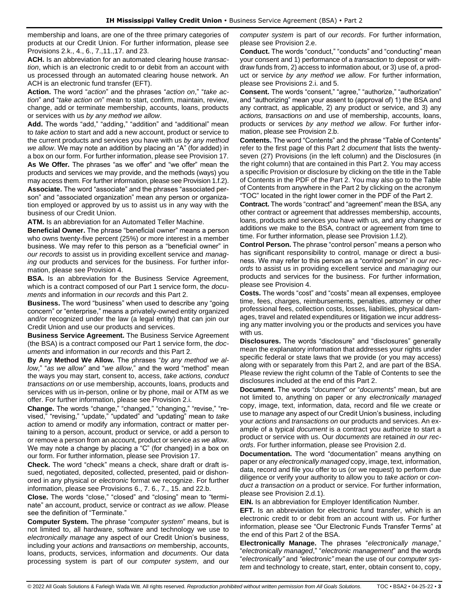membership and loans, are one of the three primary categories of products at our Credit Union. For further information, please see Provisions 2.k., 4., 6., 7.,11.,17. and 23.

**ACH.** Is an abbreviation for an automated clearing house *transaction*, which is an electronic credit to or debit from an account with us processed through an automated clearing house network. An ACH is an electronic fund transfer (EFT).

**Action.** The word "*action*" and the phrases "*action on*," "*take action*" and "*take action on*" mean to start, confirm, maintain, review, change, add or terminate membership, accounts, loans, products or services with us *by any method we allow*.

**Add.** The words "add," "adding," "addition" and "additional" mean to *take action* to start and add a new account, product or service to the current products and services you have with us *by any method we allow*. We may note an addition by placing an "A" (for added) in

a box on our form. For further information, please see Provision 17. **As We Offer.** The phrases "as we offer" and "we offer" mean the products and services we may provide, and the methods (ways) you may access them. For further information, please see Provision 1.f.2). **Associate.** The word "associate" and the phrases "associated person" and "associated organization" mean any person or organization employed or approved by us to assist us in any way with the business of our Credit Union.

**ATM.** Is an abbreviation for an Automated Teller Machine.

**Beneficial Owner.** The phrase "beneficial owner" means a person who owns twenty-five percent (25%) or more interest in a member business. We may refer to this person as a "beneficial owner" in *our records* to assist us in providing excellent service and *managing* our products and services for the business. For further information, please see Provision 4.

**BSA.** Is an abbreviation for the Business Service Agreement, which is a contract composed of our Part 1 service form, the *documents* and information in *our records* and this Part 2.

**Business.** The word "business" when used to describe any "going concern" or "enterprise," means a privately-owned entity organized and/or recognized under the law (a legal entity) that can join our Credit Union and use our products and services.

**Business Service Agreement.** The Business Service Agreement (the BSA) is a contract composed our Part 1 service form, the *documents* and information in *our records* and this Part 2.

**By Any Method We Allow.** The phrases "*by any method we allow*," "*as we allow*" and "*we allow*," and the word "method" mean the ways you may start, consent to, access, *take actions, conduct transactions on* or use membership, accounts, loans, products and services with us in-person, online or by phone, mail or ATM as we offer. For further information, please see Provision 2.i.

**Change.** The words "change," "changed," "changing," "revise," "revised," "revising," "update," "updated" and "updating" mean to *take action* to amend or modify any information, contract or matter pertaining to a person, account, product or service, or add a person to or remove a person from an account, product or service *as we allow*. We may note a change by placing a "C" (for changed) in a box on our form. For further information, please see Provision 17.

**Check.** The word "check" means a check, share draft or draft issued, negotiated, deposited, collected, presented, paid or dishonored in any physical or *electronic* format we recognize. For further information, please see Provisions 6., 7. 6., 7., 15. and 22.b.

**Close.** The words "close," "closed" and "closing" mean to "terminate" an account, product, service or contract *as we allow*. Please see the definition of "Terminate."

**Computer System.** The phrase "*computer system*" means, but is not limited to, all hardware, software and technology we use to *electronically manage* any aspect of our Credit Union's business, including your *actions* and *transactions on* membership, accounts, loans, products, services, information and *documents*. Our data processing system is part of our *computer system*, and our

*computer system* is part of *our records*. For further information, please see Provision 2.e.

**Conduct.** The words "conduct," "conducts" and "conducting" mean your consent and 1) performance of a *transaction* to deposit or withdraw funds from, 2) access to information about, or 3) use of, a product or service *by any method we allow*. For further information, please see Provisions 2.i. and 5.

**Consent.** The words "consent," "agree," "authorize," "authorization" and "authorizing" mean your assent to (approval of) 1) the BSA and any contract, as applicable, 2) any product or service, and 3) any *actions, transactions on* and use of membership, accounts, loans, products or services *by any method we allow*. For further information, please see Provision 2.b.

**Contents.** The word "Contents" and the phrase "Table of Contents" refer to the first page of this Part 2 *document* that lists the twentyseven (27) Provisions (in the left column) and the Disclosures (in the right column) that are contained in this Part 2. You may access a specific Provision or disclosure by clicking on the title in the Table of Contents in the PDF of the Part 2. You may also go to the Table of Contents from anywhere in the Part 2 by clicking on the acronym "TOC" located in the right lower corner in the PDF of the Part 2.

**Contract.** The words "contract" and "agreement" mean the BSA, any other contract or agreement that addresses membership, accounts, loans, products and services you have with us, and any changes or additions we make to the BSA, contract or agreement from time to time. For further information, please see Provision 1.f.2).

**Control Person.** The phrase "control person" means a person who has significant responsibility to control, manage or direct a business. We may refer to this person as a "control person" in *our records* to assist us in providing excellent service and *managing* our products and services for the business. For further information, please see Provision 4.

**Costs.** The words "cost" and "costs" mean all expenses, employee time, fees, charges, reimbursements, penalties, attorney or other professional fees, collection costs, losses, liabilities, physical damages, travel and related expenditures or litigation we incur addressing any matter involving you or the products and services you have with us.

**Disclosures.** The words "disclosure" and "disclosures" generally mean the explanatory information that addresses your rights under specific federal or state laws that we provide (or you may access) along with or separately from this Part 2, and are part of the BSA. Please review the right column of the Table of Contents to see the disclosures included at the end of this Part 2.

**Document.** The words "*document*" or "*documents*" mean, but are not limited to, anything on paper or any *electronically managed*  copy, image, text, information, data, record and file we create or use to *manage* any aspect of our Credit Union's business, including your *actions* and *transactions on* our products and services. An example of a typical *document* is a contract you authorize to start a product or service with us. Our *documents* are retained *in our records*. For further information, please see Provision 2.d.

**Documentation.** The word "documentation" means anything on paper or any *electronically managed* copy, image, text, information, data, record and file you offer to us (or we request) to perform due diligence or verify your authority to allow you to *take action* or *conduct a transaction on* a product or service. For further information, please see Provision 2.d.1).

**EIN.** Is an abbreviation for Employer Identification Number.

**EFT.** Is an abbreviation for electronic fund transfer, which is an electronic credit to or debit from an account with us. For further information, please see "Our Electronic Funds Transfer Terms" at the end of this Part 2 of the BSA.

**Electronically Manage.** The phrases "*electronically manage*," "*electronically managed*," "*electronic management*" and the words "*electronically"* and *"electronic"* mean the use of our *computer system* and technology to create, start, enter, obtain consent to, copy,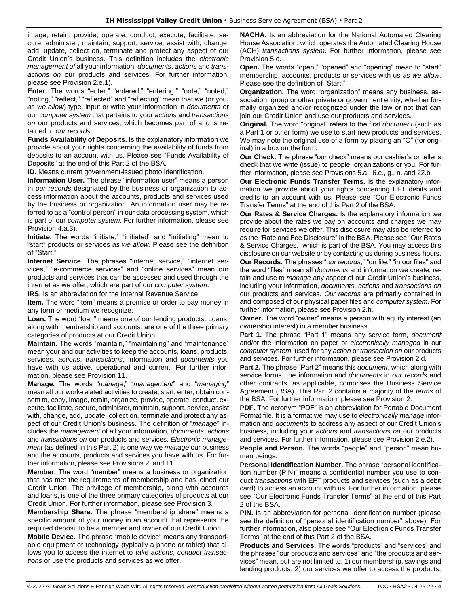image, retain, provide, operate, conduct, execute, facilitate, secure, administer, maintain, support, service, assist with, change, add, update, collect on, terminate and protect any aspect of our Credit Union's business. This definition includes the *electronic management of* all your information, *documents*, *actions* and *transactions on* our products and services. For further information, please see Provision 2.e.1).

**Enter.** The words "enter," "entered," "entering," "note," "noted," "noting," "reflect," "reflected" and "reflecting" mean that we (or you**,** *as we allow*) type, input or write your information in *documents* or our *computer system* that pertains to your *actions* and *transactions on* our products and services, which becomes part of and is retained in *our records*.

**Funds Availability of Deposits.** Is the explanatory information we provide about your rights concerning the availability of funds from deposits to an account with us. Please see "Funds Availability of Deposits" at the end of this Part 2 of the BSA.

**ID.** Means current government-issued photo identification.

**Information User.** The phrase "information user" means a person in *our records* designated by the business or organization to access information about the accounts, products and services used by the business or organization. An information user may be referred to as a "control person" in our data processing system, which is part of our *computer system*. For further information, please see Provision 4.a.3).

**Initiate.** The words "initiate," "initiated" and "initiating" mean to "start" products or services *as we allow*. Please see the definition of "Start."

**Internet Service**. The phrases "internet service," "internet services," "e-commerce services" and "online services" mean our products and services that can be accessed and used through the internet as we offer, which are part of our *computer system*.

**IRS.** Is an abbreviation for the Internal Revenue Service.

**Item.** The word "item" means a promise or order to pay money in any form or medium we recognize.

**Loan.** The word "loan" means one of our lending products. Loans, along with membership and accounts, are one of the three primary categories of products at our Credit Union.

**Maintain.** The words "maintain," "maintaining" and "maintenance" mean your and our activities to keep the accounts, loans, products, services, *actions*, *transactions*, information and *documents* you have with us active, operational and current. For further information, please see Provision 11.

**Manage.** The words "*manage*," "*management*" and "*managing*" mean all our work-related activities to create, start, enter, obtain consent to, copy, image, retain, organize, provide, operate, conduct, execute, facilitate, secure, administer, maintain, support, service, assist with, change, add, update, collect on, terminate and protect any aspect of our Credit Union's business. The definition of "*manage*" includes the *management* of all your information, *documents*, *actions* and *transactions on* our products and services. *Electronic management* (as defined in this Part 2) is one way we *manage* our business and the accounts, products and services you have with us. For further information, please see Provisions 2. and 11.

**Member.** The word "member" means a business or organization that has met the requirements of membership and has joined our Credit Union. The privilege of membership, along with accounts and loans, is one of the three primary categories of products at our Credit Union. For further information, please see Provision 3.

**Membership Share.** The phrase "membership share" means a specific amount of your money in an account that represents the required deposit to be a member and owner of our Credit Union.

**Mobile Device.** The phrase "mobile device" means any transportable equipment or technology (typically a phone or tablet) that allows you to access the internet to *take actions*, *conduct transactions* or use the products and services as we offer.

**NACHA.** Is an abbreviation for the National Automated Clearing House Association, which operates the Automated Clearing House (ACH) *transactions system*. For further information, please see Provision 5.c.

**Open.** The words "open," "opened" and "opening" mean to "start" membership, accounts, products or services with us *as we allow*. Please see the definition of "Start."

**Organization.** The word "organization" means any business, association, group or other private or government entity, whether formally organized and/or recognized under the law or not that can join our Credit Union and use our products and services.

**Original.** The word "original" refers to the first *document* (such as a Part 1 or other form) we use to start new products and services. We may note the original use of a form by placing an "O" (for original) in a box on the form.

**Our Check.** The phrase "our check" means our cashier's or teller's check that we write (issue) to people, organizations or you. For further information, please see Provisions 5.a., 6.e., g., n. and 22.b.

**Our Electronic Funds Transfer Terms.** Is the explanatory information we provide about your rights concerning EFT debits and credits to an account with us. Please see "Our Electronic Funds Transfer Terms" at the end of this Part 2 of the BSA.

**Our Rates & Service Charges.** Is the explanatory information we provide about the rates we pay on accounts and charges we may require for services we offer. This disclosure may also be referred to as the "Rate and Fee Disclosure" in the BSA. Please see "Our Rates & Service Charges," which is part of the BSA. You may access this disclosure on our website or by contacting us during business hours. **Our Records.** The phrases "*our records*," "on file," "in our files" and the word "files" mean all *documents* and information we create, retain and use to *manage* any aspect of our Credit Union's business, including your information, *documents*, *actions* and *transactions on* our products and services. *Our records* are primarily contained in and composed of our physical paper files and *computer system*. For further information, please see Provision 2.h.

**Owner.** The word "owner" means a person with equity interest (an ownership interest) in a member business.

**Part 1.** The phrase "Part 1" means any service form, *document* and/or the information on paper or *electronically managed* in our *computer system*, used for any *action* or *transaction on* our products and services. For further information, please see Provision 2.d.

**Part 2.** The phrase "Part 2" means this *document*, which along with service forms, the information and *documents* in *our records* and other contracts, as applicable, comprises the Business Service Agreement (BSA). This Part 2 contains a majority of the *terms* of the BSA. For further information, please see Provision 2.

**PDF.** The acronym "PDF" is an abbreviation for Portable Document Format file. It is a format we may use to *electronically manage* information and *documents* to address any aspect of our Credit Union's business, including your *actions* and *transactions on* our products and services. For further information, please see Provision 2.e.2).

**People and Person.** The words "people" and "person" mean human beings.

**Personal Identification Number.** The phrase "personal identification number (PIN)" means a confidential number you use to conduct *transactions* with EFT products and services (such as a debit card) to access an account with us. For further information, please see "Our Electronic Funds Transfer Terms" at the end of this Part 2 of the BSA.

**PIN.** Is an abbreviation for personal identification number (please see the definition of "personal identification number" above). For further information, also please see "Our Electronic Funds Transfer Terms" at the end of this Part 2 of the BSA.

**Products and Services.** The words "products" and "services" and the phrases "our products and services" and "the products and services" mean, but are not limited to, 1) our membership, savings and lending products, 2) our services we offer to access the products,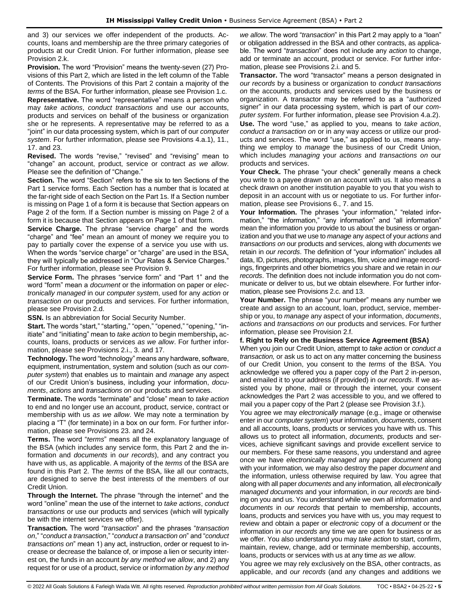and 3) our services we offer independent of the products. Accounts, loans and membership are the three primary categories of products at our Credit Union. For further information, please see Provision 2.k.

**Provision.** The word "Provision" means the twenty-seven (27) Provisions of this Part 2, which are listed in the left column of the Table of Contents. The Provisions of this Part 2 contain a majority of the *terms* of the BSA. For further information, please see Provision 1.c.

**Representative.** The word "representative" means a person who may *take actions*, *conduct transactions* and use our accounts, products and services on behalf of the business or organization she or he represents. A representative may be referred to as a "joint" in our data processing system, which is part of our *computer system*. For further information, please see Provisions 4.a.1), 11., 17. and 23.

**Revised.** The words "revise," "revised" and "revising" mean to "change" an account, product, service or contract *as we allow*. Please see the definition of "Change."

**Section.** The word "Section" refers to the six to ten Sections of the Part 1 service forms. Each Section has a number that is located at the far-right side of each Section on the Part 1s. If a Section number is missing on Page 1 of a form it is because that Section appears on Page 2 of the form. If a Section number is missing on Page 2 of a form it is because that Section appears on Page 1 of that form.

**Service Charge.** The phrase "service charge" and the words "charge" and "fee" mean an amount of money we require you to pay to partially cover the expense of a service you use with us. When the words "service charge" or "charge" are used in the BSA, they will typically be addressed in "Our Rates & Service Charges." For further information, please see Provision 9.

**Service Form.** The phrases "service form" and "Part 1" and the word "form" mean a *document* or the information on paper or *electronically managed* in our *computer system*, used for any *action* or *transaction on* our products and services. For further information, please see Provision 2.d.

**SSN.** Is an abbreviation for Social Security Number.

**Start.** The words "start," "starting," "open," "opened," "opening," "initiate" and "initiating" mean to *take action* to begin membership**,** accounts, loans, products or services *as we allow*. For further information, please see Provisions 2.i., 3. and 17.

**Technology.** The word "technology" means any hardware, software, equipment, instrumentation, system and solution (such as our *computer system*) that enables us to maintain and *manage* any aspect of our Credit Union's business, including your information, *documents*, *actions* and *transactions on* our products and services.

**Terminate.** The words "terminate" and "close" mean to *take action* to end and no longer use an account, product, service, contract or membership with us *as we allow*. We may note a termination by placing a "T" (for terminate) in a box on our form. For further information, please see Provisions 23. and 24.

**Terms.** The word "*terms*" means all the explanatory language of the BSA (which includes any service form, this Part 2 and the information and *documents* in *our records*), and any contract you have with us, as applicable. A majority of the *terms* of the BSA are found in this Part 2. The *terms* of the BSA, like all our contracts, are designed to serve the best interests of the members of our Credit Union.

**Through the Internet.** The phrase "through the internet" and the word "online" mean the use of the internet to *take actions*, *conduct transactions* or use our products and services (which will typically be with the internet services we offer).

**Transaction.** The word "*transaction*" and the phrases "*transaction on*," "*conduct a transaction*," "*conduct a transaction on*" and "*conduct transactions on*" mean 1) any act, instruction, order or request to increase or decrease the balance of, or impose a lien or security interest on, the funds in an account *by any method we allow*, and 2) any request for or use of a product, service or information *by any method* 

*we allow*. The word "*transaction*" in this Part 2 may apply to a "loan" or obligation addressed in the BSA and other contracts, as applicable. The word "*transaction*" does not include any *action* to change, add or terminate an account, product or service. For further information, please see Provisions 2.i. and 5.

**Transactor.** The word "transactor" means a person designated in *our records* by a business or organization to *conduct transactions on* the accounts, products and services used by the business or organization. A transactor may be referred to as a "authorized signer" in our data processing system, which is part of our *computer system*. For further information, please see Provision 4.a.2). **Use.** The word "use," as applied to you, means to *take action*, *conduct a transaction on* or in any way access or utilize our products and services. The word "use," as applied to us, means anything we employ to *manage* the business of our Credit Union, which includes *managing* your *actions* and *transactions on* our products and services.

**Your Check.** The phrase "your check" generally means a check you write to a payee drawn on an account with us. It also means a check drawn on another institution payable to you that you wish to deposit in an account with us or negotiate to us. For further information, please see Provisions 6., 7. and 15.

Your Information. The phrases "your information," "related information," "the information," "any information" and "all information" mean the information you provide to us about the business or organization and you that we use to *manage* any aspect of your *actions* and *transactions on* our products and services, along with *documents* we retain in *our records*. The definition of "your information" includes all data, ID, pictures, photographs, images, film, voice and image recordings, fingerprints and other biometrics you share and we retain in *our records*. The definition does not include information you do not communicate or deliver to us, but we obtain elsewhere. For further information, please see Provisions 2.c. and 13.

**Your Number.** The phrase "your number" means any number we create and assign to an account, loan, product, service, membership or you, to *manage* any aspect of your information, *documents*, *actions* and *transactions on* our products and services. For further information, please see Provision 2.f.

#### **f. Right to Rely on the Business Service Agreement (BSA)**

When you join our Credit Union, attempt to *take action* or *conduct a transaction,* or ask us to act on any matter concerning the business of our Credit Union, you consent to the *terms* of the BSA. You acknowledge we offered you a paper copy of the Part 2 in-person, and emailed it to your address (if provided) in *our records*. If we assisted you by phone, mail or through the internet, your consent acknowledges the Part 2 was accessible to you, and we offered to mail you a paper copy of the Part 2 (please see Provision 3.f.).

You agree we may *electronically manage* (e.g., image or otherwise enter in our *computer system*) your information, *documents*, consent and all accounts, loans, products or services you have with us. This allows us to protect all information, *documents,* products and services, achieve significant savings and provide excellent service to our members. For these same reasons, you understand and agree once we have *electronically managed* any paper *document* along with your information*,* we may also destroy the paper *document* and the information, unless otherwise required by law. You agree that along with all paper *documents* and any information*,* all *electronically managed documents* and your information, in *our records* are binding on you and us. You understand while we own all information and *documents* in *our records* that pertain to membership, accounts, loans, products and services you have with us, you may request to review and obtain a paper or *electronic* copy of a *document* or the information in *our records* any time we are open for business or as we offer. You also understand you may *take action* to start, confirm, maintain, review, change, add or terminate membership, accounts, loans, products or services with us at any time *as we allow*.

You agree we may rely exclusively on the BSA, other contracts, as applicable, and *our records* (and any changes and additions we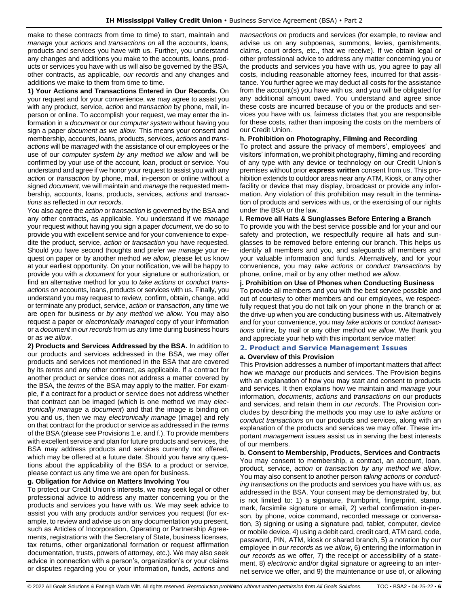make to these contracts from time to time) to start, maintain and *manage* your *actions* and *transactions on* all the accounts, loans, products and services you have with us. Further, you understand any changes and additions you make to the accounts, loans, products or services you have with us will also be governed by the BSA, other contracts, as applicable, *our records* and any changes and additions we make to them from time to time.

**1) Your Actions and Transactions Entered in Our Records.** On your request and for your convenience, we may agree to assist you with any product, service, *action* and *transaction* by phone, mail, inperson or online. To accomplish your request, we may enter the information in a *document* or our *computer system* without having you sign a paper *document as we allow*. This means your consent and membership, accounts, loans, products, services, *actions* and *transactions* will be *managed* with the assistance of our employees or the use of our *computer system by any method we allow* and will be confirmed by your use of the account, loan, product or service. You understand and agree if we honor your request to assist you with any *action* or *transaction* by phone, mail, in-person or online without a signed *document*, we will maintain and *manage* the requested membership, accounts, loans, products, services, *actions* and *transactions* as reflected in *our records*.

You also agree the *action* or *transaction* is governed by the BSA and any other contracts, as applicable. You understand if we *manage* your request without having you sign a paper *document*, we do so to provide you with excellent service and for your convenience to expedite the product, service, *action* or *transaction* you have requested. Should you have second thoughts and prefer we *manage* your request on paper or by another method *we allow*, please let us know at your earliest opportunity. On your notification, we will be happy to provide you with a *document* for your signature or authorization, or find an alternative method for you to *take actions* or *conduct transactions on* accounts, loans, products or services with us. Finally, you understand you may request to review, confirm, obtain, change, add or terminate any product, service, *action* or *transaction*, any time we are open for business or *by any method we allow*. You may also request a paper or *electronically managed* copy of your information or a *document* in *our records* from us any time during business hours or *as we allow*.

**2) Products and Services Addressed by the BSA.** In addition to our products and services addressed in the BSA, we may offer products and services not mentioned in the BSA that are covered by its *terms* and any other contract, as applicable. If a contract for another product or service does not address a matter covered by the BSA, the *terms* of the BSA may apply to the matter. For example, if a contract for a product or service does not address whether that contract can be imaged (which is one method we may *electronically manage* a *document*) and that the image is binding on you and us, then we may *electronically manage* (image) and rely on that contract for the product or service as addressed in the *terms* of the BSA (please see Provisions 1.e. and f.). To provide members with excellent service and plan for future products and services, the BSA may address products and services currently not offered, which may be offered at a future date. Should you have any questions about the applicability of the BSA to a product or service, please contact us any time we are open for business.

#### **g. Obligation for Advice on Matters Involving You**

To protect our Credit Union's interests, we may seek legal or other professional advice to address any matter concerning you or the products and services you have with us. We may seek advice to assist you with any products and/or services you request (for example, to review and advise us on any documentation you present, such as Articles of Incorporation, Operating or Partnership Agreements, registrations with the Secretary of State, business licenses, tax returns, other organizational formation or request affirmation documentation, trusts, powers of attorney, etc.). We may also seek advice in connection with a person's, organization's or your claims or disputes regarding you or your information, funds, *actions* and

*transactions on* products and services (for example, to review and advise us on any subpoenas, summons, levies, garnishments, claims, court orders, etc., that we receive). If we obtain legal or other professional advice to address any matter concerning you or the products and services you have with us, you agree to pay all costs, including reasonable attorney fees, incurred for that assistance. You further agree we may deduct all costs for the assistance from the account(s) you have with us, and you will be obligated for any additional amount owed. You understand and agree since these costs are incurred because of you or the products and services you have with us, fairness dictates that you are responsible for these costs, rather than imposing the costs on the members of our Credit Union.

#### **h. Prohibition on Photography, Filming and Recording**

To protect and assure the privacy of members', employees' and visitors' information, we prohibit photography, filming and recording of any type with any device or technology on our Credit Union's premises without prior **express written** consent from us. This prohibition extends to outdoor areas near any ATM, Kiosk, or any other facility or device that may display, broadcast or provide any information. Any violation of this prohibition may result in the termination of products and services with us, or the exercising of our rights under the BSA or the law.

### **i. Remove all Hats & Sunglasses Before Entering a Branch**

To provide you with the best service possible and for your and our safety and protection, we respectfully require all hats and sunglasses to be removed before entering our branch. This helps us identify all members and you, and safeguards all members and your valuable information and funds. Alternatively, and for your convenience, you may *take actions* or *conduct transactions* by phone, online, mail or by any other method *we allow*.

### **j. Prohibition on Use of Phones when Conducting Business**

To provide all members and you with the best service possible and out of courtesy to other members and our employees, we respectfully request that you do not talk on your phone in the branch or at the drive-up when you are conducting business with us. Alternatively and for your convenience, you may *take actions* or *conduct transactions* online, by mail or any other method *we allow*. We thank you and appreciate your help with this important service matter!

### <span id="page-5-0"></span>**2. Product and Service Management Issues**

### **a. Overview of this Provision**

This Provision addresses a number of important matters that affect how we *manage* our products and services. The Provision begins with an explanation of how you may start and consent to products and services. It then explains how we maintain and *manage* your information, *documents*, *actions* and *transactions on* our products and services, and retain them in *our records*. The Provision concludes by describing the methods you may use to *take actions* or *conduct transactions on* our products and services, along with an explanation of the products and services we may offer. These important *management* issues assist us in serving the best interests of our members.

**b. Consent to Membership, Products, Services and Contracts** You may consent to membership, a contract, an account, loan, product, service, *action* or *transaction by any method we allow*. You may also consent to another person *taking actions* or *conducting transactions on* the products and services you have with us, as addressed in the BSA. Your consent may be demonstrated by, but is not limited to: 1) a signature, thumbprint, fingerprint, stamp, mark, facsimile signature or email, 2) verbal confirmation in-person, by phone, voice command, recorded message or conversation, 3) signing or using a signature pad, tablet, computer, device or mobile device, 4) using a debit card, credit card, ATM card, code, password, PIN, ATM, kiosk or shared branch, 5) a notation by our employee in *our records* as *we allow*, 6) entering the information in *our records* as we offer, 7) the receipt or accessibility of a statement, 8) *electronic* and/or digital signature or agreeing to an internet service we offer, and 9) the maintenance or use of, or allowing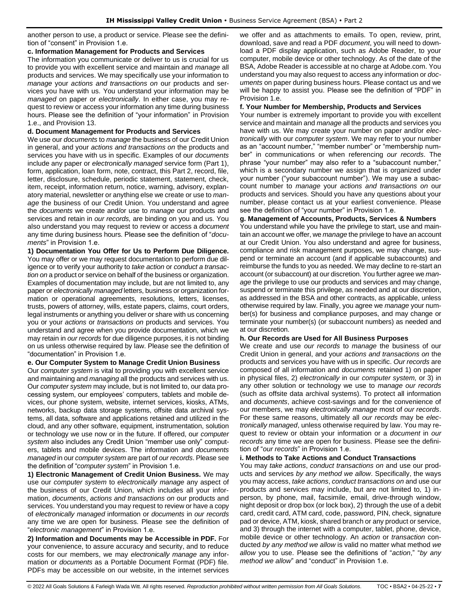another person to use, a product or service. Please see the definition of "consent" in Provision 1.e.

#### **c. Information Management for Products and Services**

The information you communicate or deliver to us is crucial for us to provide you with excellent service and maintain and *manage* all products and services. We may specifically use your information to *manage* your *actions and transactions on* our products and services you have with us. You understand your information may be *managed* on paper or *electronically*. In either case, you may request to review or access your information any time during business hours. Please see the definition of "your information" in Provision 1.e., and Provision 13.

### **d. Document Management for Products and Services**

We use our *documents* to *manage* the business of our Credit Union in general, and your *actions and transactions on* the products and services you have with us in specific. Examples of our *documents* include any paper or *electronically managed* service form (Part 1), form, application, loan form, note, contract, this Part 2, record, file, letter, disclosure, schedule, periodic statement, statement, check, item, receipt, information return, notice, warning, advisory, explanatory material, newsletter or anything else we create or use to *manage* the business of our Credit Union. You understand and agree the *documents* we create and/or use to *manage* our products and services and retain in *our records,* are binding on you and us. You also understand you may request to review or access a *document*  any time during business hours. Please see the definition of "*documents*" in Provision 1.e.

**1) Documentation You Offer for Us to Perform Due Diligence.** You may offer or we may request documentation to perform due diligence or to verify your authority to *take action* or *conduct a transaction on* a product or service on behalf of the business or organization. Examples of documentation may include, but are not limited to, any paper or *electronically managed* letters, business or organization formation or operational agreements, resolutions, letters, licenses, trusts, powers of attorney, wills, estate papers, claims, court orders, legal instruments or anything you deliver or share with us concerning you or your *actions* or *transactions on* products and services. You understand and agree when you provide documentation, which we may retain in *our records* for due diligence purposes, it is not binding on us unless otherwise required by law. Please see the definition of "documentation" in Provision 1.e.

#### **e. Our Computer System to Manage Credit Union Business**

Our *computer system* is vital to providing you with excellent service and maintaining and *managing* all the products and services with us. Our *computer system* may include, but is not limited to, our data processing system, our employees' computers, tablets and mobile devices, our phone system, website, internet services, kiosks, ATMs, networks, backup data storage systems, offsite data archival systems, all data, software and applications retained and utilized in the cloud, and any other software, equipment, instrumentation, solution or technology we use now or in the future. If offered, our *computer system* also includes any Credit Union "member use only" computers, tablets and mobile devices. The information and *documents managed* in our *computer system* are part of *our records*. Please see the definition of "*computer system*" in Provision 1.e.

**1) Electronic Management of Credit Union Business.** We may use our *computer system* to *electronically manage* any aspect of the business of our Credit Union, which includes all your information, *documents*, *actions and transactions on* our products and services. You understand you may request to review or have a copy of *electronically managed* information or *documents* in *our records* any time we are open for business. Please see the definition of "*electronic management*" in Provision 1.e.

**2) Information and Documents may be Accessible in PDF.** For your convenience, to assure accuracy and security, and to reduce costs for our members, we may *electronically manage* any information or *documents* as a Portable Document Format (PDF) file. PDFs may be accessible on our website, in the internet services we offer and as attachments to emails. To open, review, print, download, save and read a PDF *document*, you will need to download a PDF display application, such as Adobe Reader, to your computer, mobile device or other technology. As of the date of the BSA, Adobe Reader is accessible at no charge at Adobe.com. You understand you may also request to access any information or *documents* on paper during business hours. Please contact us and we will be happy to assist you. Please see the definition of "PDF" in Provision 1.e.

### **f. Your Number for Membership, Products and Services**

Your number is extremely important to provide you with excellent service and maintain and *manage* all the products and services you have with us. We may create your number on paper and/or *electronically* with our *computer system*. We may refer to your number as an "account number," "member number" or "membership number" in communications or when referencing *our records*. The phrase "your number" may also refer to a "subaccount number," which is a secondary number we assign that is organized under your number ("your subaccount number"). We may use a subaccount number to *manage* your *actions and transactions on* our products and services. Should you have any questions about your number, please contact us at your earliest convenience. Please see the definition of "your number" in Provision 1.e.

### **g. Management of Accounts, Products, Services & Numbers**

You understand while you have the privilege to start, use and maintain an account we offer, we *manage* the privilege to have an account at our Credit Union. You also understand and agree for business, compliance and risk management purposes, we may change, suspend or terminate an account (and if applicable subaccounts) and reimburse the funds to you as needed. We may decline to re-start an account (or subaccount) at our discretion. You further agree we *manage* the privilege to use our products and services and may change, suspend or terminate this privilege, as needed and at our discretion, as addressed in the BSA and other contracts, as applicable, unless otherwise required by law. Finally, you agree we *manage* your number(s) for business and compliance purposes, and may change or terminate your number(s) (or subaccount numbers) as needed and at our discretion.

#### **h. Our Records are Used for All Business Purposes**

We create and use *our records* to *manage* the business of our Credit Union in general, and your *actions and transactions on* the products and services you have with us in specific. *Our records* are composed of all information and *documents* retained 1) on paper in physical files, 2) *electronically* in our *computer system,* or 3) in any other solution or technology we use to *manage our records* (such as offsite data archival systems). To protect all information and *documents*, achieve cost-savings and for the convenience of our members, we may *electronically manage* most of *our records*. For these same reasons, ultimately all *our records* may be *electronically managed*, unless otherwise required by law. You may request to review or obtain your information or a *document* in *our records* any time we are open for business. Please see the definition of "*our records*" in Provision 1.e.

#### **i. Methods to Take Actions and Conduct Transactions**

You may *take actions*, *conduct transactions on* and use our products and services *by any method we allow*. Specifically, the ways you may access, *take actions*, *conduct transactions on* and use our products and services may include, but are not limited to, 1) inperson, by phone, mail, facsimile, email, drive-through window, night deposit or drop box (or lock box), 2) through the use of a debit card, credit card, ATM card, code, password, PIN, check, signature pad or device, ATM, kiosk, shared branch or any product or service, and 3) through the internet with a computer, tablet, phone, device, mobile device or other technology. An *action* or *transaction* conducted *by any method we allow* is valid no matter what method *we allow* you to use. Please see the definitions of "*action*," "*by any method we allow*" and "conduct" in Provision 1.e.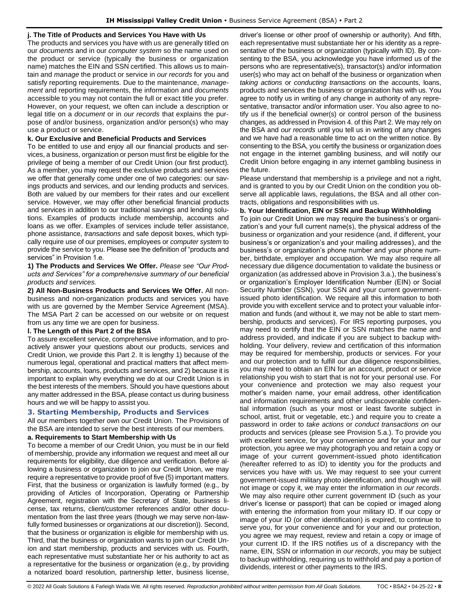### **j. The Title of Products and Services You Have with Us**

The products and services you have with us are generally titled on our *documents* and in our *computer system* so the name used on the product or service (typically the business or organization name) matches the EIN and SSN certified. This allows us to maintain and *manage* the product or service in *our records* for you and satisfy reporting requirements. Due to the maintenance, *management* and reporting requirements, the information and *documents* accessible to you may not contain the full or exact title you prefer. However, on your request, we often can include a description or legal title on a *document* or in *our records* that explains the purpose of and/or business, organization and/or person(s) who may use a product or service.

### **k. Our Exclusive and Beneficial Products and Services**

To be entitled to use and enjoy all our financial products and services, a business, organization or person must first be eligible for the privilege of being a member of our Credit Union (our first product). As a member, you may request the exclusive products and services we offer that generally come under one of two categories: our savings products and services, and our lending products and services. Both are valued by our members for their rates and our excellent service. However, we may offer other beneficial financial products and services in addition to our traditional savings and lending solutions. Examples of products include membership, accounts and loans as we offer. Examples of services include teller assistance, phone assistance, *transactions* and safe deposit boxes, which typically require use of our premises, employees or *computer system* to provide the service to you. Please see the definition of "products and services" in Provision 1.e.

**1) The Products and Services We Offer.** *Please see "Our Products and Services" for a comprehensive summary of our beneficial products and services.*

**2) All Non-Business Products and Services We Offer.** All nonbusiness and non-organization products and services you have with us are governed by the Member Service Agreement (MSA). The MSA Part 2 can be accessed on our website or on request from us any time we are open for business.

#### **l. The Length of this Part 2 of the BSA**

To assure excellent service, comprehensive information, and to proactively answer your questions about our products, services and Credit Union, we provide this Part 2. It is lengthy 1) because of the numerous legal, operational and practical matters that affect membership, accounts, loans, products and services, and 2) because it is important to explain why everything we do at our Credit Union is in the best interests of the members. Should you have questions about any matter addressed in the BSA, please contact us during business hours and we will be happy to assist you.

### <span id="page-7-0"></span>**3. Starting Membership, Products and Services**

All our members together own our Credit Union. The Provisions of the BSA are intended to serve the best interests of our members.

#### **a. Requirements to Start Membership with Us**

To become a member of our Credit Union, you must be in our field of membership, provide any information we request and meet all our requirements for eligibility, due diligence and verification. Before allowing a business or organization to join our Credit Union, we may require a representative to provide proof of five (5) important matters. First, that the business or organization is lawfully formed (e.g., by providing of Articles of Incorporation, Operating or Partnership Agreement, registration with the Secretary of State, business license, tax returns, client/customer references and/or other documentation from the last three years (though we may serve non-lawfully formed businesses or organizations at our discretion)). Second, that the business or organization is eligible for membership with us. Third, that the business or organization wants to join our Credit Union and start membership, products and services with us. Fourth, each representative must substantiate her or his authority to act as a representative for the business or organization (e.g., by providing a notarized board resolution, partnership letter, business license,

driver's license or other proof of ownership or authority). And fifth, each representative must substantiate her or his identity as a representative of the business or organization (typically with ID). By consenting to the BSA, you acknowledge you have informed us of the persons who are representative(s), transactor(s) and/or information user(s) who may act on behalf of the business or organization when *taking actions* or *conducting transactions* on the accounts, loans, products and services the business or organization has with us. You agree to notify us in writing of any change in authority of any representative, transactor and/or information user. You also agree to notify us if the beneficial owner(s) or control person of the business changes, as addressed in Provision 4. of this Part 2. We may rely on the BSA and *our records* until you tell us in writing of any changes and we have had a reasonable time to act on the written notice. By consenting to the BSA, you certify the business or organization does not engage in the internet gambling business, and will notify our Credit Union before engaging in any internet gambling business in the future.

Please understand that membership is a privilege and not a right, and is granted to you by our Credit Union on the condition you observe all applicable laws, regulations, the BSA and all other contracts, obligations and responsibilities with us.

#### **b. Your Identification, EIN or SSN and Backup Withholding**

To join our Credit Union we may require the business's or organization's and your full current name(s), the physical address of the business or organization and your residence (and, if different, your business's or organization's and your mailing addresses), and the business's or organization's phone number and your phone number, birthdate, employer and occupation. We may also require all necessary due diligence documentation to validate the business or organization (as addressed above in Provision 3.a.), the business's or organization's Employer Identification Number (EIN) or Social Security Number (SSN), your SSN and your current governmentissued photo identification. We require all this information to both provide you with excellent service and to protect your valuable information and funds (and without it, we may not be able to start membership, products and services). For IRS reporting purposes, you may need to certify that the EIN or SSN matches the name and address provided, and indicate if you are subject to backup withholding. Your delivery, review and certification of this information may be required for membership, products or services. For your and our protection and to fulfill our due diligence responsibilities, you may need to obtain an EIN for an account, product or service relationship you wish to start that is not for your personal use. For your convenience and protection we may also request your mother's maiden name, your email address, other identification and information requirements and other undiscoverable confidential information (such as your most or least favorite subject in school, artist, fruit or vegetable, etc.) and require you to create a password in order to *take actions* or *conduct transactions on* our products and services (please see Provision 5.a.). To provide you with excellent service, for your convenience and for your and our protection, you agree we may photograph you and retain a copy or image of your current government-issued photo identification (hereafter referred to as ID) to identity you for the products and services you have with us. We may request to see your current government-issued military photo identification, and though we will not image or copy it, we may enter the information in *our records*. We may also require other current government ID (such as your driver's license or passport) that can be copied or imaged along with entering the information from your military ID. If our copy or image of your ID (or other identification) is expired, to continue to serve you, for your convenience and for your and our protection, you agree we may request, review and retain a copy or image of your current ID. If the IRS notifies us of a discrepancy with the name, EIN, SSN or information in *our records*, you may be subject to backup withholding, requiring us to withhold and pay a portion of dividends, interest or other payments to the IRS.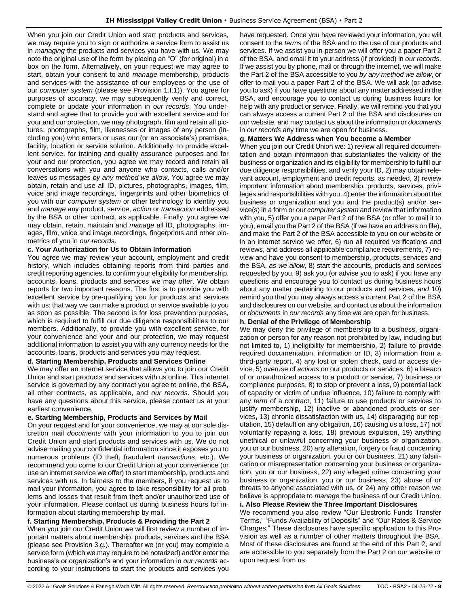When you join our Credit Union and start products and services, we may require you to sign or authorize a service form to assist us in *managing* the products and services you have with us. We may note the original use of the form by placing an "O" (for original) in a box on the form. Alternatively, on your request we may agree to start, obtain your consent to and *manage* membership, products and services with the assistance of our employees or the use of our *computer system* (please see Provision 1.f.1)). You agree for purposes of accuracy, we may subsequently verify and correct, complete or update your information in *our records*. You understand and agree that to provide you with excellent service and for your and our protection, we may photograph, film and retain all pictures, photographs, film, likenesses or images of any person (including you) who enters or uses our (or an associate's) premises, facility, location or service solution. Additionally, to provide excellent service, for training and quality assurance purposes and for your and our protection, you agree we may record and retain all conversations with you and anyone who contacts, calls and/or leaves us messages *by any method we allow*. You agree we may obtain, retain and use all ID, pictures, photographs, images, film, voice and image recordings, fingerprints and other biometrics of you with our *computer system* or other technology to identify you and *manage* any product, service, *action* or *transaction* addressed by the BSA or other contract, as applicable. Finally, you agree we may obtain, retain, maintain and *manage* all ID, photographs, images, film, voice and image recordings, fingerprints and other biometrics of you in *our records*.

### **c. Your Authorization for Us to Obtain Information**

You agree we may review your account, employment and credit history, which includes obtaining reports from third parties and credit reporting agencies, to confirm your eligibility for membership, accounts, loans, products and services we may offer. We obtain reports for two important reasons. The first is to provide you with excellent service by pre-qualifying you for products and services with us: that way we can make a product or service available to you as soon as possible. The second is for loss prevention purposes, which is required to fulfill our due diligence responsibilities to our members. Additionally, to provide you with excellent service, for your convenience and your and our protection, we may request additional information to assist you with any currency needs for the accounts, loans, products and services you may request.

#### **d. Starting Membership, Products and Services Online**

We may offer an internet service that allows you to join our Credit Union and start products and services with us online. This internet service is governed by any contract you agree to online, the BSA, all other contracts, as applicable, and *our records*. Should you have any questions about this service, please contact us at your earliest convenience.

#### **e. Starting Membership, Products and Services by Mail**

On your request and for your convenience, we may at our sole discretion mail *documents* with your information to you to join our Credit Union and start products and services with us. We do not advise mailing your confidential information since it exposes you to numerous problems (ID theft, fraudulent *transactions*, etc.). We recommend you come to our Credit Union at your convenience (or use an internet service we offer) to start membership, products and services with us. In fairness to the members, if you request us to mail your information, you agree to take responsibility for all problems and losses that result from theft and/or unauthorized use of your information. Please contact us during business hours for information about starting membership by mail.

#### **f. Starting Membership, Products & Providing the Part 2**

When you join our Credit Union we will first review a number of important matters about membership, products, services and the BSA (please see Provision 3.g.). Thereafter we (or you) may complete a service form (which we may require to be notarized) and/or enter the business's or organization's and your information in *our records* according to your instructions to start the products and services you have requested. Once you have reviewed your information, you will consent to the *terms* of the BSA and to the use of our products and services. If we assist you in-person we will offer you a paper Part 2 of the BSA, and email it to your address (if provided) in *our records*. If we assist you by phone, mail or through the internet, we will make the Part 2 of the BSA accessible to you *by any method we allow*, or offer to mail you a paper Part 2 of the BSA. We will ask (or advise you to ask) if you have questions about any matter addressed in the BSA, and encourage you to contact us during business hours for help with any product or service. Finally, we will remind you that you can always access a current Part 2 of the BSA and disclosures on our website, and may contact us about the information or *documents*  in *our records* any time we are open for business.

#### **g. Matters We Address when You become a Member**

When you join our Credit Union we: 1) review all required documentation and obtain information that substantiates the validity of the business or organization and its eligibility for membership to fulfill our due diligence responsibilities, and verify your ID, 2) may obtain relevant account, employment and credit reports, as needed, 3) review important information about membership, products, services, privileges and responsibilities with you, 4) enter the information about the business or organization and you and the product(s) and/or service(s) in a form or our *computer system* and review that information with you, 5) offer you a paper Part 2 of the BSA (or offer to mail it to you), email you the Part 2 of the BSA (if we have an address on file), and make the Part 2 of the BSA accessible to you on our website or in an internet service we offer, 6) run all required verifications and reviews, and address all applicable compliance requirements, 7) review and have you consent to membership, products, services and the BSA, *as we allow*, 8) start the accounts, products and services requested by you, 9) ask you (or advise you to ask) if you have any questions and encourage you to contact us during business hours about any matter pertaining to our products and services, *and* 10) remind you that you may always access a current Part 2 of the BSA and disclosures on our website, and contact us about the information or *documents* in *our records* any time we are open for business.

#### **h. Denial of the Privilege of Membership**

We may deny the privilege of membership to a business, organization or person for any reason not prohibited by law, including but not limited to, 1) ineligibility for membership, 2) failure to provide required documentation, information or ID, 3) information from a third-party report, 4) any lost or stolen check, card or access device, 5) overuse of *actions* on our products or services, 6) a breach of or unauthorized access to a product or service, 7) business or compliance purposes, 8) to stop or prevent a loss, 9) potential lack of capacity or victim of undue influence, 10) failure to comply with any *term* of a contract, 11) failure to use products or services to justify membership, 12) inactive or abandoned products or services, 13) chronic dissatisfaction with us, 14) disparaging our reputation, 15) default on any obligation, 16) causing us a loss, 17) not voluntarily repaying a loss, 18) previous expulsion, 19) anything unethical or unlawful concerning your business or organization, you or our business, 20) any alteration, forgery or fraud concerning your business or organization, you or our business, 21) any falsification or misrepresentation concerning your business or organization, you or our business, 22) any alleged crime concerning your business or organization, you or our business, 23) abuse of or threats to anyone associated with us, or 24) any other reason we believe is appropriate to *manage* the business of our Credit Union.

### **i. Also Please Review the Three Important Disclosures**

We recommend you also review "Our Electronic Funds Transfer Terms," "Funds Availability of Deposits" and "Our Rates & Service Charges." These disclosures have specific application to this Provision as well as a number of other matters throughout the BSA. Most of these disclosures are found at the end of this Part 2, and are accessible to you separately from the Part 2 on our website or upon request from us.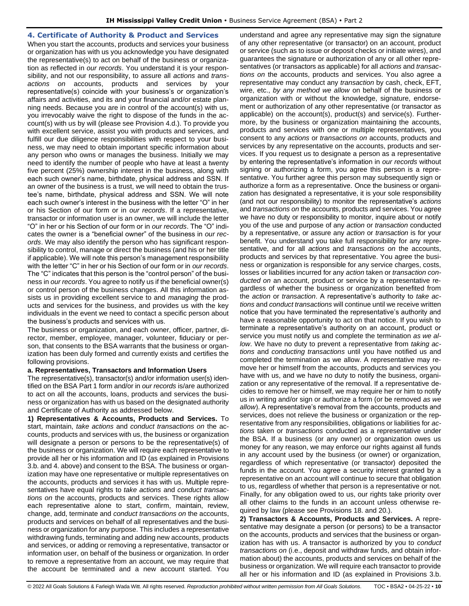### <span id="page-9-0"></span>**4. Certificate of Authority & Product and Services**

When you start the accounts, products and services your business or organization has with us you acknowledge you have designated the representative(s) to act on behalf of the business or organization as reflected in *our records*. You understand it is your responsibility, and not our responsibility, to assure all *actions* and *transactions on* accounts, products and services by your representative(s) coincide with your business's or organization's affairs and activities, and its and your financial and/or estate planning needs. Because you are in control of the account(s) with us, you irrevocably waive the right to dispose of the funds in the account(s) with us by will (please see Provision 4.d.). To provide you with excellent service, assist you with products and services, and fulfill our due diligence responsibilities with respect to your business, we may need to obtain important specific information about any person who owns or manages the business. Initially we may need to identify the number of people who have at least a twenty five percent (25%) ownership interest in the business, along with each such owner's name, birthdate, physical address and SSN. If an owner of the business is a trust, we will need to obtain the trustee's name, birthdate, physical address and SSN. We will note each such owner's interest in the business with the letter "O" in her or his Section of our form or in *our records*. If a representative, transactor or information user is an owner, we will include the letter "O" in her or his Section of our form or in *our records*. The "O" indicates the owner is a "beneficial owner" of the business in *our records*. We may also identify the person who has significant responsibility to control, manage or direct the business (and his or her title if applicable). We will note this person's management responsibility with the letter "C" in her or his Section of our form or in *our records*. The "C" indicates that this person is the "control person" of the business in *our records*. You agree to notify us if the beneficial owner(s) or control person of the business changes. All this information assists us in providing excellent service to and *managing* the products and services for the business, and provides us with the key individuals in the event we need to contact a specific person about the business's products and services with us.

The business or organization, and each owner, officer, partner, director, member, employee, manager, volunteer, fiduciary or person, that consents to the BSA warrants that the business or organization has been duly formed and currently exists and certifies the following provisions.

### **a. Representatives, Transactors and Information Users**

The representative(s), transactor(s) and/or information user(s) identified on the BSA Part 1 form and/or in *our records* is/are authorized to act on all the accounts, loans, products and services the business or organization has with us based on the designated authority and Certificate of Authority as addressed below.

**1) Representatives & Accounts, Products and Services.** To start, maintain, *take actions* and *conduct transactions on* the accounts, products and services with us, the business or organization will designate a person or persons to be the representative(s) of the business or organization. We will require each representative to provide all her or his information and ID (as explained in Provisions 3.b. and 4. above) and consent to the BSA. The business or organization may have one representative or multiple representatives on the accounts, products and services it has with us. Multiple representatives have equal rights to *take actions* and *conduct transactions on* the accounts, products and services. These rights allow each representative alone to start, confirm, maintain, review, change, add, terminate and *conduct transactions on* the accounts, products and services on behalf of all representatives and the business or organization for any purpose. This includes a representative withdrawing funds, terminating and adding new accounts, products and services, or adding or removing a representative, transactor or information user, on behalf of the business or organization. In order to remove a representative from an account, we may require that the account be terminated and a new account started. You understand and agree any representative may sign the signature of any other representative (or transactor) on an account, product or service (such as to issue or deposit checks or initiate wires), and guarantees the signature or authorization of any or all other representatives (or transactors as applicable) for all *actions* and *transactions on* the accounts, products and services. You also agree a representative may conduct any *transaction* by cash, check, EFT, wire, etc., *by any method we allow* on behalf of the business or organization with or without the knowledge, signature, endorsement or authorization of any other representative (or transactor as applicable) on the account(s), product(s) and service(s). Furthermore, by the business or organization maintaining the accounts, products and services with one or multiple representatives, you consent to any *actions* or *transactions on* accounts, products and services by any representative on the accounts, products and services. If you request us to designate a person as a representative by entering the representative's information in *our records* without signing or authorizing a form, you agree this person is a representative. You further agree this person may subsequently sign or authorize a form as a representative. Once the business or organization has designated a representative, it is your sole responsibility (and not our responsibility) to monitor the representative's *actions* and *transactions on* the accounts, products and services. You agree we have no duty or responsibility to monitor, inquire about or notify you of the use and purpose of any *action* or *transaction* conducted by a representative, or assure any *action* or *transaction* is for your benefit. You understand you take full responsibility for any representative, and for all *actions* and *transactions on* the accounts, products and services by that representative. You agree the business or organization is responsible for any service charges, costs, losses or liabilities incurred for any *action* taken or *transaction conducted on* an account, product or service by a representative regardless of whether the business or organization benefited from the *action* or *transaction*. A representative's authority to *take actions* and *conduct transactions* will continue until we receive written notice that you have terminated the representative's authority and have a reasonable opportunity to act on that notice. If you wish to terminate a representative's authority on an account, product or service you must notify us and complete the termination *as we allow*. We have no duty to prevent a representative from *taking actions* and *conducting transactions* until you have notified us and completed the termination as we allow. A representative may remove her or himself from the accounts, products and services you have with us, and we have no duty to notify the business, organization or any representative of the removal. If a representative decides to remove her or himself, we may require her or him to notify us in writing and/or sign or authorize a form (or be removed *as we allow*). A representative's removal from the accounts, products and services, does not relieve the business or organization or the representative from any responsibilities, obligations or liabilities for *actions* taken or *transactions* conducted as a representative under the BSA. If a business (or any owner) or organization owes us money for any reason, we may enforce our rights against all funds in any account used by the business (or owner) or organization, regardless of which representative (or transactor) deposited the funds in the account. You agree a security interest granted by a representative on an account will continue to secure that obligation to us, regardless of whether that person is a representative or not. Finally, for any obligation owed to us, our rights take priority over all other claims to the funds in an account unless otherwise required by law (please see Provisions 18. and 20.).

**2) Transactors & Accounts, Products and Services.** A representative may designate a person (or persons) to be a transactor on the accounts, products and services that the business or organization has with us. A transactor is authorized by you to *conduct transactions on* (i.e., deposit and withdraw funds, and obtain information about) the accounts, products and services on behalf of the business or organization. We will require each transactor to provide all her or his information and ID (as explained in Provisions 3.b.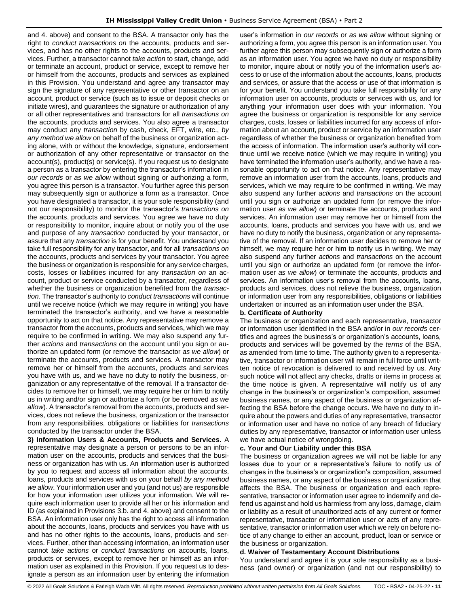and 4. above) and consent to the BSA. A transactor only has the right to *conduct transactions on* the accounts, products and services, and has no other rights to the accounts, products and services. Further, a transactor cannot *take action* to start, change, add or terminate an account, product or service, except to remove her or himself from the accounts, products and services as explained in this Provision. You understand and agree any transactor may sign the signature of any representative or other transactor on an account, product or service (such as to issue or deposit checks or initiate wires), and guarantees the signature or authorization of any or all other representatives and transactors for all *transactions on*  the accounts, products and services. You also agree a transactor may conduct any *transaction* by cash, check, EFT, wire, etc., *by any method we allow* on behalf of the business or organization acting alone, with or without the knowledge, signature, endorsement or authorization of any other representative or transactor on the account(s), product(s) or service(s). If you request us to designate a person as a transactor by entering the transactor's information in *our records* or *as we allow* without signing or authorizing a form, you agree this person is a transactor. You further agree this person may subsequently sign or authorize a form as a transactor. Once you have designated a transactor, it is your sole responsibility (and not our responsibility) to monitor the transactor's *transactions on* the accounts, products and services. You agree we have no duty or responsibility to monitor, inquire about or notify you of the use and purpose of any *transaction* conducted by your transactor, or assure that any *transaction* is for your benefit. You understand you take full responsibility for any transactor, and for all *transactions on* the accounts, products and services by your transactor. You agree the business or organization is responsible for any service charges, costs, losses or liabilities incurred for any *transaction on* an account, product or service conducted by a transactor, regardless of whether the business or organization benefited from the *transaction*. The transactor's authority to *conduct transactions* will continue until we receive notice (which we may require in writing) you have terminated the transactor's authority, and we have a reasonable opportunity to act on that notice. Any representative may remove a transactor from the accounts, products and services, which we may require to be confirmed in writing. We may also suspend any further *actions* and *transactions* on the account until you sign or authorize an updated form (or remove the transactor *as we allow*) or terminate the accounts, products and services. A transactor may remove her or himself from the accounts, products and services you have with us, and we have no duty to notify the business, organization or any representative of the removal. If a transactor decides to remove her or himself, we may require her or him to notify us in writing and/or sign or authorize a form (or be removed *as we allow*). A transactor's removal from the accounts, products and services, does not relieve the business, organization or the transactor from any responsibilities, obligations or liabilities for *transactions* conducted by the transactor under the BSA.

**3) Information Users & Accounts, Products and Services.** A representative may designate a person or persons to be an information user on the accounts, products and services that the business or organization has with us. An information user is authorized by you to request and access all information about the accounts, loans, products and services with us on your behalf *by any method we allow*. Your information user and you (and not us) are responsible for how your information user utilizes your information. We will require each information user to provide all her or his information and ID (as explained in Provisions 3.b. and 4. above) and consent to the BSA. An information user only has the right to access all information about the accounts, loans, products and services you have with us and has no other rights to the accounts, loans, products and services. Further, other than accessing information, an information user cannot *take actions* or *conduct transactions on* accounts, loans, products or services, except to remove her or himself as an information user as explained in this Provision. If you request us to designate a person as an information user by entering the information

user's information in *our records* or *as we allow* without signing or authorizing a form, you agree this person is an information user. You further agree this person may subsequently sign or authorize a form as an information user. You agree we have no duty or responsibility to monitor, inquire about or notify you of the information user's access to or use of the information about the accounts, loans, products and services, or assure that the access or use of that information is for your benefit. You understand you take full responsibility for any information user on accounts, products or services with us, and for anything your information user does with your information. You agree the business or organization is responsible for any service charges, costs, losses or liabilities incurred for any access of information about an account, product or service by an information user regardless of whether the business or organization benefited from the access of information. The information user's authority will continue until we receive notice (which we may require in writing) you have terminated the information user's authority, and we have a reasonable opportunity to act on that notice. Any representative may remove an information user from the accounts, loans, products and services, which we may require to be confirmed in writing. We may also suspend any further *actions* and *transactions* on the account until you sign or authorize an updated form (or remove the information user *as we allow*) or terminate the accounts, products and services. An information user may remove her or himself from the accounts, loans, products and services you have with us, and we have no duty to notify the business, organization or any representative of the removal. If an information user decides to remove her or himself, we may require her or him to notify us in writing. We may also suspend any further *actions* and *transactions* on the account until you sign or authorize an updated form (or remove the information user *as we allow*) or terminate the accounts, products and services. An information user's removal from the accounts, loans, products and services, does not relieve the business, organization or information user from any responsibilities, obligations or liabilities undertaken or incurred as an information user under the BSA.

#### **b. Certificate of Authority**

The business or organization and each representative, transactor or information user identified in the BSA and/or in *our records* certifies and agrees the business's or organization's accounts, loans, products and services will be governed by the *terms* of the BSA, as amended from time to time. The authority given to a representative, transactor or information user will remain in full force until written notice of revocation is delivered to and received by us. Any such notice will not affect any checks, drafts or items in process at the time notice is given. A representative will notify us of any change in the business's or organization's composition, assumed business names, or any aspect of the business or organization affecting the BSA before the change occurs. We have no duty to inquire about the powers and duties of any representative, transactor or information user and have no notice of any breach of fiduciary duties by any representative, transactor or information user unless we have actual notice of wrongdoing.

#### **c. Your and Our Liability under this BSA**

The business or organization agrees we will not be liable for any losses due to your or a representative's failure to notify us of changes in the business's or organization's composition, assumed business names, or any aspect of the business or organization that affects the BSA. The business or organization and each representative, transactor or information user agree to indemnify and defend us against and hold us harmless from any loss, damage, claim or liability as a result of unauthorized acts of any current or former representative, transactor or information user or acts of any representative, transactor or information user which we rely on before notice of any change to either an account, product, loan or service or the business or organization.

#### **d. Waiver of Testamentary Account Distributions**

You understand and agree it is your sole responsibility as a business (and owner) or organization (and not our responsibility) to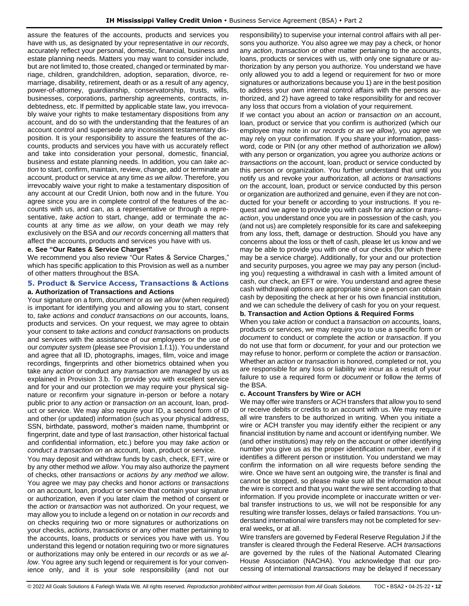assure the features of the accounts, products and services you have with us, as designated by your representative in *our records*, accurately reflect your personal, domestic, financial, business and estate planning needs. Matters you may want to consider include, but are not limited to, those created, changed or terminated by marriage, children, grandchildren, adoption, separation, divorce, remarriage, disability, retirement, death or as a result of any agency, power-of-attorney, guardianship, conservatorship, trusts, wills, businesses, corporations, partnership agreements, contracts, indebtedness, etc. If permitted by applicable state law, you irrevocably waive your rights to make testamentary dispositions from any account, and do so with the understanding that the features of an account control and supersede any inconsistent testamentary disposition. It is your responsibility to assure the features of the accounts, products and services you have with us accurately reflect and take into consideration your personal, domestic, financial, business and estate planning needs. In addition, you can *take action* to start, confirm, maintain, review, change, add or terminate an account, product or service at any time *as we allow*. Therefore, you irrevocably waive your right to make a testamentary disposition of any account at our Credit Union, both now and in the future. You agree since you are in complete control of the features of the accounts with us, and can, as a representative or through a representative, *take action* to start, change, add or terminate the accounts at any time *as we allow*, on your death we may rely exclusively on the BSA and *our records* concerning all matters that affect the accounts, products and services you have with us.

#### **e. See "Our Rates & Service Charges"**

We recommend you also review "Our Rates & Service Charges," which has specific application to this Provision as well as a number of other matters throughout the BSA.

### <span id="page-11-0"></span>**5. Product & Service Access, Transactions & Actions a. Authorization of Transactions and Actions**

Your signature on a form, *document* or *as we allow* (when required) is important for identifying you and allowing you to start, consent to, *take actions* and *conduct transactions on* our accounts, loans, products and services. On your request, we may agree to obtain your consent to *take actions* and *conduct transactions* on products and services with the assistance of our employees or the use of our *computer system* (please see Provision 1.f.1)). You understand and agree that all ID, photographs, images, film, voice and image recordings, fingerprints and other biometrics obtained when you take any *action* or conduct any *transaction* are *managed* by us as explained in Provision 3.b. To provide you with excellent service and for your and our protection we may require your physical signature or reconfirm your signature in-person or before a notary public prior to any *action* or *transaction on* an account, loan, product or service. We may also require your ID, a second form of ID and other (or updated) information (such as your physical address, SSN, birthdate, password, mother's maiden name, thumbprint or fingerprint, date and type of last *transaction*, other historical factual and confidential information, etc.) before you may *take action* or *conduct a transaction on* an account, loan, product or service.

You may deposit and withdraw funds by cash, check, EFT, wire or by any other method *we allow*. You may also authorize the payment of checks, other *transactions* or *actions by any method we allow*. You agree we may pay checks and honor *actions* or *transactions on* an account, loan, product or service that contain your signature or authorization, even if you later claim the method of consent or the *action* or *transaction* was not authorized. On your request, we may allow you to include a legend on or notation in *our records* and on checks requiring two or more signatures or authorizations on your checks, *actions*, *transactions* or any other matter pertaining to the accounts, loans, products or services you have with us. You understand this legend or notation requiring two or more signatures or authorizations may only be entered in *our records* or as *we allow*. You agree any such legend or requirement is for your convenience only, and it is your sole responsibility (and not our

responsibility) to supervise your internal control affairs with all persons you authorize. You also agree we may pay a check, or honor any *action*, *transaction* or other matter pertaining to the accounts, loans, products or services with us, with only one signature or authorization by any person you authorize. You understand we have only allowed you to add a legend or requirement for two or more signatures or authorizations because you 1) are in the best position to address your own internal control affairs with the persons authorized, and 2) have agreed to take responsibility for and recover any loss that occurs from a violation of your requirement.

If we contact you about an *action* or *transaction on* an account, loan, product or service that you confirm is authorized (which our employee may note in *our records* or *as we allow*), you agree we may rely on your confirmation. If you share your information, password, code or PIN (or any other method of authorization *we allow*) with any person or organization, you agree you authorize *actions* or *transactions on* the account, loan, product or service conducted by this person or organization. You further understand that until you notify us and revoke your authorization, all *actions* or *transactions on* the account, loan, product or service conducted by this person or organization are authorized and genuine, even if they are not conducted for your benefit or according to your instructions. If you request and we agree to provide you with cash for any *action* or *transaction*, you understand once you are in possession of the cash, you (and not us) are completely responsible for its care and safekeeping from any loss, theft, damage or destruction. Should you have any concerns about the loss or theft of cash, please let us know and we may be able to provide you with one of our checks (for which there may be a service charge). Additionally, for your and our protection and security purposes, you agree we may pay any person (including you) requesting a withdrawal in cash with a limited amount of cash, our check, an EFT or wire. You understand and agree these cash withdrawal options are appropriate since a person can obtain cash by depositing the check at her or his own financial institution, and we can schedule the delivery of cash for you on your request.

### **b. Transaction and Action Options & Required Forms**

When you *take action* or conduct a *transaction on* accounts, loans, products or services, we may require you to use a specific form or *document* to conduct or complete the *action* or *transaction*. If you do not use that form or *document*, for your and our protection we may refuse to honor, perform or complete the *action* or *transaction*. Whether an *action* or *transaction* is honored, completed or not, you are responsible for any loss or liability we incur as a result of your failure to use a required form or *document* or follow the *terms* of the BSA.

### **c. Account Transfers by Wire or ACH**

We may offer wire transfers or ACH transfers that allow you to send or receive debits or credits to an account with us. We may require all wire transfers to be authorized in writing. When you initiate a wire or ACH transfer you may identify either the recipient or any financial institution by name and account or identifying number. We (and other institutions) may rely on the account or other identifying number you give us as the proper identification number, even if it identifies a different person or institution. You understand we may confirm the information on all wire requests before sending the wire. Once we have sent an outgoing wire, the transfer is final and cannot be stopped, so please make sure all the information about the wire is correct and that you want the wire sent according to that information. If you provide incomplete or inaccurate written or verbal transfer instructions to us, we will not be responsible for any resulting wire transfer losses, delays or failed *transactions*. You understand international wire transfers may not be completed for several weeks**,** or at all.

Wire transfers are governed by Federal Reserve Regulation J if the transfer is cleared through the Federal Reserve. ACH *transactions* are governed by the rules of the National Automated Clearing House Association (NACHA). You acknowledge that our processing of international *transactions* may be delayed if necessary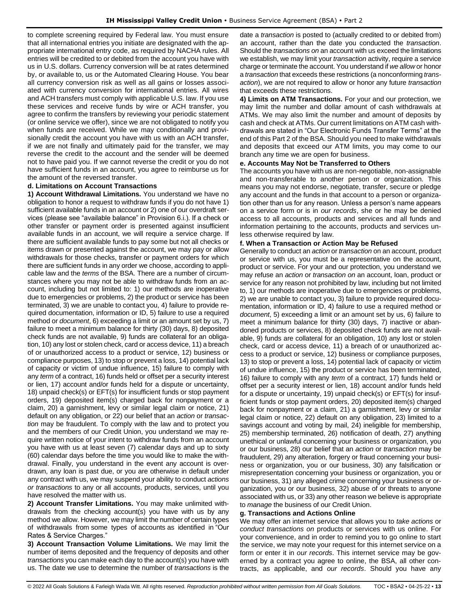to complete screening required by Federal law. You must ensure that all international entries you initiate are designated with the appropriate international entry code, as required by NACHA rules. All entries will be credited to or debited from the account you have with us in U.S. dollars. Currency conversion will be at rates determined by, or available to, us or the Automated Clearing House. You bear all currency conversion risk as well as all gains or losses associated with currency conversion for international entries. All wires and ACH transfers must comply with applicable U.S. law. If you use these services and receive funds by wire or ACH transfer, you agree to confirm the transfers by reviewing your periodic statement (or online service we offer), since we are not obligated to notify you when funds are received. While we may conditionally and provisionally credit the account you have with us with an ACH transfer, if we are not finally and ultimately paid for the transfer, we may reverse the credit to the account and the sender will be deemed not to have paid you. If we cannot reverse the credit or you do not have sufficient funds in an account, you agree to reimburse us for the amount of the reversed transfer.

### **d. Limitations on Account Transactions**

**1) Account Withdrawal Limitations.** You understand we have no obligation to honor a request to withdraw funds if you do not have 1) sufficient available funds in an account or 2) one of our overdraft services (please see "available balance" in Provision 6.i.). If a check or other transfer or payment order is presented against insufficient available funds in an account, we will require a service charge. If there are sufficient available funds to pay some but not all checks or items drawn or presented against the account, we may pay or allow withdrawals for those checks, transfer or payment orders for which there are sufficient funds in any order we choose, according to applicable law and the *terms* of the BSA. There are a number of circumstances where you may not be able to withdraw funds from an account, including but not limited to: 1) our methods are inoperative due to emergencies or problems, 2) the product or service has been terminated, 3) we are unable to contact you, 4) failure to provide required documentation, information or ID, 5) failure to use a required method or *document*, 6) exceeding a limit or an amount set by us, 7) failure to meet a minimum balance for thirty (30) days, 8) deposited check funds are not available, 9) funds are collateral for an obligation, 10) any lost or stolen check, card or access device, 11) a breach of or unauthorized access to a product or service, 12) business or compliance purposes, 13) to stop or prevent a loss, 14) potential lack of capacity or victim of undue influence, 15) failure to comply with any *term* of a contract, 16) funds held or offset per a security interest or lien, 17) account and/or funds held for a dispute or uncertainty, 18) unpaid check(s) or EFT(s) for insufficient funds or stop payment orders, 19) deposited item(s) charged back for nonpayment or a claim, 20) a garnishment, levy or similar legal claim or notice, 21) default on any obligation, or 22) our belief that an *action* or *transaction* may be fraudulent. To comply with the law and to protect you and the members of our Credit Union, you understand we may require written notice of your intent to withdraw funds from an account you have with us at least seven (7) calendar days and up to sixty (60) calendar days before the time you would like to make the withdrawal. Finally, you understand in the event any account is overdrawn, any loan is past due, or you are otherwise in default under any contract with us, we may suspend your ability to conduct *actions or transactions* to any or all accounts, products, services, until you have resolved the matter with us.

**2) Account Transfer Limitations.** You may make unlimited withdrawals from the checking account(s) you have with us by any method we allow. However, we may limit the number of certain types of withdrawals from some types of accounts as identified in "Our Rates & Service Charges."

**3) Account Transaction Volume Limitations.** We may limit the number of items deposited and the frequency of deposits and other *transactions* you can make each day to the account(s) you have with us. The date we use to determine the number of *transactions* is the date a *transaction* is posted to (actually credited to or debited from) an account, rather than the date you conducted the *transaction*. Should the *transactions on* an account with us exceed the limitations we establish, we may limit your *transaction* activity, require a service charge or terminate the account. You understand if *we allow* or honor a *transaction* that exceeds these restrictions (a nonconforming *transaction*), we are not required to allow or honor any future *transaction* that exceeds these restrictions.

**4) Limits on ATM Transactions.** For your and our protection, we may limit the number and dollar amount of cash withdrawals at ATMs. We may also limit the number and amount of deposits by cash and check at ATMs. Our current limitations on ATM cash withdrawals are stated in "Our Electronic Funds Transfer Terms" at the end of this Part 2 of the BSA. Should you need to make withdrawals and deposits that exceed our ATM limits, you may come to our branch any time we are open for business.

### **e. Accounts May Not be Transferred to Others**

The accounts you have with us are non-negotiable, non-assignable and non-transferable to another person or organization. This means you may not endorse, negotiate, transfer, secure or pledge any account and the funds in that account to a person or organization other than us for any reason. Unless a person's name appears on a service form or is in *our records*, she or he may be denied access to all accounts, products and services and all funds and information pertaining to the accounts, products and services unless otherwise required by law.

### **f. When a Transaction or Action May be Refused**

Generally to conduct an *action* or *transaction* on an account, product or service with us, you must be a representative on the account, product or service. For your and our protection, you understand we may refuse an *action* or *transaction on* an account, loan, product or service for any reason not prohibited by law, including but not limited to, 1) our methods are inoperative due to emergencies or problems, 2) we are unable to contact you, 3) failure to provide required documentation, information or ID, 4) failure to use a required method or *document*, 5) exceeding a limit or an amount set by us, 6) failure to meet a minimum balance for thirty (30) days, 7) inactive or abandoned products or services, 8) deposited check funds are not available, 9) funds are collateral for an obligation, 10) any lost or stolen check, card or access device, 11) a breach of or unauthorized access to a product or service, 12) business or compliance purposes, 13) to stop or prevent a loss, 14) potential lack of capacity or victim of undue influence, 15) the product or service has been terminated, 16) failure to comply with any *term* of a contract, 17) funds held or offset per a security interest or lien, 18) account and/or funds held for a dispute or uncertainty, 19) unpaid check(s) or EFT(s) for insufficient funds or stop payment orders, 20) deposited item(s) charged back for nonpayment or a claim, 21) a garnishment, levy or similar legal claim or notice, 22) default on any obligation, 23) limited to a savings account and voting by mail, 24) ineligible for membership, 25) membership terminated, 26) notification of death, 27) anything unethical or unlawful concerning your business or organization, you or our business, 28) our belief that an *action* or *transaction* may be fraudulent, 29) any alteration, forgery or fraud concerning your business or organization, you or our business, 30) any falsification or misrepresentation concerning your business or organization, you or our business, 31) any alleged crime concerning your business or organization, you or our business, 32) abuse of or threats to anyone associated with us, or 33) any other reason we believe is appropriate to *manage* the business of our Credit Union.

### **g. Transactions and Actions Online**

We may offer an internet service that allows you to *take actions* or *conduct transactions on* products or services with us online. For your convenience, and in order to remind you to go online to start the service, we may note your request for this internet service on a form or enter it in *our records*. This internet service may be governed by a contract you agree to online, the BSA, all other contracts, as applicable, and *our records*. Should you have any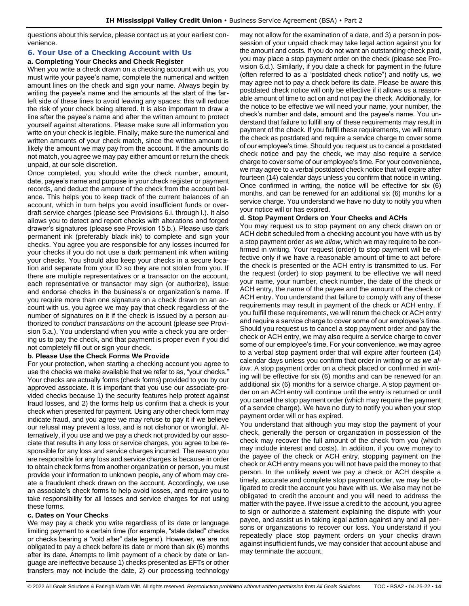questions about this service, please contact us at your earliest convenience.

### <span id="page-13-0"></span>**6. Your Use of a Checking Account with Us**

#### **a. Completing Your Checks and Check Register**

When you write a check drawn on a checking account with us, you must write your payee's name, complete the numerical and written amount lines on the check and sign your name. Always begin by writing the payee's name and the amounts at the start of the farleft side of these lines to avoid leaving any spaces; this will reduce the risk of your check being altered. It is also important to draw a line after the payee's name and after the written amount to protect yourself against alterations. Please make sure all information you write on your check is legible. Finally, make sure the numerical and written amounts of your check match, since the written amount is likely the amount we may pay from the account. If the amounts do not match, you agree we may pay either amount or return the check unpaid, at our sole discretion.

Once completed, you should write the check number, amount, date, payee's name and purpose in your check register or payment records, and deduct the amount of the check from the account balance. This helps you to keep track of the current balances of an account, which in turn helps you avoid insufficient funds or overdraft service charges (please see Provisions 6.i. through l.). It also allows you to detect and report checks with alterations and forged drawer's signatures (please see Provision 15.b.). Please use dark permanent ink (preferably black ink) to complete and sign your checks. You agree you are responsible for any losses incurred for your checks if you do not use a dark permanent ink when writing your checks. You should also keep your checks in a secure location and separate from your ID so they are not stolen from you. If there are multiple representatives or a transactor on the account, each representative or transactor may sign (or authorize), issue and endorse checks in the business's or organization's name. If you require more than one signature on a check drawn on an account with us, you agree we may pay that check regardless of the number of signatures on it if the check is issued by a person authorized to *conduct transactions on* the account (please see Provision 5.a.). You understand when you write a check you are ordering us to pay the check, and that payment is proper even if you did not completely fill out or sign your check.

#### **b. Please Use the Check Forms We Provide**

For your protection, when starting a checking account you agree to use the checks we make available that we refer to as, "your checks." Your checks are actually forms (check forms) provided to you by our approved associate. It is important that you use our associate-provided checks because 1) the security features help protect against fraud losses, and 2) the forms help us confirm that a check is your check when presented for payment. Using any other check form may indicate fraud, and you agree we may refuse to pay it if we believe our refusal may prevent a loss, and is not dishonor or wrongful. Alternatively, if you use and we pay a check not provided by our associate that results in any loss or service charges, you agree to be responsible for any loss and service charges incurred. The reason you are responsible for any loss and service charges is because in order to obtain check forms from another organization or person, you must provide your information to unknown people, any of whom may create a fraudulent check drawn on the account. Accordingly, we use an associate's check forms to help avoid losses, and require you to take responsibility for all losses and service charges for not using these forms.

#### **c. Dates on Your Checks**

We may pay a check you write regardless of its date or language limiting payment to a certain time (for example, "stale dated" checks or checks bearing a "void after" date legend). However, we are not obligated to pay a check before its date or more than six (6) months after its date. Attempts to limit payment of a check by date or language are ineffective because 1) checks presented as EFTs or other transfers may not include the date, 2) our processing technology

may not allow for the examination of a date, and 3) a person in possession of your unpaid check may take legal action against you for the amount and costs. If you do not want an outstanding check paid, you may place a stop payment order on the check (please see Provision 6.d.). Similarly, if you date a check for payment in the future (often referred to as a "postdated check notice") and notify us, we may agree not to pay a check before its date. Please be aware this postdated check notice will only be effective if it allows us a reasonable amount of time to act on and not pay the check. Additionally, for the notice to be effective we will need your name, your number, the check's number and date, amount and the payee's name. You understand that failure to fulfill any of these requirements may result in payment of the check. If you fulfill these requirements, we will return the check as postdated and require a service charge to cover some of our employee's time. Should you request us to cancel a postdated check notice and pay the check, we may also require a service charge to cover some of our employee's time. For your convenience, we may agree to a verbal postdated check notice that will expire after fourteen (14) calendar days unless you confirm that notice in writing. Once confirmed in writing, the notice will be effective for six (6) months, and can be renewed for an additional six (6) months for a service charge. You understand we have no duty to notify you when your notice will or has expired.

### **d. Stop Payment Orders on Your Checks and ACHs**

You may request us to stop payment on any check drawn on or ACH debit scheduled from a checking account you have with us by a stop payment order *as we allow***,** which we may require to be confirmed in writing. Your request (order) to stop payment will be effective only if we have a reasonable amount of time to act before the check is presented or the ACH entry is transmitted to us. For the request (order) to stop payment to be effective we will need your name, your number, check number, the date of the check or ACH entry, the name of the payee and the amount of the check or ACH entry. You understand that failure to comply with any of these requirements may result in payment of the check or ACH entry. If you fulfill these requirements, we will return the check or ACH entry and require a service charge to cover some of our employee's time. Should you request us to cancel a stop payment order and pay the check or ACH entry, we may also require a service charge to cover some of our employee's time. For your convenience, we may agree to a verbal stop payment order that will expire after fourteen (14) calendar days unless you confirm that order in writing or *as we allow*. A stop payment order on a check placed or confirmed in writing will be effective for six (6) months and can be renewed for an additional six (6) months for a service charge. A stop payment order on an ACH entry will continue until the entry is returned or until you cancel the stop payment order (which may require the payment of a service charge). We have no duty to notify you when your stop payment order will or has expired.

You understand that although you may stop the payment of your check, generally the person or organization in possession of the check may recover the full amount of the check from you (which may include interest and costs). In addition, if you owe money to the payee of the check or ACH entry, stopping payment on the check or ACH entry means you will not have paid the money to that person. In the unlikely event we pay a check or ACH despite a timely, accurate and complete stop payment order, we may be obligated to credit the account you have with us. We also may not be obligated to credit the account and you will need to address the matter with the payee. If we issue a credit to the account, you agree to sign or authorize a statement explaining the dispute with your payee, and assist us in taking legal action against any and all persons or organizations to recover our loss. You understand if you repeatedly place stop payment orders on your checks drawn against insufficient funds, we may consider that account abuse and may terminate the account.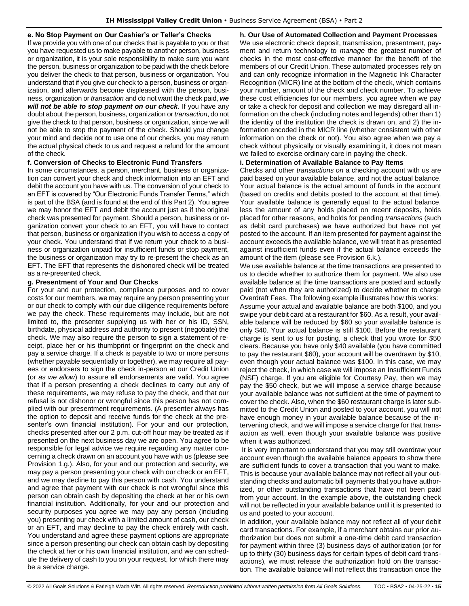### **e. No Stop Payment on Our Cashier's or Teller's Checks**

If we provide you with one of our checks that is payable to you or that you have requested us to make payable to another person, business or organization, it is your sole responsibility to make sure you want the person, business or organization to be paid with the check before you deliver the check to that person, business or organization. You understand that if you give our check to a person, business or organization, and afterwards become displeased with the person, business, organization or *transaction* and do not want the check paid, *we will not be able to stop payment on our check.* **If you have any** doubt about the person, business, organization or *transaction*, do not give the check to that person, business or organization, since we will not be able to stop the payment of the check. Should you change your mind and decide not to use one of our checks, you may return the actual physical check to us and request a refund for the amount of the check.

### **f. Conversion of Checks to Electronic Fund Transfers**

In some circumstances, a person, merchant, business or organization can convert your check and check information into an EFT and debit the account you have with us. The conversion of your check to an EFT is covered by "Our Electronic Funds Transfer Terms," which is part of the BSA (and is found at the end of this Part 2). You agree we may honor the EFT and debit the account just as if the original check was presented for payment. Should a person, business or organization convert your check to an EFT, you will have to contact that person, business or organization if you wish to access a copy of your check. You understand that if we return your check to a business or organization unpaid for insufficient funds or stop payment, the business or organization may try to re-present the check as an EFT. The EFT that represents the dishonored check will be treated as a re-presented check.

### **g. Presentment of Your and Our Checks**

For your and our protection, compliance purposes and to cover costs for our members, we may require any person presenting your or our check to comply with our due diligence requirements before we pay the check. These requirements may include, but are not limited to, the presenter supplying us with her or his ID, SSN, birthdate, physical address and authority to present (negotiate) the check. We may also require the person to sign a statement of receipt, place her or his thumbprint or fingerprint on the check and pay a service charge. If a check is payable to two or more persons (whether payable sequentially or together), we may require all payees or endorsers to sign the check in-person at our Credit Union (or *as we allow*) to assure all endorsements are valid. You agree that if a person presenting a check declines to carry out any of these requirements, we may refuse to pay the check, and that our refusal is not dishonor or wrongful since this person has not complied with our presentment requirements. (A presenter always has the option to deposit and receive funds for the check at the presenter's own financial institution). For your and our protection, checks presented after our 2 p.m. cut-off hour may be treated as if presented on the next business day we are open. You agree to be responsible for legal advice we require regarding any matter concerning a check drawn on an account you have with us (please see Provision 1.g.). Also, for your and our protection and security, we may pay a person presenting your check with our check or an EFT, and we may decline to pay this person with cash. You understand and agree that payment with our check is not wrongful since this person can obtain cash by depositing the check at her or his own financial institution. Additionally, for your and our protection and security purposes you agree we may pay any person (including you) presenting our check with a limited amount of cash, our check or an EFT, and may decline to pay the check entirely with cash. You understand and agree these payment options are appropriate since a person presenting our check can obtain cash by depositing the check at her or his own financial institution, and we can schedule the delivery of cash to you on your request, for which there may be a service charge.

**h. Our Use of Automated Collection and Payment Processes**  We use electronic check deposit, transmission, presentment, payment and return technology to *manage* the greatest number of checks in the most cost-effective manner for the benefit of the members of our Credit Union. These automated processes rely on and can only recognize information in the Magnetic Ink Character Recognition (MICR) line at the bottom of the check, which contains your number, amount of the check and check number. To achieve these cost efficiencies for our members, you agree when we pay or take a check for deposit and collection we may disregard all information on the check (including notes and legends) other than 1) the identity of the institution the check is drawn on, and 2) the information encoded in the MICR line (whether consistent with other information on the check or not). You also agree when we pay a check without physically or visually examining it, it does not mean we failed to exercise ordinary care in paying the check.

#### **i. Determination of Available Balance to Pay Items**

Checks and other *transactions on* a checking account with us are paid based on your available balance, and not the actual balance. Your actual balance is the actual amount of funds in the account (based on credits and debits posted to the account at that time). Your available balance is generally equal to the actual balance, less the amount of any holds placed on recent deposits, holds placed for other reasons, and holds for pending *transactions* (such as debit card purchases) we have authorized but have not yet posted to the account. If an item presented for payment against the account exceeds the available balance, we will treat it as presented against insufficient funds even if the actual balance exceeds the amount of the item (please see Provision 6.k.).

We use available balance at the time transactions are presented to us to decide whether to authorize them for payment. We also use available balance at the time transactions are posted and actually paid (not when they are authorized) to decide whether to charge Overdraft Fees. The following example illustrates how this works: Assume your actual and available balance are both \$100, and you swipe your debit card at a restaurant for \$60. As a result, your available balance will be reduced by \$60 so your available balance is only \$40. Your actual balance is still \$100. Before the restaurant charge is sent to us for posting, a check that you wrote for \$50 clears. Because you have only \$40 available (you have committed to pay the restaurant \$60), your account will be overdrawn by \$10, even though your actual balance was \$100. In this case, we may reject the check, in which case we will impose an Insufficient Funds (NSF) charge. If you are eligible for Courtesy Pay, then we may pay the \$50 check, but we will impose a service charge because your available balance was not sufficient at the time of payment to cover the check. Also, when the \$60 restaurant charge is later submitted to the Credit Union and posted to your account, you will not have enough money in your available balance because of the intervening check, and we will impose a service charge for that transaction as well, even though your available balance was positive when it was authorized.

It is very important to understand that you may still overdraw your account even though the available balance appears to show there are sufficient funds to cover a transaction that you want to make. This is because your available balance may not reflect all your outstanding checks and automatic bill payments that you have authorized, or other outstanding transactions that have not been paid from your account. In the example above, the outstanding check will not be reflected in your available balance until it is presented to us and posted to your account.

In addition, your available balance may not reflect all of your debit card transactions. For example, if a merchant obtains our prior authorization but does not submit a one-time debit card transaction for payment within three (3) business days of authorization (or for up to thirty (30) business days for certain types of debit card transactions), we must release the authorization hold on the transaction. The available balance will not reflect this transaction once the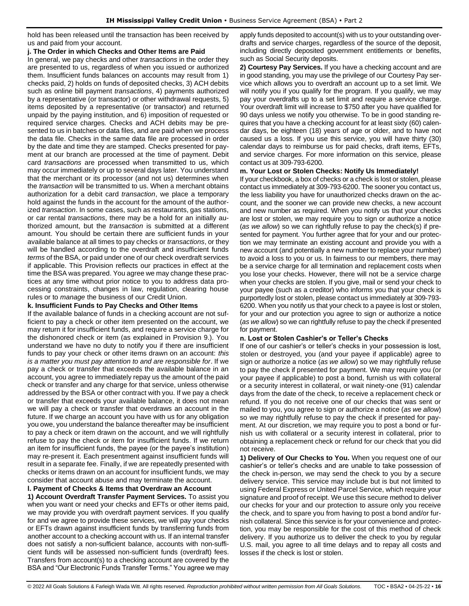hold has been released until the transaction has been received by us and paid from your account.

#### **j. The Order in which Checks and Other Items are Paid**

In general, we pay checks and other *transactions* in the order they are presented to us, regardless of when you issued or authorized them. Insufficient funds balances on accounts may result from 1) checks paid, 2) holds on funds of deposited checks, 3) ACH debits such as online bill payment *transactions*, 4) payments authorized by a representative (or transactor) or other withdrawal requests, 5) items deposited by a representative (or transactor) and returned unpaid by the paying institution, and 6) imposition of requested or required service charges. Checks and ACH debits may be presented to us in batches or data files, and are paid when we process the data file. Checks in the same data file are processed in order by the date and time they are stamped. Checks presented for payment at our branch are processed at the time of payment. Debit card *transactions* are processed when transmitted to us, which may occur immediately or up to several days later. You understand that the merchant or its processor (and not us) determines when the *transaction* will be transmitted to us. When a merchant obtains authorization for a debit card *transaction*, we place a temporary hold against the funds in the account for the amount of the authorized *transaction*. In some cases, such as restaurants, gas stations, or car rental *transactions*, there may be a hold for an initially authorized amount, but the *transaction* is submitted at a different amount. You should be certain there are sufficient funds in your available balance at all times to pay checks or *transactions*, or they will be handled according to the overdraft and insufficient funds *terms* of the BSA, or paid under one of our check overdraft services if applicable. This Provision reflects our practices in effect at the time the BSA was prepared. You agree we may change these practices at any time without prior notice to you to address data processing constraints, changes in law, regulation, clearing house rules or to *manage* the business of our Credit Union.

### **k. Insufficient Funds to Pay Checks and Other Items**

If the available balance of funds in a checking account are not sufficient to pay a check or other item presented on the account, we may return it for insufficient funds, and require a service charge for the dishonored check or item (as explained in Provision 9.). You understand we have no duty to notify you if there are insufficient funds to pay your check or other items drawn on an account: *this is a matter you must pay attention to and are responsible for*. If we pay a check or transfer that exceeds the available balance in an account, you agree to immediately repay us the amount of the paid check or transfer and any charge for that service, unless otherwise addressed by the BSA or other contract with you. If we pay a check or transfer that exceeds your available balance, it does not mean we will pay a check or transfer that overdraws an account in the future. If we charge an account you have with us for any obligation you owe, you understand the balance thereafter may be insufficient to pay a check or item drawn on the account, and we will rightfully refuse to pay the check or item for insufficient funds. If we return an item for insufficient funds, the payee (or the payee's institution) may re-present it. Each presentment against insufficient funds will result in a separate fee. Finally, if we are repeatedly presented with checks or items drawn on an account for insufficient funds, we may consider that account abuse and may terminate the account.

### **l. Payment of Checks & Items that Overdraw an Account**

**1) Account Overdraft Transfer Payment Services.** To assist you when you want or need your checks and EFTs or other items paid, we may provide you with overdraft payment services. If you qualify for and we agree to provide these services, we will pay your checks or EFTs drawn against insufficient funds by transferring funds from another account to a checking account with us. If an internal transfer does not satisfy a non-sufficient balance, accounts with non-sufficient funds will be assessed non-sufficient funds (overdraft) fees. Transfers from account(s) to a checking account are covered by the BSA and "Our Electronic Funds Transfer Terms." You agree we may apply funds deposited to account(s) with us to your outstanding overdrafts and service charges, regardless of the source of the deposit, including directly deposited government entitlements or benefits, such as Social Security deposits.

**2) Courtesy Pay Services.** If you have a checking account and are in good standing, you may use the privilege of our Courtesy Pay service which allows you to overdraft an account up to a set limit. We will notify you if you qualify for the program. If you qualify, we may pay your overdrafts up to a set limit and require a service charge. Your overdraft limit will increase to \$750 after you have qualified for 90 days unless we notify you otherwise. To be in good standing requires that you have a checking account for at least sixty (60) calendar days, be eighteen (18) years of age or older, and to have not caused us a loss. If you use this service, you will have thirty (30) calendar days to reimburse us for paid checks, draft items, EFTs, and service charges. For more information on this service, please contact us at 309-793-6200.

### **m. Your Lost or Stolen Checks: Notify Us Immediately!**

If your checkbook, a box of checks or a check is lost or stolen, please contact us immediately at 309-793-6200. The sooner you contact us, the less liability you have for unauthorized checks drawn on the account, and the sooner we can provide new checks, a new account and new number as required. When you notify us that your checks are lost or stolen, we may require you to sign or authorize a notice (*as we allow*) so we can rightfully refuse to pay the check(s) if presented for payment. You further agree that for your and our protection we may terminate an existing account and provide you with a new account (and potentially a new number to replace your number) to avoid a loss to you or us. In fairness to our members, there may be a service charge for all termination and replacement costs when you lose your checks. However, there will not be a service charge when your checks are stolen. If you give, mail or send your check to your payee (such as a creditor) who informs you that your check is purportedly lost or stolen, please contact us immediately at 309-793- 6200. When you notify us that your check to a payee is lost or stolen, for your and our protection you agree to sign or authorize a notice (*as we allow*) so we can rightfully refuse to pay the check if presented for payment.

### **n. Lost or Stolen Cashier's or Teller's Checks**

If one of our cashier's or teller's checks in your possession is lost, stolen or destroyed, you (and your payee if applicable) agree to sign or authorize a notice (*as we allow*) so we may rightfully refuse to pay the check if presented for payment. We may require you (or your payee if applicable) to post a bond, furnish us with collateral or a security interest in collateral, or wait ninety-one (91) calendar days from the date of the check, to receive a replacement check or refund. If you do not receive one of our checks that was sent or mailed to you, you agree to sign or authorize a notice (*as we allow*) so we may rightfully refuse to pay the check if presented for payment. At our discretion, we may require you to post a bond or furnish us with collateral or a security interest in collateral, prior to obtaining a replacement check or refund for our check that you did not receive.

**1) Delivery of Our Checks to You.** When you request one of our cashier's or teller's checks and are unable to take possession of the check in-person, we may send the check to you by a secure delivery service. This service may include but is but not limited to using Federal Express or United Parcel Service, which require your signature and proof of receipt. We use this secure method to deliver our checks for your and our protection to assure only you receive the check, and to spare you from having to post a bond and/or furnish collateral. Since this service is for your convenience and protection, you may be responsible for the cost of this method of check delivery. If you authorize us to deliver the check to you by regular U.S. mail, you agree to all time delays and to repay all costs and losses if the check is lost or stolen.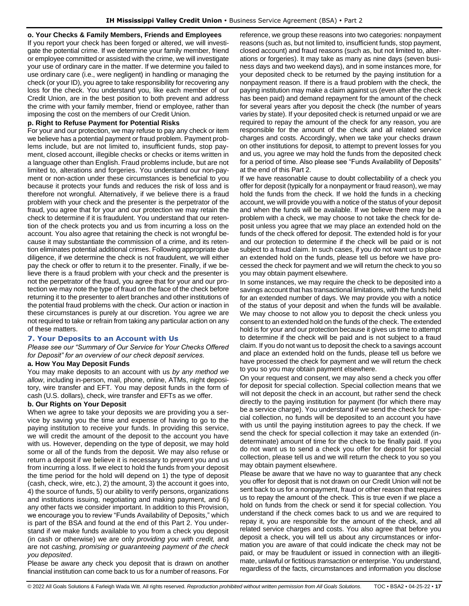#### **o. Your Checks & Family Members, Friends and Employees**

If you report your check has been forged or altered, we will investigate the potential crime. If we determine your family member, friend or employee committed or assisted with the crime, we will investigate your use of ordinary care in the matter. If we determine you failed to use ordinary care (i.e., were negligent) in handling or managing the check (or your ID), you agree to take responsibility for recovering any loss for the check. You understand you, like each member of our Credit Union, are in the best position to both prevent and address the crime with your family member, friend or employee, rather than imposing the cost on the members of our Credit Union.

#### **p. Right to Refuse Payment for Potential Risks**

For your and our protection, we may refuse to pay any check or item we believe has a potential payment or fraud problem. Payment problems include, but are not limited to, insufficient funds, stop payment, closed account, illegible checks or checks or items written in a language other than English. Fraud problems include, but are not limited to, alterations and forgeries. You understand our non-payment or non-action under these circumstances is beneficial to you because it protects your funds and reduces the risk of loss and is therefore not wrongful. Alternatively, if we believe there is a fraud problem with your check and the presenter is the perpetrator of the fraud, you agree that for your and our protection we may retain the check to determine if it is fraudulent. You understand that our retention of the check protects you and us from incurring a loss on the account. You also agree that retaining the check is not wrongful because it may substantiate the commission of a crime, and its retention eliminates potential additional crimes. Following appropriate due diligence, if we determine the check is not fraudulent, we will either pay the check or offer to return it to the presenter. Finally, if we believe there is a fraud problem with your check and the presenter is not the perpetrator of the fraud, you agree that for your and our protection we may note the type of fraud on the face of the check before returning it to the presenter to alert branches and other institutions of the potential fraud problems with the check. Our action or inaction in these circumstances is purely at our discretion. You agree we are not required to take or refrain from taking any particular action on any of these matters.

#### <span id="page-16-0"></span>**7. Your Deposits to an Account with Us**

*Please see our "Summary of Our Service for Your Checks Offered for Deposit" for an overview of our check deposit services.*

#### **a. How You May Deposit Funds**

You may make deposits to an account with us *by any method we allow*, including in-person, mail, phone, online, ATMs, night depository, wire transfer and EFT. You may deposit funds in the form of cash (U.S. dollars), check, wire transfer and EFTs as we offer.

### **b. Our Rights on Your Deposit**

When we agree to take your deposits we are providing you a service by saving you the time and expense of having to go to the paying institution to receive your funds. In providing this service, we will credit the amount of the deposit to the account you have with us. However, depending on the type of deposit, we may hold some or all of the funds from the deposit. We may also refuse or return a deposit if we believe it is necessary to prevent you and us from incurring a loss. If we elect to hold the funds from your deposit the time period for the hold will depend on 1) the type of deposit (cash, check, wire, etc.), 2) the amount, 3) the account it goes into, 4) the source of funds, 5) our ability to verify persons, organizations and institutions issuing, negotiating and making payment, and 6) any other facts we consider important. In addition to this Provision, we encourage you to review "Funds Availability of Deposits," which is part of the BSA and found at the end of this Part 2. You understand if we make funds available to you from a check you deposit (in cash or otherwise) we are only *providing you with credit,* and are not *cashing, promising or guaranteeing payment of the check you deposited*.

Please be aware any check you deposit that is drawn on another financial institution can come back to us for a number of reasons. For

reference, we group these reasons into two categories: nonpayment reasons (such as, but not limited to, insufficient funds, stop payment, closed account) and fraud reasons (such as, but not limited to, alterations or forgeries). It may take as many as nine days (seven business days and two weekend days), and in some instances more, for your deposited check to be returned by the paying institution for a nonpayment reason. If there is a fraud problem with the check, the paying institution may make a claim against us (even after the check has been paid) and demand repayment for the amount of the check for several years after you deposit the check (the number of years varies by state). If your deposited check is returned unpaid or we are required to repay the amount of the check for any reason, you are responsible for the amount of the check and all related service charges and costs. Accordingly, when we take your checks drawn on other institutions for deposit, to attempt to prevent losses for you and us, you agree we may hold the funds from the deposited check for a period of time. Also please see "Funds Availability of Deposits" at the end of this Part 2.

If we have reasonable cause to doubt collectability of a check you offer for deposit (typically for a nonpayment or fraud reason), we may hold the funds from the check. If we hold the funds in a checking account, we will provide you with a notice of the status of your deposit and when the funds will be available. If we believe there may be a problem with a check, we may choose to not take the check for deposit unless you agree that we may place an extended hold on the funds of the check offered for deposit. The extended hold is for your and our protection to determine if the check will be paid or is not subject to a fraud claim. In such cases, if you do not want us to place an extended hold on the funds, please tell us before we have processed the check for payment and we will return the check to you so you may obtain payment elsewhere.

In some instances, we may require the check to be deposited into a savings account that has transactional limitations, with the funds held for an extended number of days. We may provide you with a notice of the status of your deposit and when the funds will be available. We may choose to not allow you to deposit the check unless you consent to an extended hold on the funds of the check. The extended hold is for your and our protection because it gives us time to attempt to determine if the check will be paid and is not subject to a fraud claim. If you do not want us to deposit the check to a savings account and place an extended hold on the funds, please tell us before we have processed the check for payment and we will return the check to you so you may obtain payment elsewhere.

On your request and consent, we may also send a check you offer for deposit for special collection. Special collection means that we will not deposit the check in an account, but rather send the check directly to the paying institution for payment (for which there may be a service charge). You understand if we send the check for special collection, no funds will be deposited to an account you have with us until the paying institution agrees to pay the check. If we send the check for special collection it may take an extended (indeterminate) amount of time for the check to be finally paid. If you do not want us to send a check you offer for deposit for special collection, please tell us and we will return the check to you so you may obtain payment elsewhere.

Please be aware that we have no way to guarantee that any check you offer for deposit that is not drawn on our Credit Union will not be sent back to us for a nonpayment, fraud or other reason that requires us to repay the amount of the check. This is true even if we place a hold on funds from the check or send it for special collection. You understand if the check comes back to us and we are required to repay it, you are responsible for the amount of the check, and all related service charges and costs. You also agree that before you deposit a check, you will tell us about any circumstances or information you are aware of that could indicate the check may not be paid, or may be fraudulent or issued in connection with an illegitimate, unlawful or fictitious *transaction* or enterprise. You understand, regardless of the facts, circumstances and information you disclose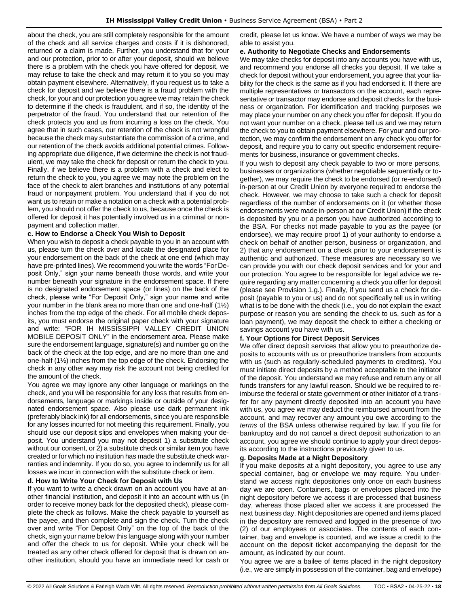about the check, you are still completely responsible for the amount of the check and all service charges and costs if it is dishonored, returned or a claim is made. Further, you understand that for your and our protection, prior to or after your deposit, should we believe there is a problem with the check you have offered for deposit, we may refuse to take the check and may return it to you so you may obtain payment elsewhere. Alternatively, if you request us to take a check for deposit and we believe there is a fraud problem with the check, for your and our protection you agree we may retain the check to determine if the check is fraudulent, and if so, the identity of the perpetrator of the fraud. You understand that our retention of the check protects you and us from incurring a loss on the check. You agree that in such cases, our retention of the check is not wrongful because the check may substantiate the commission of a crime, and our retention of the check avoids additional potential crimes. Following appropriate due diligence, if we determine the check is not fraudulent, we may take the check for deposit or return the check to you. Finally, if we believe there is a problem with a check and elect to return the check to you, you agree we may note the problem on the face of the check to alert branches and institutions of any potential fraud or nonpayment problem. You understand that if you do not want us to retain or make a notation on a check with a potential problem, you should not offer the check to us, because once the check is offered for deposit it has potentially involved us in a criminal or nonpayment and collection matter.

### **c. How to Endorse a Check You Wish to Deposit**

When you wish to deposit a check payable to you in an account with us, please turn the check over and locate the designated place for your endorsement on the back of the check at one end (which may have pre-printed lines). We recommend you write the words "For Deposit Only," sign your name beneath those words, and write your number beneath your signature in the endorsement space. If there is no designated endorsement space (or lines) on the back of the check, please write "For Deposit Only," sign your name and write your number in the blank area no more than one and one-half (1½) inches from the top edge of the check. For all mobile check deposits, you must endorse the original paper check with your signature and write: "FOR IH MISSISSIPPI VALLEY CREDIT UNION MOBILE DEPOSIT ONLY" in the endorsement area. Please make sure the endorsement language, signature(s) and number go on the back of the check at the top edge, and are no more than one and one-half (1½) inches from the top edge of the check. Endorsing the check in any other way may risk the account not being credited for the amount of the check.

You agree we may ignore any other language or markings on the check, and you will be responsible for any loss that results from endorsements, language or markings inside or outside of your designated endorsement space. Also please use dark permanent ink (preferably black ink) for all endorsements, since you are responsible for any losses incurred for not meeting this requirement. Finally, you should use our deposit slips and envelopes when making your deposit. You understand you may not deposit 1) a substitute check without our consent, or 2) a substitute check or similar item you have created or for which no institution has made the substitute check warranties and indemnity. If you do so, you agree to indemnify us for all losses we incur in connection with the substitute check or item.

### **d. How to Write Your Check for Deposit with Us**

If you want to write a check drawn on an account you have at another financial institution, and deposit it into an account with us (in order to receive money back for the deposited check), please complete the check as follows. Make the check payable to yourself as the payee, and then complete and sign the check. Turn the check over and write "For Deposit Only" on the top of the back of the check, sign your name below this language along with your number and offer the check to us for deposit. While your check will be treated as any other check offered for deposit that is drawn on another institution, should you have an immediate need for cash or credit, please let us know. We have a number of ways we may be able to assist you.

#### **e. Authority to Negotiate Checks and Endorsements**

We may take checks for deposit into any accounts you have with us, and recommend you endorse all checks you deposit. If we take a check for deposit without your endorsement, you agree that your liability for the check is the same as if you had endorsed it. If there are multiple representatives or transactors on the account, each representative or transactor may endorse and deposit checks for the business or organization. For identification and tracking purposes we may place your number on any check you offer for deposit. If you do not want your number on a check, please tell us and we may return the check to you to obtain payment elsewhere. For your and our protection, we may confirm the endorsement on any check you offer for deposit, and require you to carry out specific endorsement requirements for business, insurance or government checks.

If you wish to deposit any check payable to two or more persons, businesses or organizations (whether negotiable sequentially or together), we may require the check to be endorsed (or re-endorsed) in-person at our Credit Union by everyone required to endorse the check. However, we may choose to take such a check for deposit regardless of the number of endorsements on it (or whether those endorsements were made in-person at our Credit Union) if the check is deposited by you or a person you have authorized according to the BSA. For checks not made payable to you as the payee (or endorsee), we may require proof 1) of your authority to endorse a check on behalf of another person, business or organization, and 2) that any endorsement on a check prior to your endorsement is authentic and authorized. These measures are necessary so we can provide you with our check deposit services and for your and our protection. You agree to be responsible for legal advice we require regarding any matter concerning a check you offer for deposit (please see Provision 1.g.). Finally, if you send us a check for deposit (payable to you or us) and do not specifically tell us in writing what is to be done with the check (i.e., you do not explain the exact purpose or reason you are sending the check to us, such as for a loan payment), we may deposit the check to either a checking or savings account you have with us.

#### **f. Your Options for Direct Deposit Services**

We offer direct deposit services that allow you to preauthorize deposits to accounts with us or preauthorize transfers from accounts with us (such as regularly-scheduled payments to creditors). You must initiate direct deposits by a method acceptable to the initiator of the deposit. You understand we may refuse and return any or all funds transfers for any lawful reason. Should we be required to reimburse the federal or state government or other initiator of a transfer for any payment directly deposited into an account you have with us, you agree we may deduct the reimbursed amount from the account, and may recover any amount you owe according to the *terms* of the BSA unless otherwise required by law. If you file for bankruptcy and do not cancel a direct deposit authorization to an account, you agree we should continue to apply your direct deposits according to the instructions previously given to us.

### **g. Deposits Made at a Night Depository**

If you make deposits at a night depository, you agree to use any special container, bag or envelope we may require. You understand we access night depositories only once on each business day we are open. Containers, bags or envelopes placed into the night depository before we access it are processed that business day, whereas those placed after we access it are processed the next business day. Night depositories are opened and items placed in the depository are removed and logged in the presence of two (2) of our employees or associates. The contents of each container, bag and envelope is counted, and we issue a credit to the account on the deposit ticket accompanying the deposit for the amount, as indicated by our count.

You agree we are a bailee of items placed in the night depository (i.e., we are simply in possession of the container, bag and envelope)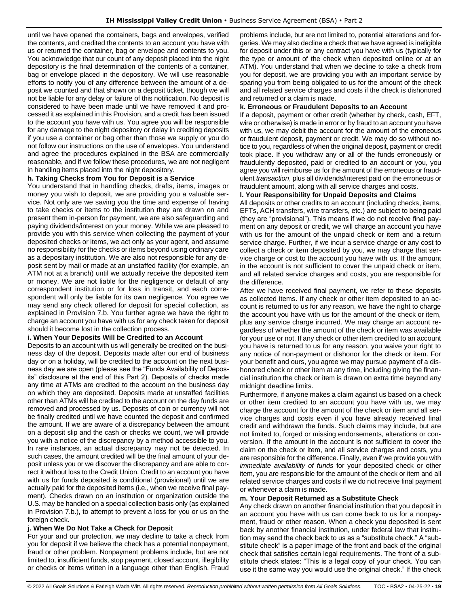until we have opened the containers, bags and envelopes, verified the contents, and credited the contents to an account you have with us or returned the container, bag or envelope and contents to you. You acknowledge that our count of any deposit placed into the night depository is the final determination of the contents of a container, bag or envelope placed in the depository. We will use reasonable efforts to notify you of any difference between the amount of a deposit we counted and that shown on a deposit ticket, though we will not be liable for any delay or failure of this notification. No deposit is considered to have been made until we have removed it and processed it as explained in this Provision, and a credit has been issued to the account you have with us. You agree you will be responsible for any damage to the night depository or delay in crediting deposits if you use a container or bag other than those we supply or you do not follow our instructions on the use of envelopes. You understand and agree the procedures explained in the BSA are commercially reasonable, and if we follow these procedures, we are not negligent in handling items placed into the night depository.

### **h. Taking Checks from You for Deposit is a Service**

You understand that in handling checks, drafts, items, images or money you wish to deposit, we are providing you a valuable service. Not only are we saving you the time and expense of having to take checks or items to the institution they are drawn on and present them in-person for payment, we are also safeguarding and paying dividends/interest on your money. While we are pleased to provide you with this service when collecting the payment of your deposited checks or items, we act only as your agent, and assume no responsibility for the checks or items beyond using ordinary care as a depositary institution. We are also not responsible for any deposit sent by mail or made at an unstaffed facility (for example, an ATM not at a branch) until we actually receive the deposited item or money. We are not liable for the negligence or default of any correspondent institution or for loss in transit, and each correspondent will only be liable for its own negligence. You agree we may send any check offered for deposit for special collection, as explained in Provision 7.b. You further agree we have the right to charge an account you have with us for any check taken for deposit should it become lost in the collection process.

### **i. When Your Deposits Will be Credited to an Account**

Deposits to an account with us will generally be credited on the business day of the deposit. Deposits made after our end of business day or on a holiday, will be credited to the account on the next business day we are open (please see the "Funds Availability of Deposits" disclosure at the end of this Part 2). Deposits of checks made any time at ATMs are credited to the account on the business day on which they are deposited. Deposits made at unstaffed facilities other than ATMs will be credited to the account on the day funds are removed and processed by us. Deposits of coin or currency will not be finally credited until we have counted the deposit and confirmed the amount. If we are aware of a discrepancy between the amount on a deposit slip and the cash or checks we count, we will provide you with a notice of the discrepancy by a method accessible to you. In rare instances, an actual discrepancy may not be detected. In such cases, the amount credited will be the final amount of your deposit unless you or we discover the discrepancy and are able to correct it without loss to the Credit Union. Credit to an account you have with us for funds deposited is conditional (provisional) until we are actually paid for the deposited items (i.e., when we receive final payment). Checks drawn on an institution or organization outside the U.S. may be handled on a special collection basis only (as explained in Provision 7.b.), to attempt to prevent a loss for you or us on the foreign check.

#### **j. When We Do Not Take a Check for Deposit**

For your and our protection, we may decline to take a check from you for deposit if we believe the check has a potential nonpayment, fraud or other problem. Nonpayment problems include, but are not limited to, insufficient funds, stop payment, closed account, illegibility or checks or items written in a language other than English. Fraud problems include, but are not limited to, potential alterations and forgeries. We may also decline a check that we have agreed is ineligible for deposit under this or any contract you have with us (typically for the type or amount of the check when deposited online or at an ATM). You understand that when we decline to take a check from you for deposit, we are providing you with an important service by sparing you from being obligated to us for the amount of the check and all related service charges and costs if the check is dishonored and returned or a claim is made.

#### **k. Erroneous or Fraudulent Deposits to an Account**

If a deposit, payment or other credit (whether by check, cash, EFT, wire or otherwise) is made in error or by fraud to an account you have with us, we may debit the account for the amount of the erroneous or fraudulent deposit, payment or credit. We may do so without notice to you, regardless of when the original deposit, payment or credit took place. If you withdraw any or all of the funds erroneously or fraudulently deposited, paid or credited to an account or you, you agree you will reimburse us for the amount of the erroneous or fraudulent *transaction*, plus all dividends/interest paid on the erroneous or fraudulent amount, along with all service charges and costs.

### **l. Your Responsibility for Unpaid Deposits and Claims**

All deposits or other credits to an account (including checks, items, EFTs, ACH transfers, wire transfers, etc.) are subject to being paid (they are "provisional"). This means if we do not receive final payment on any deposit or credit, we will charge an account you have with us for the amount of the unpaid check or item and a return service charge. Further, if we incur a service charge or any cost to collect a check or item deposited by you, we may charge that service charge or cost to the account you have with us. If the amount in the account is not sufficient to cover the unpaid check or item, and all related service charges and costs, you are responsible for the difference.

After we have received final payment, we refer to these deposits as collected items. If any check or other item deposited to an account is returned to us for any reason, we have the right to charge the account you have with us for the amount of the check or item, plus any service charge incurred. We may charge an account regardless of whether the amount of the check or item was available for your use or not. If any check or other item credited to an account you have is returned to us for any reason, you waive your right to any notice of non-payment or dishonor for the check or item. For your benefit and ours, you agree we may pursue payment of a dishonored check or other item at any time, including giving the financial institution the check or item is drawn on extra time beyond any midnight deadline limits.

Furthermore, if anyone makes a claim against us based on a check or other item credited to an account you have with us, we may charge the account for the amount of the check or item and all service charges and costs even if you have already received final credit and withdrawn the funds. Such claims may include, but are not limited to, forged or missing endorsements, alterations or conversion. If the amount in the account is not sufficient to cover the claim on the check or item, and all service charges and costs, you are responsible for the difference. Finally, even if we provide you with *immediate availability of funds* for your deposited check or other item, you are responsible for the amount of the check or item and all related service charges and costs if we do not receive final payment or whenever a claim is made.

#### **m. Your Deposit Returned as a Substitute Check**

Any check drawn on another financial institution that you deposit in an account you have with us can come back to us for a nonpayment, fraud or other reason. When a check you deposited is sent back by another financial institution, under federal law that institution may send the check back to us as a "substitute check." A "substitute check" is a paper image of the front and back of the original check that satisfies certain legal requirements. The front of a substitute check states: "This is a legal copy of your check. You can use it the same way you would use the original check." If the check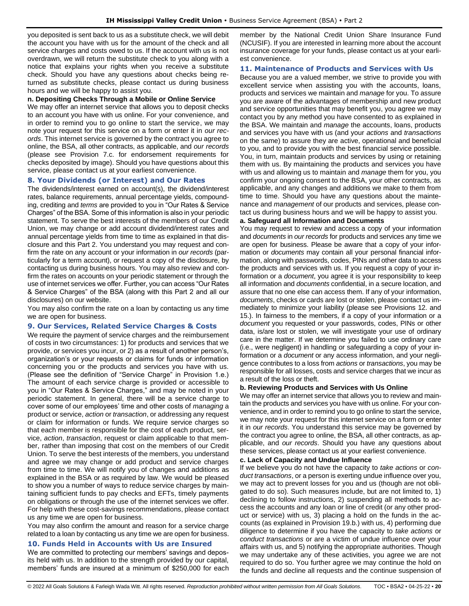you deposited is sent back to us as a substitute check, we will debit the account you have with us for the amount of the check and all service charges and costs owed to us. If the account with us is not overdrawn, we will return the substitute check to you along with a notice that explains your rights when you receive a substitute check. Should you have any questions about checks being returned as substitute checks, please contact us during business hours and we will be happy to assist you.

#### **n. Depositing Checks Through a Mobile or Online Service**

We may offer an internet service that allows you to deposit checks to an account you have with us online. For your convenience, and in order to remind you to go online to start the service, we may note your request for this service on a form or enter it in *our records*. This internet service is governed by the contract you agree to online, the BSA, all other contracts, as applicable, and *our records* (please see Provision 7.c. for endorsement requirements for checks deposited by image). Should you have questions about this service, please contact us at your earliest convenience.

#### <span id="page-19-0"></span>**8. Your Dividends (or Interest) and Our Rates**

The dividends/interest earned on account(s), the dividend/interest rates, balance requirements, annual percentage yields, compounding, crediting and *terms* are provided to you in "Our Rates & Service Charges" of the BSA. Some of this information is also in your periodic statement. To serve the best interests of the members of our Credit Union, we may change or add account dividend/interest rates and annual percentage yields from time to time as explained in that disclosure and this Part 2. You understand you may request and confirm the rate on any account or your information in *our records* (particularly for a term account), or request a copy of the disclosure, by contacting us during business hours. You may also review and confirm the rates on accounts on your periodic statement or through the use of internet services we offer. Further, you can access "Our Rates & Service Charges" of the BSA (along with this Part 2 and all our disclosures) on our website.

You may also confirm the rate on a loan by contacting us any time we are open for business.

#### <span id="page-19-1"></span>**9. Our Services, Related Service Charges & Costs**

We require the payment of service charges and the reimbursement of costs in two circumstances: 1) for products and services that we provide, or services you incur, or 2) as a result of another person's, organization's or your requests or claims for funds or information concerning you or the products and services you have with us. (Please see the definition of "Service Charge" in Provision 1.e.) The amount of each service charge is provided or accessible to you in "Our Rates & Service Charges," and may be noted in your periodic statement. In general, there will be a service charge to cover some of our employees' time and other costs of *managing* a product or service, *action* or *transaction*, or addressing any request or claim for information or funds. We require service charges so that each member is responsible for the cost of each product, service, *action*, *transaction*, request or claim applicable to that member, rather than imposing that cost on the members of our Credit Union. To serve the best interests of the members, you understand and agree we may change or add product and service charges from time to time. We will notify you of changes and additions as explained in the BSA or as required by law. We would be pleased to show you a number of ways to reduce service charges by maintaining sufficient funds to pay checks and EFTs, timely payments on obligations or through the use of the internet services we offer. For help with these cost-savings recommendations, please contact us any time we are open for business.

You may also confirm the amount and reason for a service charge related to a loan by contacting us any time we are open for business.

#### <span id="page-19-2"></span>**10. Funds Held in Accounts with Us are Insured**

We are committed to protecting our members' savings and deposits held with us. In addition to the strength provided by our capital, members' funds are insured at a minimum of \$250,000 for each member by the National Credit Union Share Insurance Fund (NCUSIF). If you are interested in learning more about the account insurance coverage for your funds, please contact us at your earliest convenience.

#### <span id="page-19-3"></span>**11. Maintenance of Products and Services with Us**

Because you are a valued member, we strive to provide you with excellent service when assisting you with the accounts, loans, products and services we maintain and *manage* for you. To assure you are aware of the advantages of membership and new product and service opportunities that may benefit you, you agree we may contact you by any method you have consented to as explained in the BSA. We maintain and *manage* the accounts, loans, products and services you have with us (and your *actions* and *transactions* on the same) to assure they are active, operational and beneficial to you, and to provide you with the best financial service possible. You, in turn, maintain products and services by using or retaining them with us. By maintaining the products and services you have with us and allowing us to maintain and *manage* them for you, you confirm your ongoing consent to the BSA, your other contracts, as applicable, and any changes and additions we make to them from time to time. Should you have any questions about the maintenance and *management* of our products and services, please contact us during business hours and we will be happy to assist you.

#### **a. Safeguard all Information and Documents**

You may request to review and access a copy of your information and *documents* in *our records* for products and services any time we are open for business. Please be aware that a copy of your information or *documents* may contain all your personal financial information, along with passwords, codes, PINs and other data to access the products and services with us. If you request a copy of your information or a *document*, you agree it is your responsibility to keep all information and *documents* confidential, in a secure location, and assure that no one else can access them. If any of your information, *documents*, checks or cards are lost or stolen, please contact us immediately to minimize your liability (please see Provisions 12. and 15.). In fairness to the members, if a copy of your information or a *document* you requested or your passwords, codes, PINs or other data, is/are lost or stolen, we will investigate your use of ordinary care in the matter. If we determine you failed to use ordinary care (i.e., were negligent) in handling or safeguarding a copy of your information or a *document* or any access information, and your negligence contributes to a loss from *actions* or *transactions*, you may be responsible for all losses, costs and service charges that we incur as a result of the loss or theft.

#### **b. Reviewing Products and Services with Us Online**

We may offer an internet service that allows you to review and maintain the products and services you have with us online. For your convenience, and in order to remind you to go online to start the service, we may note your request for this internet service on a form or enter it in *our records*. You understand this service may be governed by the contract you agree to online, the BSA, all other contracts, as applicable, and *our records*. Should you have any questions about these services, please contact us at your earliest convenience.

#### **c. Lack of Capacity and Undue Influence**

If we believe you do not have the capacity to *take actions* or *conduct transactions*, or a person is exerting undue influence over you, we may act to prevent losses for you and us (though are not obligated to do so). Such measures include, but are not limited to, 1) declining to follow instructions, 2) suspending all methods to access the accounts and any loan or line of credit (or any other product or service) with us, 3) placing a hold on the funds in the accounts (as explained in Provision 19.b.) with us, 4) performing due diligence to determine if you have the capacity to *take actions* or *conduct transactions* or are a victim of undue influence over your affairs with us, and 5) notifying the appropriate authorities. Though we may undertake any of these activities, you agree we are not required to do so. You further agree we may continue the hold on the funds and decline all requests and the continue suspension of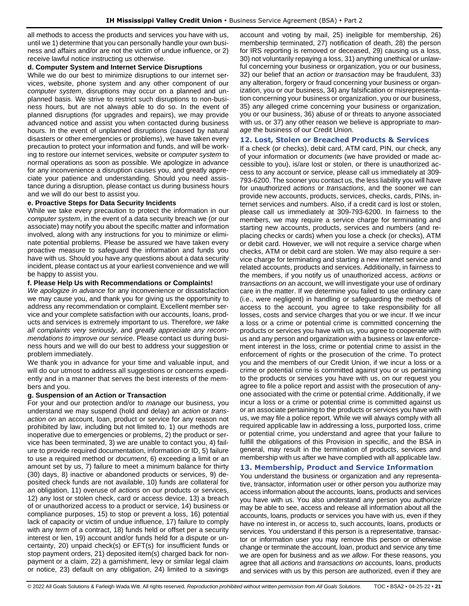all methods to access the products and services you have with us, until we 1) determine that you can personally handle your own business and affairs and/or are not the victim of undue influence, or 2) receive lawful notice instructing us otherwise.

### **d. Computer System and Internet Service Disruptions**

While we do our best to minimize disruptions to our internet services, website, phone system and any other component of our *computer system*, disruptions may occur on a planned and unplanned basis. We strive to restrict such disruptions to non-business hours, but are not always able to do so. In the event of planned disruptions (for upgrades and repairs), we may provide advanced notice and assist you when contacted during business hours. In the event of unplanned disruptions (caused by natural disasters or other emergencies or problems), we have taken every precaution to protect your information and funds, and will be working to restore our internet services, website or *computer system* to normal operations as soon as possible. We apologize in advance for any inconvenience a disruption causes you, and greatly appreciate your patience and understanding. Should you need assistance during a disruption, please contact us during business hours and we will do our best to assist you.

### **e. Proactive Steps for Data Security Incidents**

While we take every precaution to protect the information in our *computer system*, in the event of a data security breach we (or our associate) may notify you about the specific matter and information involved, along with any instructions for you to minimize or eliminate potential problems. Please be assured we have taken every proactive measure to safeguard the information and funds you have with us. Should you have any questions about a data security incident, please contact us at your earliest convenience and we will be happy to assist you.

### **f. Please Help Us with Recommendations or Complaints!**

*We apologize in advance* for any inconvenience or dissatisfaction we may cause you, and thank you for giving us the opportunity to address any recommendation or complaint. Excellent member service and your complete satisfaction with our accounts, loans, products and services is extremely important to us. Therefore, *we take all complaints very seriously*, and *greatly appreciate any recommendations to improve our service*. Please contact us during business hours and we will do our best to address your suggestion or problem immediately.

We thank you in advance for your time and valuable input, and will do our utmost to address all suggestions or concerns expediently and in a manner that serves the best interests of the members and you.

### **g. Suspension of an Action or Transaction**

For your and our protection and/or to *manage* our business, you understand we may suspend (hold and delay) an *action* or *transaction on* an account, loan, product or service for any reason not prohibited by law, including but not limited to, 1) our methods are inoperative due to emergencies or problems, 2) the product or service has been terminated, 3) we are unable to contact you, 4) failure to provide required documentation, information or ID, 5) failure to use a required method or *document*, 6) exceeding a limit or an amount set by us, 7) failure to meet a minimum balance for thirty (30) days, 8) inactive or abandoned products or services, 9) deposited check funds are not available, 10) funds are collateral for an obligation, 11) overuse of *actions* on our products or services, 12) any lost or stolen check, card or access device, 13) a breach of or unauthorized access to a product or service, 14) business or compliance purposes, 15) to stop or prevent a loss, 16) potential lack of capacity or victim of undue influence, 17) failure to comply with any *term* of a contract, 18) funds held or offset per a security interest or lien, 19) account and/or funds held for a dispute or uncertainty, 20) unpaid check(s) or EFT(s) for insufficient funds or stop payment orders, 21) deposited item(s) charged back for nonpayment or a claim, 22) a garnishment, levy or similar legal claim or notice, 23) default on any obligation, 24) limited to a savings

account and voting by mail, 25) ineligible for membership, 26) membership terminated, 27) notification of death, 28) the person for IRS reporting is removed or deceased, 29) causing us a loss, 30) not voluntarily repaying a loss, 31) anything unethical or unlawful concerning your business or organization, you or our business, 32) our belief that an *action* or *transaction* may be fraudulent, 33) any alteration, forgery or fraud concerning your business or organization, you or our business, 34) any falsification or misrepresentation concerning your business or organization, you or our business, 35) any alleged crime concerning your business or organization, you or our business, 36) abuse of or threats to anyone associated with us, or 37) any other reason we believe is appropriate to *manage* the business of our Credit Union.

### <span id="page-20-0"></span>**12. Lost, Stolen or Breached Products & Services**

If a check (or checks), debit card, ATM card, PIN, our check, any of your information or *documents* (we have provided or made accessible to you), is/are lost or stolen, or there is unauthorized access to any account or service, please call us immediately at 309- 793-6200. The sooner you contact us, the less liability you will have for unauthorized *actions* or *transactions*, and the sooner we can provide new accounts, products, services, checks, cards, PINs, internet services and numbers. Also, if a credit card is lost or stolen, please call us immediately at 309-793-6200. In fairness to the members, we may require a service charge for terminating and starting new accounts, products, services and numbers (and replacing checks or cards) when you lose a check (or checks), ATM or debit card. However, we will not require a service charge when checks, ATM or debit card are stolen. We may also require a service charge for terminating and starting a new internet service and related accounts, products and services. Additionally, in fairness to the members, if you notify us of unauthorized access, *actions* or *transactions on* an account, we will investigate your use of ordinary care in the matter. If we determine you failed to use ordinary care (i.e., were negligent) in handling or safeguarding the methods of access to the account, you agree to take responsibility for all losses, costs and service charges that you or we incur. If we incur a loss or a crime or potential crime is committed concerning the products or services you have with us, you agree to cooperate with us and any person and organization with a business or law enforcement interest in the loss, crime or potential crime to assist in the enforcement of rights or the prosecution of the crime. To protect you and the members of our Credit Union, if we incur a loss or a crime or potential crime is committed against you or us pertaining to the products or services you have with us, on our request you agree to file a police report and assist with the prosecution of anyone associated with the crime or potential crime. Additionally, if we incur a loss or a crime or potential crime is committed against us or an associate pertaining to the products or services you have with us, we may file a police report. While we will always comply with all required applicable law in addressing a loss, purported loss, crime or potential crime, you understand and agree that your failure to fulfill the obligations of this Provision in specific, and the BSA in general, may result in the termination of products, services and membership with us after we have complied with all applicable law.

### <span id="page-20-1"></span>**13. Membership, Product and Service Information**

You understand the business or organization and any representative, transactor, information user or other person you authorize may access information about the accounts, loans, products and services you have with us. You also understand any person you authorize may be able to see, access and release all information about all the accounts, loans, products or services you have with us, even if they have no interest in, or access to, such accounts, loans, products or services. You understand if this person is a representative, transactor or information user you may remove this person or otherwise change or terminate the account, loan, product and service any time we are open for business and as *we allow*. For these reasons, you agree that all *actions* and *transactions on* accounts, loans, products and services with us by this person are authorized, even if they are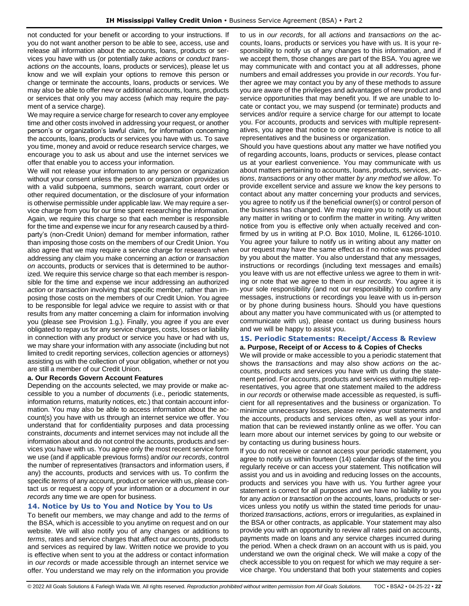not conducted for your benefit or according to your instructions. If you do not want another person to be able to see, access, use and release all information about the accounts, loans, products or services you have with us (or potentially *take actions* or *conduct transactions on* the accounts, loans, products or services), please let us know and we will explain your options to remove this person or change or terminate the accounts, loans, products or services. We may also be able to offer new or additional accounts, loans, products or services that only you may access (which may require the payment of a service charge).

We may require a service charge for research to cover any employee time and other costs involved in addressing your request, or another person's or organization's lawful claim, for information concerning the accounts, loans, products or services you have with us. To save you time, money and avoid or reduce research service charges, we encourage you to ask us about and use the internet services we offer that enable you to access your information.

We will not release your information to any person or organization without your consent unless the person or organization provides us with a valid subpoena, summons, search warrant, court order or other required documentation, or the disclosure of your information is otherwise permissible under applicable law. We may require a service charge from you for our time spent researching the information. Again, we require this charge so that each member is responsible for the time and expense we incur for any research caused by a thirdparty's (non-Credit Union) demand for member information, rather than imposing those costs on the members of our Credit Union. You also agree that we may require a service charge for research when addressing any claim you make concerning an *action* or *transaction on* accounts, products or services that is determined to be authorized. We require this service charge so that each member is responsible for the time and expense we incur addressing an authorized *action* or *transaction* involving that specific member, rather than imposing those costs on the members of our Credit Union. You agree to be responsible for legal advice we require to assist with or that results from any matter concerning a claim for information involving you (please see Provision 1.g.). Finally, you agree if you are ever obligated to repay us for any service charges, costs, losses or liability in connection with any product or service you have or had with us, we may share your information with any associate (including but not limited to credit reporting services, collection agencies or attorneys) assisting us with the collection of your obligation, whether or not you are still a member of our Credit Union.

#### **a. Our Records Govern Account Features**

Depending on the accounts selected, we may provide or make accessible to you a number of *documents* (i.e., periodic statements, information returns, maturity notices, etc.) that contain account information. You may also be able to access information about the account(s) you have with us through an internet service we offer. You understand that for confidentiality purposes and data processing constraints, *documents* and internet services may not include all the information about and do not control the accounts, products and services you have with us. You agree only the most recent service form we use (and if applicable previous forms) and/or *our records*, control the number of representatives (transactors and information users, if any) the accounts, products and services with us. To confirm the specific *terms* of any account, product or service with us, please contact us or request a copy of your information or a *document* in *our records* any time we are open for business.

### <span id="page-21-0"></span>**14. Notice by Us to You and Notice by You to Us**

To benefit our members, we may change and add to the *terms* of the BSA, which is accessible to you anytime on request and on our website. We will also notify you of any changes or additions to *terms*, rates and service charges that affect our accounts, products and services as required by law. Written notice we provide to you is effective when sent to you at the address or contact information in *our records* or made accessible through an internet service we offer. You understand we may rely on the information you provide to us in *our records*, for all *actions* and *transactions on* the accounts, loans, products or services you have with us. It is your responsibility to notify us of any changes to this information, and if we accept them, those changes are part of the BSA. You agree we may communicate with and contact you at all addresses, phone numbers and email addresses you provide in *our records*. You further agree we may contact you by any of these methods to assure you are aware of the privileges and advantages of new product and service opportunities that may benefit you. If we are unable to locate or contact you, we may suspend (or terminate) products and services and/or require a service charge for our attempt to locate you. For accounts, products and services with multiple representatives, you agree that notice to one representative is notice to all representatives and the business or organization.

Should you have questions about any matter we have notified you of regarding accounts, loans, products or services, please contact us at your earliest convenience. You may communicate with us about matters pertaining to accounts, loans, products, services, *actions*, *transactions* or any other matter *by any method we allow*. To provide excellent service and assure we know the key persons to contact about any matter concerning your products and services, you agree to notify us if the beneficial owner(s) or control person of the business has changed. We may require you to notify us about any matter in writing or to confirm the matter in writing. Any written notice from you is effective only when actually received and confirmed by us in writing at P.O. Box 1010, Moline, IL 61266-1010. You agree your failure to notify us in writing about any matter on our request may have the same effect as if no notice was provided by you about the matter. You also understand that any messages, instructions or recordings (including text messages and emails) you leave with us are not effective unless we agree to them in writing or note that we agree to them in *our records*. You agree it is your sole responsibility (and not our responsibility) to confirm any messages, instructions or recordings you leave with us in-person or by phone during business hours. Should you have questions about any matter you have communicated with us (or attempted to communicate with us), please contact us during business hours and we will be happy to assist you.

### <span id="page-21-1"></span>**15. Periodic Statements: Receipt/Access & Review**

**a. Purpose, Receipt of or Access to & Copies of Checks** We will provide or make accessible to you a periodic statement that shows the *transactions* and may also show *actions on* the accounts, products and services you have with us during the statement period. For accounts, products and services with multiple representatives, you agree that one statement mailed to the address in *our records* or otherwise made accessible as requested, is sufficient for all representatives and the business or organization. To minimize unnecessary losses, please review your statements and the accounts, products and services often, as well as your information that can be reviewed instantly online as we offer. You can learn more about our internet services by going to our website or by contacting us during business hours.

If you do not receive or cannot access your periodic statement, you agree to notify us within fourteen (14) calendar days of the time you regularly receive or can access your statement. This notification will assist you and us in avoiding and reducing losses on the accounts, products and services you have with us. You further agree your statement is correct for all purposes and we have no liability to you for any *action* or *transaction on* the accounts, loans, products or services unless you notify us within the stated time periods for unauthorized *transactions*, *actions*, errors or irregularities, as explained in the BSA or other contracts, as applicable. Your statement may also provide you with an opportunity to review all rates paid on accounts, payments made on loans and any service charges incurred during the period. When a check drawn on an account with us is paid, you understand we own the original check. We will make a copy of the check accessible to you on request for which we may require a service charge. You understand that both your statements and copies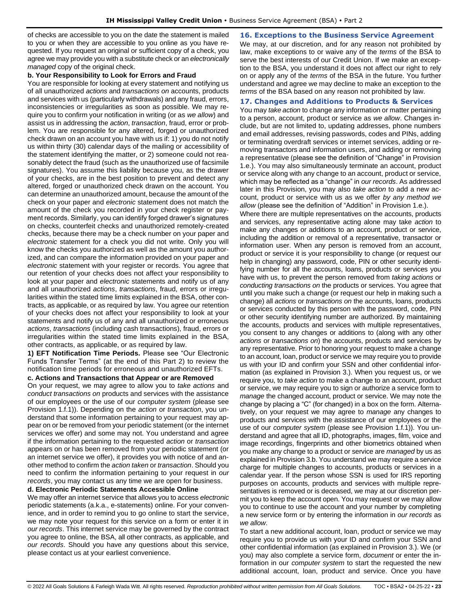of checks are accessible to you on the date the statement is mailed to you or when they are accessible to you online as you have requested. If you request an original or sufficient copy of a check, you agree we may provide you with a substitute check or an *electronically managed* copy of the original check.

### **b. Your Responsibility to Look for Errors and Fraud**

You are responsible for looking at every statement and notifying us of all unauthorized *actions* and *transactions on* accounts, products and services with us (particularly withdrawals) and any fraud, errors, inconsistencies or irregularities as soon as possible. We may require you to confirm your notification in writing (or as *we allow*) and assist us in addressing the *action*, *transaction*, fraud, error or problem. You are responsible for any altered, forged or unauthorized check drawn on an account you have with us if: 1) you do not notify us within thirty (30) calendar days of the mailing or accessibility of the statement identifying the matter, or 2) someone could not reasonably detect the fraud (such as the unauthorized use of facsimile signatures). You assume this liability because you, as the drawer of your checks, are in the best position to prevent and detect any altered, forged or unauthorized check drawn on the account. You can determine an unauthorized amount, because the amount of the check on your paper and *electronic* statement does not match the amount of the check you recorded in your check register or payment records. Similarly, you can identify forged drawer's signatures on checks, counterfeit checks and unauthorized remotely-created checks, because there may be a check number on your paper and *electronic* statement for a check you did not write. Only you will know the checks you authorized as well as the amount you authorized, and can compare the information provided on your paper and *electronic* statement with your register or records. You agree that our retention of your checks does not affect your responsibility to look at your paper and *electronic* statements and notify us of any and all unauthorized *actions*, *transactions*, fraud, errors or irregularities within the stated time limits explained in the BSA, other contracts, as applicable, or as required by law. You agree our retention of your checks does not affect your responsibility to look at your statements and notify us of any and all unauthorized or erroneous *actions*, *transactions* (including cash transactions), fraud, errors or irregularities within the stated time limits explained in the BSA, other contracts, as applicable, or as required by law.

**1) EFT Notification Time Periods.** Please see "Our Electronic Funds Transfer Terms" (at the end of this Part 2) to review the notification time periods for erroneous and unauthorized EFTs.

#### **c. Actions and Transactions that Appear or are Removed**

On your request, we may agree to allow you to *take actions* and *conduct transactions on* products and services with the assistance of our employees or the use of our *computer system* (please see Provision 1.f.1)). Depending on the *action* or *transaction*, you understand that some information pertaining to your request may appear on or be removed from your periodic statement (or the internet services we offer) and some may not. You understand and agree if the information pertaining to the requested *action* or *transaction* appears on or has been removed from your periodic statement (or an internet service we offer), it provides you with notice of and another method to confirm the *action taken* or *transaction*. Should you need to confirm the information pertaining to your request in *our records*, you may contact us any time we are open for business.

### **d. Electronic Periodic Statements Accessible Online**

We may offer an internet service that allows you to access *electronic* periodic statements (a.k.a., e-statements) online. For your convenience, and in order to remind you to go online to start the service, we may note your request for this service on a form or enter it in *our records*. This internet service may be governed by the contract you agree to online, the BSA, all other contracts, as applicable, and *our records*. Should you have any questions about this service, please contact us at your earliest convenience.

<span id="page-22-0"></span>**16. Exceptions to the Business Service Agreement** We may, at our discretion, and for any reason not prohibited by law, make exceptions to or waive any of the *terms* of the BSA to serve the best interests of our Credit Union. If we make an exception to the BSA, you understand it does not affect our right to rely on or apply any of the *terms* of the BSA in the future. You further understand and agree we may decline to make an exception to the *terms* of the BSA based on any reason not prohibited by law.

#### <span id="page-22-1"></span>**17. Changes and Additions to Products & Services**

You may *take action* to change any information or matter pertaining to a person, account, product or service as *we allow*. Changes include, but are not limited to, updating addresses, phone numbers and email addresses, revising passwords, codes and PINs, adding or terminating overdraft services or internet services, adding or removing transactors and information users, and adding or removing a representative (please see the definition of "Change" in Provision 1.e.). You may also simultaneously terminate an account, product or service along with any change to an account, product or service, which may be reflected as a "change" in *our records*. As addressed later in this Provision, you may also *take action* to add a new account, product or service with us as we offer *by any method we allow* (please see the definition of "Addition" in Provision 1.e.).

Where there are multiple representatives on the accounts, products and services, any representative acting alone may take *action* to make any changes or additions to an account, product or service, including the addition or removal of a representative, transactor or information user. When any person is removed from an account, product or service it is your responsibility to change (or request our help in changing) any password, code, PIN or other security identifying number for all the accounts, loans, products or services you have with us, to prevent the person removed from *taking actions* or *conducting transactions on* the products or services. You agree that until you make such a change (or request our help in making such a change) all *actions* or *transactions on* the accounts, loans, products or services conducted by this person with the password, code, PIN or other security identifying number are authorized. By maintaining the accounts, products and services with multiple representatives, you consent to any changes or additions to (along with any other *actions* or *transactions on*) the accounts, products and services by any representative. Prior to honoring your request to make a change to an account, loan, product or service we may require you to provide us with your ID and confirm your SSN and other confidential information (as explained in Provision 3.). When you request us, or we require you, to *take action* to make a change to an account, product or service, we may require you to sign or authorize a service form to *manage* the changed account, product or service. We may note the change by placing a "C" (for changed) in a box on the form. Alternatively, on your request we may agree to *manage* any changes to products and services with the assistance of our employees or the use of our *computer system* (please see Provision 1.f.1)). You understand and agree that all ID, photographs, images, film, voice and image recordings, fingerprints and other biometrics obtained when you make any change to a product or service are *managed* by us as explained in Provision 3.b. You understand we may require a service charge for multiple changes to accounts, products or services in a calendar year. If the person whose SSN is used for IRS reporting purposes on accounts, products and services with multiple representatives is removed or is deceased, we may at our discretion permit you to keep the account open. You may request or we may allow you to continue to use the account and your number by completing a new service form or by entering the information in *our records* as *we allow*.

To start a new additional account, loan, product or service we may require you to provide us with your ID and confirm your SSN and other confidential information (as explained in Provision 3.). We (or you) may also complete a service form, *document* or enter the information in our *computer system* to start the requested the new additional account, loan, product and service. Once you have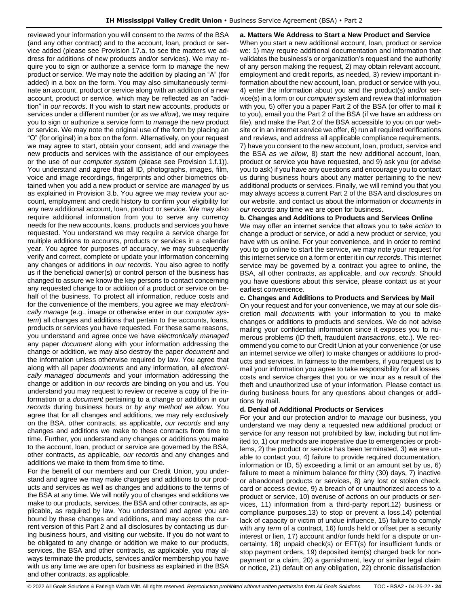reviewed your information you will consent to the *terms* of the BSA (and any other contract) and to the account, loan, product or service added (please see Provision 17.a. to see the matters we address for additions of new products and/or services). We may require you to sign or authorize a service form to *manage* the new product or service. We may note the addition by placing an "A" (for added) in a box on the form. You may also simultaneously terminate an account, product or service along with an addition of a new account, product or service, which may be reflected as an "addition" in *our records*. If you wish to start new accounts, products or services under a different number (or *as we allow*), we may require you to sign or authorize a service form to *manage* the new product or service. We may note the original use of the form by placing an "O" (for original) in a box on the form. Alternatively, on your request we may agree to start, obtain your consent, add and *manage* the new products and services with the assistance of our employees or the use of our *computer system* (please see Provision 1.f.1)). You understand and agree that all ID, photographs, images, film, voice and image recordings, fingerprints and other biometrics obtained when you add a new product or service are *managed* by us as explained in Provision 3.b. You agree we may review your account, employment and credit history to confirm your eligibility for any new additional account, loan, product or service. We may also require additional information from you to serve any currency needs for the new accounts, loans, products and services you have requested. You understand we may require a service charge for multiple additions to accounts, products or services in a calendar year. You agree for purposes of accuracy, we may subsequently verify and correct, complete or update your information concerning any changes or additions in *our records*. You also agree to notify us if the beneficial owner(s) or control person of the business has changed to assure we know the key persons to contact concerning any requested change to or addition of a product or service on behalf of the business. To protect all information, reduce costs and for the convenience of the members, you agree we may *electronically manage* (e.g., image or otherwise enter in our *computer system*) all changes and additions that pertain to the accounts, loans, products or services you have requested. For these same reasons, you understand and agree once we have *electronically managed* any paper *document* along with your information addressing the change or addition*,* we may also destroy the paper *document* and the information unless otherwise required by law. You agree that along with all paper *documents* and any information*,* all *electronically managed documents* and your information addressing the change or addition in *our records* are binding on you and us. You understand you may request to review or receive a copy of the information or a *document* pertaining to a change or addition in *our records* during business hours or *by any method we allow*. You agree that for all changes and additions, we may rely exclusively on the BSA, other contracts, as applicable, *our records* and any changes and additions we make to these contracts from time to time. Further, you understand any changes or additions you make to the account, loan, product or service are governed by the BSA, other contracts, as applicable, *our records* and any changes and additions we make to them from time to time.

For the benefit of our members and our Credit Union, you understand and agree we may make changes and additions to our products and services as well as changes and additions to the terms of the BSA at any time. We will notify you of changes and additions we make to our products, services, the BSA and other contracts, as applicable, as required by law. You understand and agree you are bound by these changes and additions, and may access the current version of this Part 2 and all disclosures by contacting us during business hours, and visiting our website. If you do not want to be obligated to any change or addition we make to our products, services, the BSA and other contracts, as applicable, you may always terminate the products, services and/or membership you have with us any time we are open for business as explained in the BSA and other contracts, as applicable.

**a. Matters We Address to Start a New Product and Service** When you start a new additional account, loan, product or service we: 1) may require additional documentation and information that validates the business's or organization's request and the authority of any person making the request, 2) may obtain relevant account, employment and credit reports, as needed, 3) review important information about the new account, loan, product or service with you, 4) enter the information about you and the product(s) and/or service(s) in a form or our *computer system* and review that information with you, 5) offer you a paper Part 2 of the BSA (or offer to mail it to you), email you the Part 2 of the BSA (if we have an address on file), and make the Part 2 of the BSA accessible to you on our website or in an internet service we offer, 6) run all required verifications and reviews, and address all applicable compliance requirements, 7) have you consent to the new account, loan, product, service and the BSA *as we allow*, 8) start the new additional account, loan, product or service you have requested, and 9) ask you (or advise you to ask) if you have any questions and encourage you to contact us during business hours about any matter pertaining to the new additional products or services. Finally, we will remind you that you may always access a current Part 2 of the BSA and disclosures on our website, and contact us about the information or *documents* in *our records* any time we are open for business.

### **b. Changes and Additions to Products and Services Online**

We may offer an internet service that allows you to *take action* to change a product or service, or add a new product or service, you have with us online. For your convenience, and in order to remind you to go online to start the service, we may note your request for this internet service on a form or enter it in *our records*. This internet service may be governed by a contract you agree to online, the BSA, all other contracts, as applicable, and *our records*. Should you have questions about this service, please contact us at your earliest convenience.

### **c. Changes and Additions to Products and Services by Mail**

On your request and for your convenience, we may at our sole discretion mail *documents* with your information to you to make changes or additions to products and services. We do not advise mailing your confidential information since it exposes you to numerous problems (ID theft, fraudulent *transactions*, etc.). We recommend you come to our Credit Union at your convenience (or use an internet service we offer) to make changes or additions to products and services. In fairness to the members, if you request us to mail your information you agree to take responsibility for all losses, costs and service charges that you or we incur as a result of the theft and unauthorized use of your information. Please contact us during business hours for any questions about changes or additions by mail.

#### **d. Denial of Additional Products or Services**

For your and our protection and/or to *manage* our business, you understand we may deny a requested new additional product or service for any reason not prohibited by law, including but not limited to, 1) our methods are inoperative due to emergencies or problems, 2) the product or service has been terminated, 3) we are unable to contact you, 4) failure to provide required documentation, information or ID, 5) exceeding a limit or an amount set by us, 6) failure to meet a minimum balance for thirty (30) days, 7) inactive or abandoned products or services, 8) any lost or stolen check, card or access device, 9) a breach of or unauthorized access to a product or service, 10) overuse of *actions* on our products or services, 11) information from a third-party report,12) business or compliance purposes,13) to stop or prevent a loss,14) potential lack of capacity or victim of undue influence, 15) failure to comply with any *term* of a contract, 16) funds held or offset per a security interest or lien, 17) account and/or funds held for a dispute or uncertainty, 18) unpaid check(s) or EFT(s) for insufficient funds or stop payment orders, 19) deposited item(s) charged back for nonpayment or a claim, 20) a garnishment, levy or similar legal claim or notice, 21) default on any obligation, 22) chronic dissatisfaction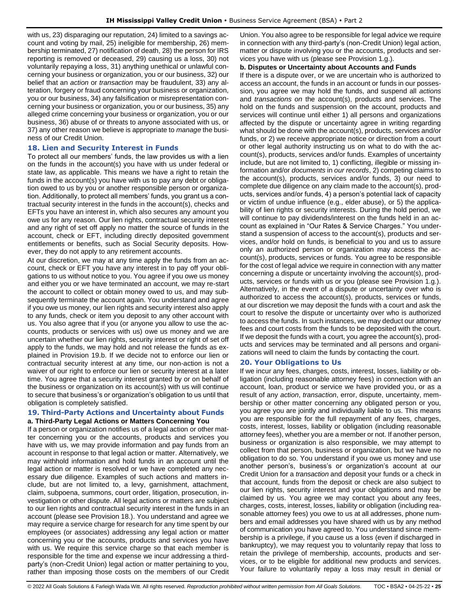with us, 23) disparaging our reputation, 24) limited to a savings account and voting by mail, 25) ineligible for membership, 26) membership terminated, 27) notification of death, 28) the person for IRS reporting is removed or deceased, 29) causing us a loss, 30) not voluntarily repaying a loss, 31) anything unethical or unlawful concerning your business or organization, you or our business, 32) our belief that an *action* or *transaction* may be fraudulent, 33) any alteration, forgery or fraud concerning your business or organization, you or our business, 34) any falsification or misrepresentation concerning your business or organization, you or our business, 35) any alleged crime concerning your business or organization, you or our business, 36) abuse of or threats to anyone associated with us, or 37) any other reason we believe is appropriate to *manage* the business of our Credit Union.

### <span id="page-24-0"></span>**18. Lien and Security Interest in Funds**

To protect all our members' funds, the law provides us with a lien on the funds in the account(s) you have with us under federal or state law, as applicable. This means we have a right to retain the funds in the account(s) you have with us to pay any debt or obligation owed to us by you or another responsible person or organization. Additionally, to protect all members' funds, you grant us a contractual security interest in the funds in the account(s), checks and EFTs you have an interest in, which also secures any amount you owe us for any reason. Our lien rights, contractual security interest and any right of set off apply no matter the source of funds in the account, check or EFT, including directly deposited government entitlements or benefits, such as Social Security deposits. However, they do not apply to any retirement accounts.

At our discretion, we may at any time apply the funds from an account, check or EFT you have any interest in to pay off your obligations to us without notice to you. You agree if you owe us money and either you or we have terminated an account, we may re-start the account to collect or obtain money owed to us, and may subsequently terminate the account again. You understand and agree if you owe us money, our lien rights and security interest also apply to any funds, check or item you deposit to any other account with us. You also agree that if you (or anyone you allow to use the accounts, products or services with us) owe us money and we are uncertain whether our lien rights, security interest or right of set off apply to the funds, we may hold and not release the funds as explained in Provision 19.b. If we decide not to enforce our lien or contractual security interest at any time, our non-action is not a waiver of our right to enforce our lien or security interest at a later time. You agree that a security interest granted by or on behalf of the business or organization on its account(s) with us will continue to secure that business's or organization's obligation to us until that obligation is completely satisfied.

### <span id="page-24-1"></span>**19. Third-Party Actions and Uncertainty about Funds a. Third-Party Legal Actions or Matters Concerning You**

If a person or organization notifies us of a legal action or other matter concerning you or the accounts, products and services you have with us, we may provide information and pay funds from an account in response to that legal action or matter. Alternatively, we may withhold information and hold funds in an account until the legal action or matter is resolved or we have completed any necessary due diligence. Examples of such actions and matters include, but are not limited to, a levy, garnishment, attachment, claim, subpoena, summons, court order, litigation, prosecution, investigation or other dispute. All legal actions or matters are subject to our lien rights and contractual security interest in the funds in an account (please see Provision 18.). You understand and agree we may require a service charge for research for any time spent by our employees (or associates) addressing any legal action or matter concerning you or the accounts, products and services you have with us. We require this service charge so that each member is responsible for the time and expense we incur addressing a thirdparty's (non-Credit Union) legal action or matter pertaining to you, rather than imposing those costs on the members of our Credit Union. You also agree to be responsible for legal advice we require in connection with any third-party's (non-Credit Union) legal action, matter or dispute involving you or the accounts, products and services you have with us (please see Provision 1.g.).

#### **b. Disputes or Uncertainty about Accounts and Funds**

If there is a dispute over, or we are uncertain who is authorized to access an account, the funds in an account or funds in our possession, you agree we may hold the funds, and suspend all *actions* and *transactions on* the account(s), products and services. The hold on the funds and suspension on the account, products and services will continue until either 1) all persons and organizations affected by the dispute or uncertainty agree in writing regarding what should be done with the account(s), products, services and/or funds, or 2) we receive appropriate notice or direction from a court or other legal authority instructing us on what to do with the account(s), products, services and/or funds. Examples of uncertainty include, but are not limited to, 1) conflicting, illegible or missing information and/or *documents* in *our records*, 2) competing claims to the account(s), products, services and/or funds, 3) our need to complete due diligence on any claim made to the account(s), products, services and/or funds, 4) a person's potential lack of capacity or victim of undue influence (e.g., elder abuse), or 5) the applicability of lien rights or security interests. During the hold period, we will continue to pay dividends/interest on the funds held in an account as explained in "Our Rates & Service Charges." You understand a suspension of access to the account(s), products and services, and/or hold on funds, is beneficial to you and us to assure only an authorized person or organization may access the account(s), products, services or funds. You agree to be responsible for the cost of legal advice we require in connection with any matter concerning a dispute or uncertainty involving the account(s), products, services or funds with us or you (please see Provision 1.g.). Alternatively, in the event of a dispute or uncertainty over who is authorized to access the account(s), products, services or funds, at our discretion we may deposit the funds with a court and ask the court to resolve the dispute or uncertainty over who is authorized to access the funds. In such instances, we may deduct our attorney fees and court costs from the funds to be deposited with the court. If we deposit the funds with a court, you agree the account(s), products and services may be terminated and all persons and organizations will need to claim the funds by contacting the court.

### <span id="page-24-2"></span>**20. Your Obligations to Us**

If we incur any fees, charges, costs, interest, losses, liability or obligation (including reasonable attorney fees) in connection with an account, loan, product or service we have provided you, or as a result of any *action*, *transaction*, error, dispute, uncertainty, membership or other matter concerning any obligated person or you, you agree you are jointly and individually liable to us. This means you are responsible for the full repayment of any fees, charges, costs, interest, losses, liability or obligation (including reasonable attorney fees), whether you are a member or not. If another person, business or organization is also responsible, we may attempt to collect from that person, business or organization, but we have no obligation to do so. You understand if you owe us money and use another person's, business's or organization's account at our Credit Union for a *transaction* and deposit your funds or a check in that account, funds from the deposit or check are also subject to our lien rights, security interest and your obligations and may be claimed by us. You agree we may contact you about any fees, charges, costs, interest, losses, liability or obligation (including reasonable attorney fees) you owe to us at all addresses, phone numbers and email addresses you have shared with us by any method of communication you have agreed to. You understand since membership is a privilege, if you cause us a loss (even if discharged in bankruptcy), we may request you to voluntarily repay that loss to retain the privilege of membership, accounts, products and services, or to be eligible for additional new products and services. Your failure to voluntarily repay a loss may result in denial or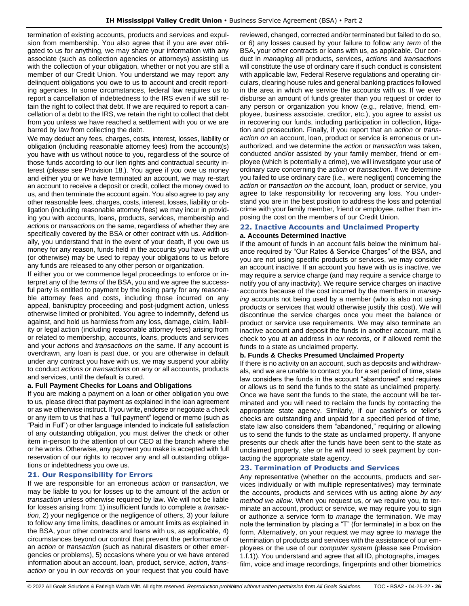termination of existing accounts, products and services and expulsion from membership. You also agree that if you are ever obligated to us for anything, we may share your information with any associate (such as collection agencies or attorneys) assisting us with the collection of your obligation, whether or not you are still a member of our Credit Union. You understand we may report any delinquent obligations you owe to us to account and credit reporting agencies. In some circumstances, federal law requires us to report a cancellation of indebtedness to the IRS even if we still retain the right to collect that debt. If we are required to report a cancellation of a debt to the IRS, we retain the right to collect that debt from you unless we have reached a settlement with you or we are barred by law from collecting the debt.

We may deduct any fees, charges, costs, interest, losses, liability or obligation (including reasonable attorney fees) from the account(s) you have with us without notice to you, regardless of the source of those funds according to our lien rights and contractual security interest (please see Provision 18.). You agree if you owe us money and either you or we have terminated an account, we may re-start an account to receive a deposit or credit, collect the money owed to us, and then terminate the account again. You also agree to pay any other reasonable fees, charges, costs, interest, losses, liability or obligation (including reasonable attorney fees) we may incur in providing you with accounts, loans, products, services, membership and *action*s or *transaction*s *on* the same, regardless of whether they are specifically covered by the BSA or other contract with us. Additionally, you understand that in the event of your death, if you owe us money for any reason, funds held in the accounts you have with us (or otherwise) may be used to repay your obligations to us before any funds are released to any other person or organization.

If either you or we commence legal proceedings to enforce or interpret any of the *terms* of the BSA, you and we agree the successful party is entitled to payment by the losing party for any reasonable attorney fees and costs, including those incurred on any appeal, bankruptcy proceeding and post-judgment action, unless otherwise limited or prohibited. You agree to indemnify, defend us against, and hold us harmless from any loss, damage, claim, liability or legal action (including reasonable attorney fees) arising from or related to membership, accounts, loans, products and services and your *actions* and *transactions on* the same. If any account is overdrawn, any loan is past due, or you are otherwise in default under any contract you have with us, we may suspend your ability to conduct *actions or transactions* on any or all accounts, products and services, until the default is cured.

#### **a. Full Payment Checks for Loans and Obligations**

If you are making a payment on a loan or other obligation you owe to us, please direct that payment as explained in the loan agreement or as we otherwise instruct. If you write**,** endorse or negotiate a check or any item to us that has a "full payment" legend or memo (such as "Paid in Full") or other language intended to indicate full satisfaction of any outstanding obligation, you must deliver the check or other item in-person to the attention of our CEO at the branch where she or he works. Otherwise, any payment you make is accepted with full reservation of our rights to recover any and all outstanding obligations or indebtedness you owe us.

### <span id="page-25-0"></span>**21. Our Responsibility for Errors**

If we are responsible for an erroneous *action* or *transaction*, we may be liable to you for losses up to the amount of the *action* or *transaction* unless otherwise required by law. We will not be liable for losses arising from: 1) insufficient funds to complete a *transaction*, 2) your negligence or the negligence of others, 3) your failure to follow any time limits, deadlines or amount limits as explained in the BSA, your other contracts and loans with us, as applicable, 4) circumstances beyond our control that prevent the performance of an *action* or *transaction* (such as natural disasters or other emergencies or problems), 5) occasions where you or we have entered information about an account, loan, product, service, *action*, *transaction* or you in *our records* on your request that you could have reviewed, changed, corrected and/or terminated but failed to do so, or 6) any losses caused by your failure to follow any *term* of the BSA, your other contracts or loans with us, as applicable. Our conduct in *managing* all products, services, *actions* and *transactions* will constitute the use of ordinary care if such conduct is consistent with applicable law, Federal Reserve regulations and operating circulars, clearing house rules and general banking practices followed in the area in which we service the accounts with us. If we ever disburse an amount of funds greater than you request or order to any person or organization you know (e.g., relative, friend, employee, business associate, creditor, etc.), you agree to assist us in recovering our funds, including participation in collection, litigation and prosecution. Finally, if you report that an *action* or *transaction on* an account, loan, product or service is erroneous or unauthorized, and we determine the *action* or *transaction* was taken, conducted and/or assisted by your family member, friend or employee (which is potentially a crime), we will investigate your use of ordinary care concerning the *action* or *transaction*. If we determine you failed to use ordinary care (i.e., were negligent) concerning the *action* or *transaction on* the account, loan, product or service, you agree to take responsibility for recovering any loss. You understand you are in the best position to address the loss and potential crime with your family member, friend or employee, rather than imposing the cost on the members of our Credit Union.

# <span id="page-25-1"></span>**22. Inactive Accounts and Unclaimed Property**

### **a. Accounts Determined Inactive**

If the amount of funds in an account falls below the minimum balance required by "Our Rates & Service Charges" of the BSA, and you are not using specific products or services, we may consider an account inactive. If an account you have with us is inactive, we may require a service charge (and may require a service charge to notify you of any inactivity). We require service charges on inactive accounts because of the cost incurred by the members in *managing* accounts not being used by a member (who is also not using products or services that would otherwise justify this cost). We will discontinue the service charges once you meet the balance or product or service use requirements. We may also terminate an inactive account and deposit the funds in another account, mail a check to you at an address in *our records*, or if allowed remit the funds to a state as unclaimed property.

#### **b. Funds & Checks Presumed Unclaimed Property**

If there is no activity on an account, such as deposits and withdrawals, and we are unable to contact you for a set period of time, state law considers the funds in the account "abandoned" and requires or allows us to send the funds to the state as unclaimed property. Once we have sent the funds to the state, the account will be terminated and you will need to reclaim the funds by contacting the appropriate state agency. Similarly, if our cashier's or teller's checks are outstanding and unpaid for a specified period of time, state law also considers them "abandoned," requiring or allowing us to send the funds to the state as unclaimed property. If anyone presents our check after the funds have been sent to the state as unclaimed property, she or he will need to seek payment by contacting the appropriate state agency.

#### <span id="page-25-2"></span>**23. Termination of Products and Services**

Any representative (whether on the accounts, products and services individually or with multiple representatives) may terminate the accounts, products and services with us acting alone *by any method we allow*. When you request us, or we require you, to terminate an account, product or service, we may require you to sign or authorize a service form to *manage* the termination. We may note the termination by placing a "T" (for terminate) in a box on the form. Alternatively, on your request we may agree to *manage* the termination of products and services with the assistance of our employees or the use of our *computer system* (please see Provision 1.f.1)). You understand and agree that all ID, photographs, images, film, voice and image recordings, fingerprints and other biometrics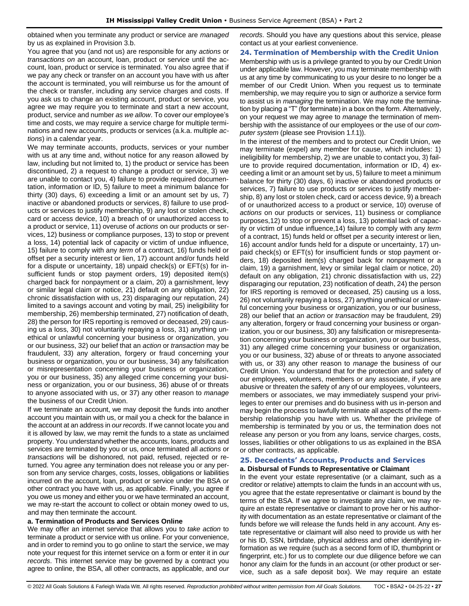obtained when you terminate any product or service are *managed* by us as explained in Provision 3.b.

You agree that you (and not us) are responsible for any *actions* or *transactions on* an account, loan, product or service until the account, loan, product or service is terminated. You also agree that if we pay any check or transfer on an account you have with us after the account is terminated, you will reimburse us for the amount of the check or transfer, including any service charges and costs. If you ask us to change an existing account, product or service, you agree we may require you to terminate and start a new account, product, service and number *as we allow*. To cover our employee's time and costs, we may require a service charge for multiple terminations and new accounts, products or services (a.k.a. multiple *actions*) in a calendar year.

We may terminate accounts, products, services or your number with us at any time and, without notice for any reason allowed by law, including but not limited to, 1) the product or service has been discontinued, 2) a request to change a product or service, 3) we are unable to contact you, 4) failure to provide required documentation, information or ID, 5) failure to meet a minimum balance for thirty (30) days, 6) exceeding a limit or an amount set by us, 7) inactive or abandoned products or services, 8) failure to use products or services to justify membership, 9) any lost or stolen check, card or access device, 10) a breach of or unauthorized access to a product or service, 11) overuse of *actions* on our products or services, 12) business or compliance purposes, 13) to stop or prevent a loss, 14) potential lack of capacity or victim of undue influence, 15) failure to comply with any *term* of a contract, 16) funds held or offset per a security interest or lien, 17) account and/or funds held for a dispute or uncertainty, 18) unpaid check(s) or EFT(s) for insufficient funds or stop payment orders, 19) deposited item(s) charged back for nonpayment or a claim, 20) a garnishment, levy or similar legal claim or notice, 21) default on any obligation, 22) chronic dissatisfaction with us, 23) disparaging our reputation, 24) limited to a savings account and voting by mail, 25) ineligibility for membership, 26) membership terminated, 27) notification of death, 28) the person for IRS reporting is removed or deceased, 29) causing us a loss, 30) not voluntarily repaying a loss, 31) anything unethical or unlawful concerning your business or organization, you or our business, 32) our belief that an *action* or *transaction* may be fraudulent, 33) any alteration, forgery or fraud concerning your business or organization, you or our business, 34) any falsification or misrepresentation concerning your business or organization, you or our business, 35) any alleged crime concerning your business or organization, you or our business, 36) abuse of or threats to anyone associated with us, or 37) any other reason to *manage* the business of our Credit Union.

If we terminate an account, we may deposit the funds into another account you maintain with us, or mail you a check for the balance in the account at an address in *our records*. If we cannot locate you and it is allowed by law, we may remit the funds to a state as unclaimed property. You understand whether the accounts, loans, products and services are terminated by you or us, once terminated all *actions* or *transactions* will be dishonored, not paid, refused, rejected or returned. You agree any termination does not release you or any person from any service charges, costs, losses, obligations or liabilities incurred on the account, loan, product or service under the BSA or other contract you have with us, as applicable. Finally, you agree if you owe us money and either you or we have terminated an account, we may re-start the account to collect or obtain money owed to us, and may then terminate the account.

### **a. Termination of Products and Services Online**

We may offer an internet service that allows you to *take action* to terminate a product or service with us online. For your convenience, and in order to remind you to go online to start the service, we may note your request for this internet service on a form or enter it in *our records*. This internet service may be governed by a contract you agree to online, the BSA, all other contracts, as applicable, and *our*  *records*. Should you have any questions about this service, please contact us at your earliest convenience.

### <span id="page-26-0"></span>**24. Termination of Membership with the Credit Union**

Membership with us is a privilege granted to you by our Credit Union under applicable law. However, you may terminate membership with us at any time by communicating to us your desire to no longer be a member of our Credit Union. When you request us to terminate membership, we may require you to sign or authorize a service form to assist us in *managing* the termination. We may note the termination by placing a "T" (for terminate) in a box on the form. Alternatively, on your request we may agree to *manage* the termination of membership with the assistance of our employees or the use of our *computer system* (please see Provision 1.f.1)).

In the interest of the members and to protect our Credit Union, we may terminate (expel) any member for cause, which includes: 1) ineligibility for membership, 2) we are unable to contact you, 3) failure to provide required documentation, information or ID, 4) exceeding a limit or an amount set by us, 5) failure to meet a minimum balance for thirty (30) days, 6) inactive or abandoned products or services, 7) failure to use products or services to justify membership, 8) any lost or stolen check, card or access device, 9) a breach of or unauthorized access to a product or service, 10) overuse of *actions* on our products or services, 11) business or compliance purposes,12) to stop or prevent a loss, 13) potential lack of capacity or victim of undue influence,14) failure to comply with any *term* of a contract, 15) funds held or offset per a security interest or lien, 16) account and/or funds held for a dispute or uncertainty, 17) unpaid check(s) or EFT(s) for insufficient funds or stop payment orders, 18) deposited item(s) charged back for nonpayment or a claim, 19) a garnishment, levy or similar legal claim or notice, 20) default on any obligation, 21) chronic dissatisfaction with us, 22) disparaging our reputation, 23) notification of death, 24) the person for IRS reporting is removed or deceased, 25) causing us a loss, 26) not voluntarily repaying a loss, 27) anything unethical or unlawful concerning your business or organization, you or our business, 28) our belief that an *action* or *transaction* may be fraudulent, 29) any alteration, forgery or fraud concerning your business or organization, you or our business, 30) any falsification or misrepresentation concerning your business or organization, you or our business, 31) any alleged crime concerning your business or organization, you or our business, 32) abuse of or threats to anyone associated with us, or 33) any other reason to *manage* the business of our Credit Union. You understand that for the protection and safety of our employees, volunteers, members or any associate, if you are abusive or threaten the safety of any of our employees, volunteers, members or associates, we may immediately suspend your privileges to enter our premises and do business with us in-person and may begin the process to lawfully terminate all aspects of the membership relationship you have with us. Whether the privilege of membership is terminated by you or us, the termination does not release any person or you from any loans, service charges, costs, losses, liabilities or other obligations to us as explained in the BSA or other contracts, as applicable.

### <span id="page-26-1"></span>**25. Decedents' Accounts, Products and Services a. Disbursal of Funds to Representative or Claimant**

In the event your estate representative (or a claimant, such as a creditor or relative) attempts to claim the funds in an account with us, you agree that the estate representative or claimant is bound by the terms of the BSA. If we agree to investigate any claim, we may require an estate representative or claimant to prove her or his authority with documentation as an estate representative or claimant of the funds before we will release the funds held in any account. Any estate representative or claimant will also need to provide us with her or his ID, SSN, birthdate, physical address and other identifying information as we require (such as a second form of ID, thumbprint or fingerprint, etc.) for us to complete our due diligence before we can honor any claim for the funds in an account (or other product or service, such as a safe deposit box). We may require an estate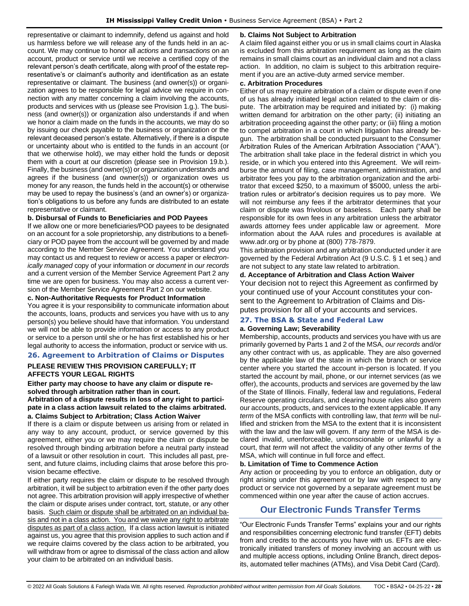representative or claimant to indemnify, defend us against and hold us harmless before we will release any of the funds held in an account. We may continue to honor all *actions* and *transactions* on an account, product or service until we receive a certified copy of the relevant person's death certificate, along with proof of the estate representative's or claimant's authority and identification as an estate representative or claimant. The business (and owner(s)) or organization agrees to be responsible for legal advice we require in connection with any matter concerning a claim involving the accounts, products and services with us (please see Provision 1.g.). The business (and owner(s)) or organization also understands if and when we honor a claim made on the funds in the accounts, we may do so by issuing our check payable to the business or organization or the relevant deceased person's estate. Alternatively, if there is a dispute or uncertainty about who is entitled to the funds in an account (or that we otherwise hold), we may either hold the funds or deposit them with a court at our discretion (please see in Provision 19.b.). Finally, the business (and owner(s)) or organization understands and agrees if the business (and owner(s)) or organization owes us money for any reason, the funds held in the account(s) or otherwise may be used to repay the business's (and an owner's) or organization's obligations to us before any funds are distributed to an estate representative or claimant.

### **b. Disbursal of Funds to Beneficiaries and POD Payees**

If we allow one or more beneficiaries/POD payees to be designated on an account for a sole proprietorship, any distributions to a beneficiary or POD payee from the account will be governed by and made according to the Member Service Agreement. You understand you may contact us and request to review or access a paper or *electronically managed* copy of your information or *document* in *our records* and a current version of the Member Service Agreement Part 2 any time we are open for business. You may also access a current version of the Member Service Agreement Part 2 on our website.

### **c. Non-Authoritative Requests for Product Information**

You agree it is your responsibility to communicate information about the accounts, loans, products and services you have with us to any person(s) you believe should have that information. You understand we will not be able to provide information or access to any product or service to a person until she or he has first established his or her legal authority to access the information, product or service with us.

### <span id="page-27-0"></span>**26. Agreement to Arbitration of Claims or Disputes**

### **PLEASE REVIEW THIS PROVISION CAREFULLY; IT AFFECTS YOUR LEGAL RIGHTS**

#### **Either party may choose to have any claim or dispute resolved through arbitration rather than in court.**

**Arbitration of a dispute results in loss of any right to participate in a class action lawsuit related to the claims arbitrated. a. Claims Subject to Arbitration; Class Action Waiver**

If there is a claim or dispute between us arising from or related in any way to any account, product, or service governed by this agreement, either you or we may require the claim or dispute be resolved through binding arbitration before a neutral party instead of a lawsuit or other resolution in court. This includes all past, present, and future claims, including claims that arose before this provision became effective.

If either party requires the claim or dispute to be resolved through arbitration, it will be subject to arbitration even if the other party does not agree. This arbitration provision will apply irrespective of whether the claim or dispute arises under contract, tort, statute, or any other basis. Such claim or dispute shall be arbitrated on an individual basis and not in a class action. You and we waive any right to arbitrate disputes as part of a class action. If a class action lawsuit is initiated against us, you agree that this provision applies to such action and if we require claims covered by the class action to be arbitrated, you will withdraw from or agree to dismissal of the class action and allow your claim to be arbitrated on an individual basis.

### **b. Claims Not Subject to Arbitration**

A claim filed against either you or us in small claims court in Alaska is excluded from this arbitration requirement as long as the claim remains in small claims court as an individual claim and not a class action. In addition, no claim is subject to this arbitration requirement if you are an active-duty armed service member.

### **c. Arbitration Procedures**

Either of us may require arbitration of a claim or dispute even if one of us has already initiated legal action related to the claim or dispute. The arbitration may be required and initiated by: (i) making written demand for arbitration on the other party; (ii) initiating an arbitration proceeding against the other party; or (iii) filing a motion to compel arbitration in a court in which litigation has already begun. The arbitration shall be conducted pursuant to the Consumer Arbitration Rules of the American Arbitration Association ("AAA"). The arbitration shall take place in the federal district in which you reside, or in which you entered into this Agreement. We will reimburse the amount of filing, case management, administration, and arbitrator fees you pay to the arbitration organization and the arbitrator that exceed \$250, to a maximum of \$5000, unless the arbitration rules or arbitrator's decision requires us to pay more. We will not reimburse any fees if the arbitrator determines that your claim or dispute was frivolous or baseless. Each party shall be responsible for its own fees in any arbitration unless the arbitrator awards attorney fees under applicable law or agreement. More information about the AAA rules and procedures is available at www.adr.org or by phone at (800) 778-7879.

This arbitration provision and any arbitration conducted under it are governed by the Federal Arbitration Act (9 U.S.C. § 1 et seq.) and are not subject to any state law related to arbitration.

### **d. Acceptance of Arbitration and Class Action Waiver**

Your decision not to reject this Agreement as confirmed by your continued use of your Account constitutes your consent to the Agreement to Arbitration of Claims and Disputes provision for all of your accounts and services.

### <span id="page-27-1"></span>**27. The BSA & State and Federal Law**

### **a. Governing Law; Severability**

Membership, accounts, products and services you have with us are primarily governed by Parts 1 and 2 of the MSA, *our records* and/or any other contract with us, as applicable. They are also governed by the applicable law of the state in which the branch or service center where you started the account in-person is located. If you started the account by mail, phone, or our internet services (as we offer), the accounts, products and services are governed by the law of the State of Illinois. Finally, federal law and regulations, Federal Reserve operating circulars, and clearing house rules also govern our accounts, products, and services to the extent applicable. If any *term* of the MSA conflicts with controlling law, that *term* will be nullified and stricken from the MSA to the extent that it is inconsistent with the law and the law will govern. If any *term* of the MSA is declared invalid, unenforceable, unconscionable or unlawful by a court, that *term* will not affect the validity of any other *terms* of the MSA, which will continue in full force and effect.

### **b. Limitation of Time to Commence Action**

Any action or proceeding by you to enforce an obligation, duty or right arising under this agreement or by law with respect to any product or service not governed by a separate agreement must be commenced within one year after the cause of action accrues.

# **Our Electronic Funds Transfer Terms**

<span id="page-27-2"></span>"Our Electronic Funds Transfer Terms" explains your and our rights and responsibilities concerning electronic fund transfer (EFT) debits from and credits to the accounts you have with us. EFTs are electronically initiated transfers of money involving an account with us and multiple access options, including Online Branch, direct deposits, automated teller machines (ATMs), and Visa Debit Card (Card).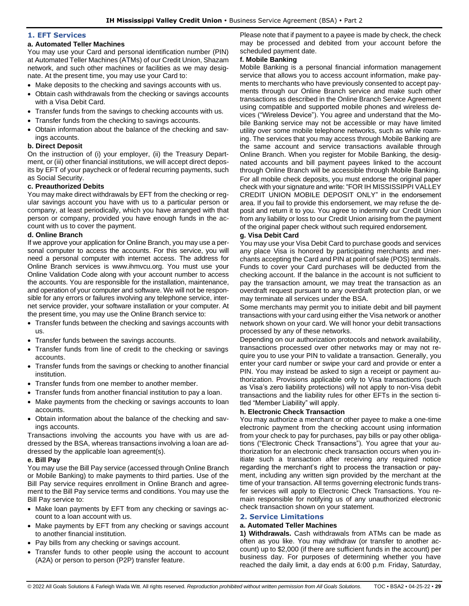#### <span id="page-28-0"></span>**1. EFT Services**

### **a. Automated Teller Machines**

You may use your Card and personal identification number (PIN) at Automated Teller Machines (ATMs) of our Credit Union, Shazam network, and such other machines or facilities as we may designate. At the present time, you may use your Card to:

- Make deposits to the checking and savings accounts with us.
- Obtain cash withdrawals from the checking or savings accounts with a Visa Debit Card.
- Transfer funds from the savings to checking accounts with us.
- Transfer funds from the checking to savings accounts.
- Obtain information about the balance of the checking and savings accounts.

## **b. Direct Deposit**

On the instruction of (i) your employer, (ii) the Treasury Department, or (iii) other financial institutions, we will accept direct deposits by EFT of your paycheck or of federal recurring payments, such as Social Security.

### **c. Preauthorized Debits**

You may make direct withdrawals by EFT from the checking or regular savings account you have with us to a particular person or company, at least periodically, which you have arranged with that person or company, provided you have enough funds in the account with us to cover the payment.

### **d. Online Branch**

If we approve your application for Online Branch, you may use a personal computer to access the accounts. For this service, you will need a personal computer with internet access. The address for Online Branch services is www.ihmvcu.org. You must use your Online Validation Code along with your account number to access the accounts. You are responsible for the installation, maintenance, and operation of your computer and software. We will not be responsible for any errors or failures involving any telephone service, internet service provider, your software installation or your computer. At the present time, you may use the Online Branch service to:

- Transfer funds between the checking and savings accounts with us.
- Transfer funds between the savings accounts.
- Transfer funds from line of credit to the checking or savings accounts.
- Transfer funds from the savings or checking to another financial institution.
- Transfer funds from one member to another member.
- Transfer funds from another financial institution to pay a loan.
- Make payments from the checking or savings accounts to loan accounts.
- Obtain information about the balance of the checking and savings accounts.

Transactions involving the accounts you have with us are addressed by the BSA, whereas transactions involving a loan are addressed by the applicable loan agreement(s).

# **e. Bill Pay**

You may use the Bill Pay service (accessed through Online Branch or Mobile Banking) to make payments to third parties. Use of the Bill Pay service requires enrollment in Online Branch and agreement to the Bill Pay service terms and conditions. You may use the Bill Pay service to:

- Make loan payments by EFT from any checking or savings account to a loan account with us.
- Make payments by EFT from any checking or savings account to another financial institution.
- Pay bills from any checking or savings account.
- Transfer funds to other people using the account to account (A2A) or person to person (P2P) transfer feature.

Please note that if payment to a payee is made by check, the check may be processed and debited from your account before the scheduled payment date.

# **f. Mobile Banking**

Mobile Banking is a personal financial information management service that allows you to access account information, make payments to merchants who have previously consented to accept payments through our Online Branch service and make such other transactions as described in the Online Branch Service Agreement using compatible and supported mobile phones and wireless devices ("Wireless Device"). You agree and understand that the Mobile Banking service may not be accessible or may have limited utility over some mobile telephone networks, such as while roaming. The services that you may access through Mobile Banking are the same account and service transactions available through Online Branch. When you register for Mobile Banking, the designated accounts and bill payment payees linked to the account through Online Branch will be accessible through Mobile Banking. For all mobile check deposits, you must endorse the original paper check with your signature and write: "FOR IH MISSISSIPPI VALLEY CREDIT UNION MOBILE DEPOSIT ONLY" in the endorsement area. If you fail to provide this endorsement, we may refuse the deposit and return it to you. You agree to indemnify our Credit Union from any liability or loss to our Credit Union arising from the payment of the original paper check without such required endorsement.

### **g. Visa Debit Card**

You may use your Visa Debit Card to purchase goods and services any place Visa is honored by participating merchants and merchants accepting the Card and PIN at point of sale (POS) terminals. Funds to cover your Card purchases will be deducted from the checking account. If the balance in the account is not sufficient to pay the transaction amount, we may treat the transaction as an overdraft request pursuant to any overdraft protection plan, or we may terminate all services under the BSA.

Some merchants may permit you to initiate debit and bill payment transactions with your card using either the Visa network or another network shown on your card. We will honor your debit transactions processed by any of these networks.

Depending on our authorization protocols and network availability, transactions processed over other networks may or may not require you to use your PIN to validate a transaction. Generally, you enter your card number or swipe your card and provide or enter a PIN. You may instead be asked to sign a receipt or payment authorization. Provisions applicable only to Visa transactions (such as Visa's zero liability protections) will not apply to non-Visa debit transactions and the liability rules for other EFTs in the section titled "Member Liability" will apply.

### **h. Electronic Check Transaction**

You may authorize a merchant or other payee to make a one-time electronic payment from the checking account using information from your check to pay for purchases, pay bills or pay other obligations ("Electronic Check Transactions"). You agree that your authorization for an electronic check transaction occurs when you initiate such a transaction after receiving any required notice regarding the merchant's right to process the transaction or payment, including any written sign provided by the merchant at the time of your transaction. All terms governing electronic funds transfer services will apply to Electronic Check Transactions. You remain responsible for notifying us of any unauthorized electronic check transaction shown on your statement.

### <span id="page-28-1"></span>**2. Service Limitations**

### **a. Automated Teller Machines**

**1) Withdrawals.** Cash withdrawals from ATMs can be made as often as you like. You may withdraw (or transfer to another account) up to \$2,000 (if there are sufficient funds in the account) per business day. For purposes of determining whether you have reached the daily limit, a day ends at 6:00 p.m. Friday, Saturday,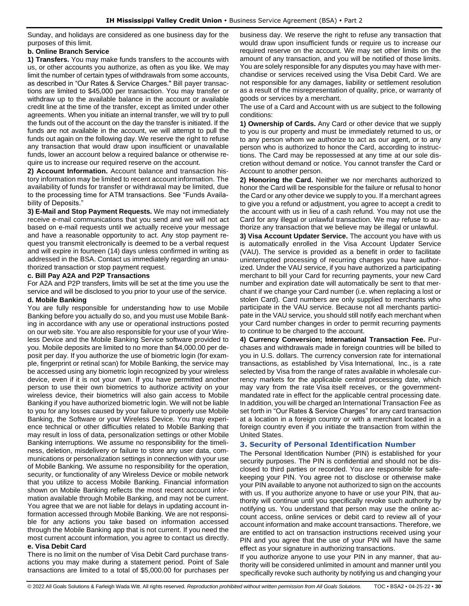Sunday, and holidays are considered as one business day for the purposes of this limit.

### **b. Online Branch Service**

**1) Transfers.** You may make funds transfers to the accounts with us, or other accounts you authorize, as often as you like. We may limit the number of certain types of withdrawals from some accounts, as described in "Our Rates & Service Charges." Bill payer transactions are limited to \$45,000 per transaction. You may transfer or withdraw up to the available balance in the account or available credit line at the time of the transfer, except as limited under other agreements. When you initiate an internal transfer, we will try to pull the funds out of the account on the day the transfer is initiated. If the funds are not available in the account, we will attempt to pull the funds out again on the following day. We reserve the right to refuse any transaction that would draw upon insufficient or unavailable funds, lower an account below a required balance or otherwise require us to increase our required reserve on the account.

**2) Account Information.** Account balance and transaction history information may be limited to recent account information. The availability of funds for transfer or withdrawal may be limited, due to the processing time for ATM transactions. See "Funds Availability of Deposits."

**3) E-Mail and Stop Payment Requests.** We may not immediately receive e-mail communications that you send and we will not act based on e-mail requests until we actually receive your message and have a reasonable opportunity to act. Any stop payment request you transmit electronically is deemed to be a verbal request and will expire in fourteen (14) days unless confirmed in writing as addressed in the BSA. Contact us immediately regarding an unauthorized transaction or stop payment request.

### **c. Bill Pay A2A and P2P Transactions**

For A2A and P2P transfers, limits will be set at the time you use the service and will be disclosed to you prior to your use of the service.

### **d. Mobile Banking**

You are fully responsible for understanding how to use Mobile Banking before you actually do so, and you must use Mobile Banking in accordance with any use or operational instructions posted on our web site. You are also responsible for your use of your Wireless Device and the Mobile Banking Service software provided to you. Mobile deposits are limited to no more than \$4,000.00 per deposit per day. If you authorize the use of biometric login (for example, fingerprint or retinal scan) for Mobile Banking, the service may be accessed using any biometric login recognized by your wireless device, even if it is not your own. If you have permitted another person to use their own biometrics to authorize activity on your wireless device, their biometrics will also gain access to Mobile Banking if you have authorized biometric login. We will not be liable to you for any losses caused by your failure to properly use Mobile Banking, the Software or your Wireless Device. You may experience technical or other difficulties related to Mobile Banking that may result in loss of data, personalization settings or other Mobile Banking interruptions. We assume no responsibility for the timeliness, deletion, misdelivery or failure to store any user data, communications or personalization settings in connection with your use of Mobile Banking. We assume no responsibility for the operation, security, or functionality of any Wireless Device or mobile network that you utilize to access Mobile Banking. Financial information shown on Mobile Banking reflects the most recent account information available through Mobile Banking, and may not be current. You agree that we are not liable for delays in updating account information accessed through Mobile Banking. We are not responsible for any actions you take based on information accessed through the Mobile Banking app that is not current. If you need the most current account information, you agree to contact us directly.

### **e. Visa Debit Card**

There is no limit on the number of Visa Debit Card purchase transactions you may make during a statement period. Point of Sale transactions are limited to a total of \$5,000.00 for purchases per

business day. We reserve the right to refuse any transaction that would draw upon insufficient funds or require us to increase our required reserve on the account. We may set other limits on the amount of any transaction, and you will be notified of those limits. You are solely responsible for any disputes you may have with merchandise or services received using the Visa Debit Card. We are not responsible for any damages, liability or settlement resolution as a result of the misrepresentation of quality, price, or warranty of goods or services by a merchant.

The use of a Card and Account with us are subject to the following conditions:

**1) Ownership of Cards.** Any Card or other device that we supply to you is our property and must be immediately returned to us, or to any person whom we authorize to act as our agent, or to any person who is authorized to honor the Card, according to instructions. The Card may be repossessed at any time at our sole discretion without demand or notice. You cannot transfer the Card or Account to another person.

**2) Honoring the Card.** Neither we nor merchants authorized to honor the Card will be responsible for the failure or refusal to honor the Card or any other device we supply to you. If a merchant agrees to give you a refund or adjustment, you agree to accept a credit to the account with us in lieu of a cash refund. You may not use the Card for any illegal or unlawful transaction. We may refuse to authorize any transaction that we believe may be illegal or unlawful.

**3) Visa Account Updater Service.** The account you have with us is automatically enrolled in the Visa Account Updater Service (VAU). The service is provided as a benefit in order to facilitate uninterrupted processing of recurring charges you have authorized. Under the VAU service, if you have authorized a participating merchant to bill your Card for recurring payments, your new Card number and expiration date will automatically be sent to that merchant if we change your Card number (i.e. when replacing a lost or stolen Card). Card numbers are only supplied to merchants who participate in the VAU service. Because not all merchants participate in the VAU service, you should still notify each merchant when your Card number changes in order to permit recurring payments to continue to be charged to the account.

**4) Currency Conversion; International Transaction Fee.** Purchases and withdrawals made in foreign countries will be billed to you in U.S. dollars. The currency conversion rate for international transactions, as established by Visa International, Inc., is a rate selected by Visa from the range of rates available in wholesale currency markets for the applicable central processing date, which may vary from the rate Visa itself receives, or the governmentmandated rate in effect for the applicable central processing date. In addition, you will be charged an International Transaction Fee as set forth in "Our Rates & Service Charges" for any card transaction at a location in a foreign country or with a merchant located in a foreign country even if you initiate the transaction from within the United States.

### <span id="page-29-0"></span>**3. Security of Personal Identification Number**

The Personal Identification Number (PIN) is established for your security purposes. The PIN is confidential and should not be disclosed to third parties or recorded. You are responsible for safekeeping your PIN. You agree not to disclose or otherwise make your PIN available to anyone not authorized to sign on the accounts with us. If you authorize anyone to have or use your PIN, that authority will continue until you specifically revoke such authority by notifying us. You understand that person may use the online account access, online services or debit card to review all of your account information and make account transactions. Therefore, we are entitled to act on transaction instructions received using your PIN and you agree that the use of your PIN will have the same effect as your signature in authorizing transactions.

If you authorize anyone to use your PIN in any manner, that authority will be considered unlimited in amount and manner until you specifically revoke such authority by notifying us and changing your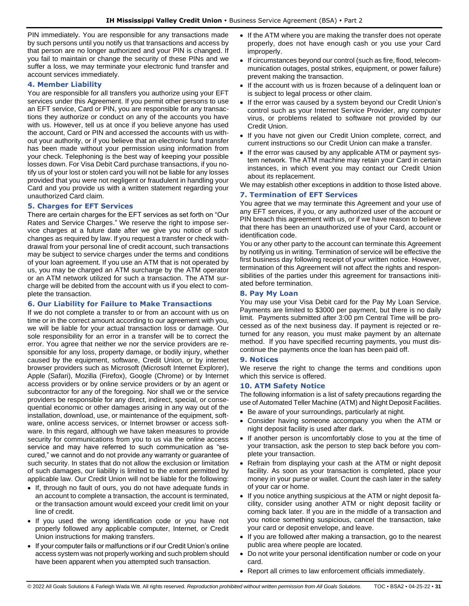PIN immediately. You are responsible for any transactions made by such persons until you notify us that transactions and access by that person are no longer authorized and your PIN is changed. If you fail to maintain or change the security of these PINs and we suffer a loss, we may terminate your electronic fund transfer and account services immediately.

### <span id="page-30-0"></span>**4. Member Liability**

You are responsible for all transfers you authorize using your EFT services under this Agreement. If you permit other persons to use an EFT service, Card or PIN, you are responsible for any transactions they authorize or conduct on any of the accounts you have with us. However, tell us at once if you believe anyone has used the account, Card or PIN and accessed the accounts with us without your authority, or if you believe that an electronic fund transfer has been made without your permission using information from your check. Telephoning is the best way of keeping your possible losses down. For Visa Debit Card purchase transactions, if you notify us of your lost or stolen card you will not be liable for any losses provided that you were not negligent or fraudulent in handling your Card and you provide us with a written statement regarding your unauthorized Card claim.

### <span id="page-30-1"></span>**5. Charges for EFT Services**

There are certain charges for the EFT services as set forth on "Our Rates and Service Charges." We reserve the right to impose service charges at a future date after we give you notice of such changes as required by law. If you request a transfer or check withdrawal from your personal line of credit account, such transactions may be subject to service charges under the terms and conditions of your loan agreement. If you use an ATM that is not operated by us, you may be charged an ATM surcharge by the ATM operator or an ATM network utilized for such a transaction. The ATM surcharge will be debited from the account with us if you elect to complete the transaction.

### <span id="page-30-2"></span>**6. Our Liability for Failure to Make Transactions**

If we do not complete a transfer to or from an account with us on time or in the correct amount according to our agreement with you, we will be liable for your actual transaction loss or damage. Our sole responsibility for an error in a transfer will be to correct the error. You agree that neither we nor the service providers are responsible for any loss, property damage, or bodily injury, whether caused by the equipment, software, Credit Union, or by internet browser providers such as Microsoft (Microsoft Internet Explorer), Apple (Safari), Mozilla (Firefox), Google (Chrome) or by Internet access providers or by online service providers or by an agent or subcontractor for any of the foregoing. Nor shall we or the service providers be responsible for any direct, indirect, special, or consequential economic or other damages arising in any way out of the installation, download, use, or maintenance of the equipment, software, online access services, or Internet browser or access software. In this regard, although we have taken measures to provide security for communications from you to us via the online access service and may have referred to such communication as "secured," we cannot and do not provide any warranty or guarantee of such security. In states that do not allow the exclusion or limitation of such damages, our liability is limited to the extent permitted by applicable law. Our Credit Union will not be liable for the following:

- If, through no fault of ours, you do not have adequate funds in an account to complete a transaction, the account is terminated, or the transaction amount would exceed your credit limit on your line of credit.
- If you used the wrong identification code or you have not properly followed any applicable computer, Internet, or Credit Union instructions for making transfers.
- If your computer fails or malfunctions or if our Credit Union's online access system was not properly working and such problem should have been apparent when you attempted such transaction.
- If the ATM where you are making the transfer does not operate properly, does not have enough cash or you use your Card improperly.
- If circumstances beyond our control (such as fire, flood, telecommunication outages, postal strikes, equipment, or power failure) prevent making the transaction.
- If the account with us is frozen because of a delinguent loan or is subject to legal process or other claim.
- If the error was caused by a system beyond our Credit Union's control such as your Internet Service Provider, any computer virus, or problems related to software not provided by our Credit Union.
- If you have not given our Credit Union complete, correct, and current instructions so our Credit Union can make a transfer.
- If the error was caused by any applicable ATM or payment system network. The ATM machine may retain your Card in certain instances, in which event you may contact our Credit Union about its replacement.

We may establish other exceptions in addition to those listed above.

### <span id="page-30-3"></span>**7. Termination of EFT Services**

You agree that we may terminate this Agreement and your use of any EFT services, if you, or any authorized user of the account or PIN breach this agreement with us, or if we have reason to believe that there has been an unauthorized use of your Card, account or identification code.

You or any other party to the account can terminate this Agreement by notifying us in writing. Termination of service will be effective the first business day following receipt of your written notice. However, termination of this Agreement will not affect the rights and responsibilities of the parties under this agreement for transactions initiated before termination.

### <span id="page-30-4"></span>**8. Pay My Loan**

You may use your Visa Debit card for the Pay My Loan Service. Payments are limited to \$3000 per payment, but there is no daily limit. Payments submitted after 3:00 pm Central Time will be processed as of the next business day. If payment is rejected or returned for any reason, you must make payment by an alternate method. If you have specified recurring payments, you must discontinue the payments once the loan has been paid off.

### <span id="page-30-5"></span>**9. Notices**

We reserve the right to change the terms and conditions upon which this service is offered.

### <span id="page-30-6"></span>**10. ATM Safety Notice**

The following information is a list of safety precautions regarding the use of Automated Teller Machine (ATM) and Night Deposit Facilities.

- Be aware of your surroundings, particularly at night.
- Consider having someone accompany you when the ATM or night deposit facility is used after dark.
- If another person is uncomfortably close to you at the time of your transaction, ask the person to step back before you complete your transaction.
- Refrain from displaying your cash at the ATM or night deposit facility. As soon as your transaction is completed, place your money in your purse or wallet. Count the cash later in the safety of your car or home.
- If you notice anything suspicious at the ATM or night deposit facility, consider using another ATM or night deposit facility or coming back later. If you are in the middle of a transaction and you notice something suspicious, cancel the transaction, take your card or deposit envelope, and leave.
- If you are followed after making a transaction, go to the nearest public area where people are located.
- Do not write your personal identification number or code on your card.
- Report all crimes to law enforcement officials immediately.